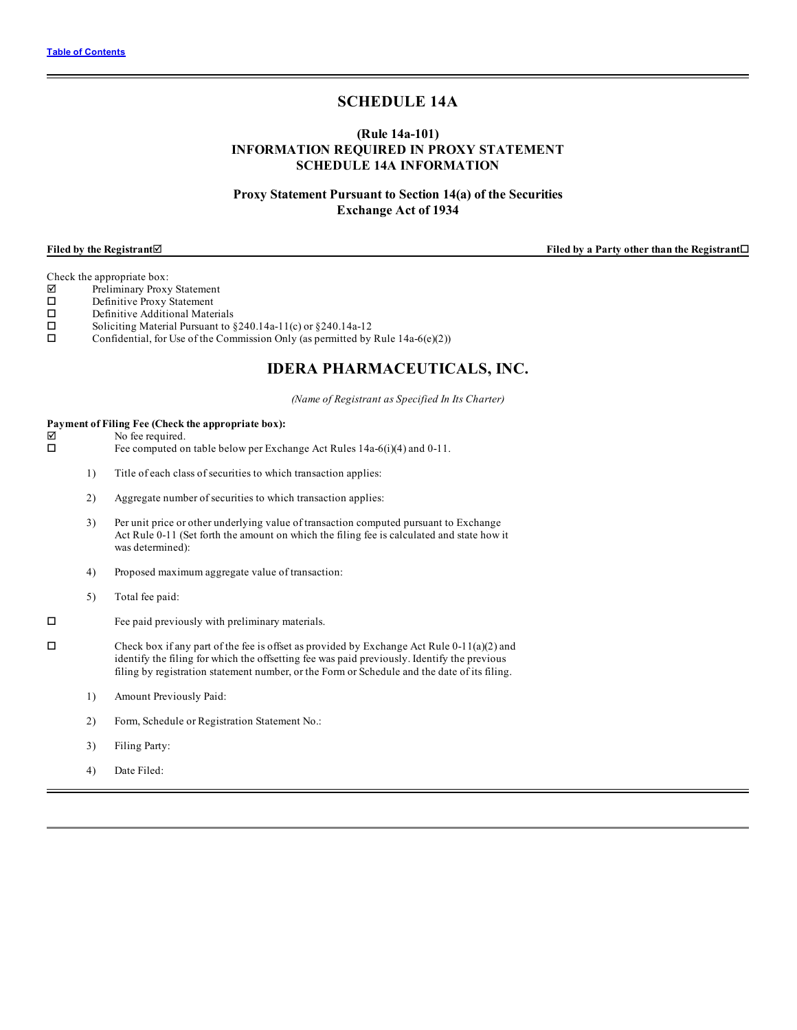# **SCHEDULE 14A**

# **(Rule 14a-101) INFORMATION REQUIRED IN PROXY STATEMENT SCHEDULE 14A INFORMATION**

# **Proxy Statement Pursuant to Section 14(a) of the Securities Exchange Act of 1934**

**Filed by the Registrant**þ **Filed by a Party other than the Registrant**o

- $\nabla$  Preliminary Proxy Statement<br>  $\square$  Definitive Proxy Statement
- $\square$  Definitive Proxy Statement<br> $\square$  Definitive Additional Mate
- Definitive Additional Materials
- $\square$  Soliciting Material Pursuant to §240.14a-11(c) or §240.14a-12<br> $\square$  Confidential, for Use of the Commission Only (as permitted by
- Confidential, for Use of the Commission Only (as permitted by Rule  $14a-6(e)(2)$ )

# **IDERA PHARMACEUTICALS, INC.**

*(Name of Registrant as Specified In Its Charter)*

# **Payment of Filing Fee (Check the appropriate box):**

 $\triangledown$  No fee required.

 $\square$  Fee computed on table below per Exchange Act Rules 14a-6(i)(4) and 0-11.

- 1) Title of each class of securities to which transaction applies:
- 2) Aggregate number of securities to which transaction applies:
- 3) Per unit price or other underlying value of transaction computed pursuant to Exchange Act Rule 0-11 (Set forth the amount on which the filing fee is calculated and state how it was determined):
- 4) Proposed maximum aggregate value of transaction:
- 5) Total fee paid:
- $\square$  Fee paid previously with preliminary materials.
- $\square$  Check box if any part of the fee is offset as provided by Exchange Act Rule 0-11(a)(2) and identify the filing for which the offsetting fee was paid previously. Identify the previous filing by registration statement number, or the Form or Schedule and the date of its filing.
	- 1) Amount Previously Paid:
	- 2) Form, Schedule or Registration Statement No.:
	- 3) Filing Party:
	- 4) Date Filed: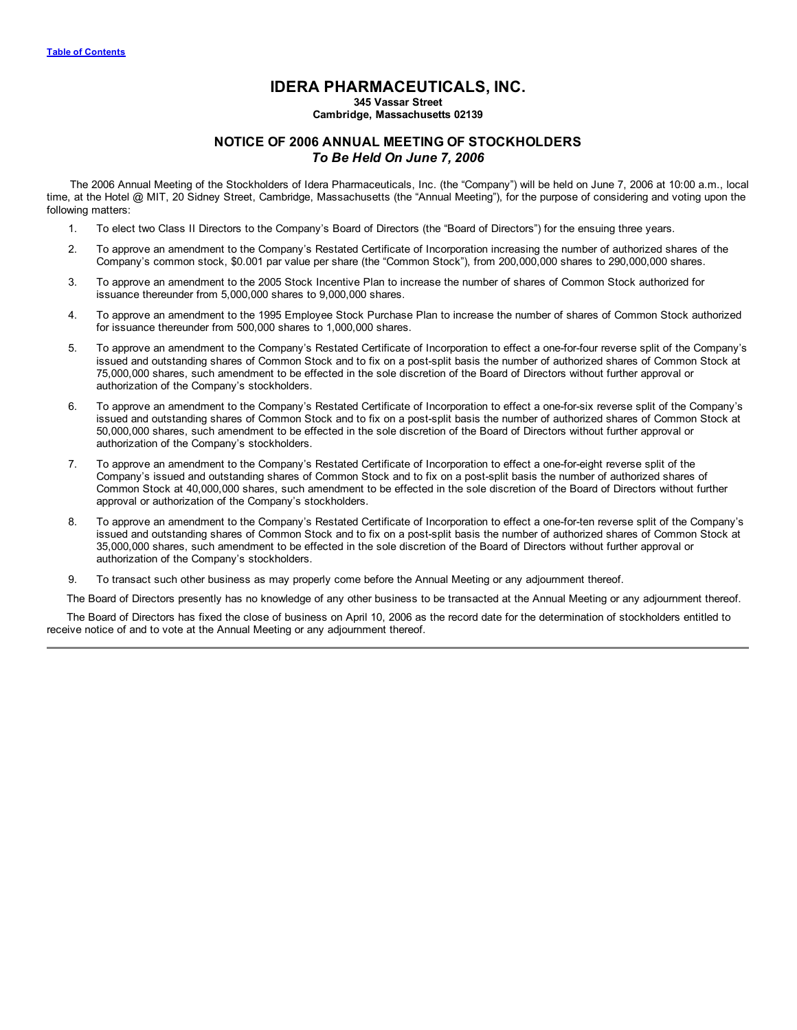# **IDERA PHARMACEUTICALS, INC.**

**345 Vassar Street**

# **Cambridge, Massachusetts 02139**

# **NOTICE OF 2006 ANNUAL MEETING OF STOCKHOLDERS** *To Be Held On June 7, 2006*

The 2006 Annual Meeting of the Stockholders of Idera Pharmaceuticals, Inc. (the "Company") will be held on June 7, 2006 at 10:00 a.m., local time, at the Hotel @ MIT, 20 Sidney Street, Cambridge, Massachusetts (the "Annual Meeting"), for the purpose of considering and voting upon the following matters:

- 1. To elect two Class II Directors to the Company's Board of Directors (the "Board of Directors") for the ensuing three years.
- 2. To approve an amendment to the Company's Restated Certificate of Incorporation increasing the number of authorized shares of the Company's common stock, \$0.001 par value per share (the "Common Stock"), from 200,000,000 shares to 290,000,000 shares.
- 3. To approve an amendment to the 2005 Stock Incentive Plan to increase the number of shares of Common Stock authorized for issuance thereunder from 5,000,000 shares to 9,000,000 shares.
- 4. To approve an amendment to the 1995 Employee Stock Purchase Plan to increase the number of shares of Common Stock authorized for issuance thereunder from 500,000 shares to 1,000,000 shares.
- 5. To approve an amendment to the Company's Restated Certificate of Incorporation to effect a one-for-four reverse split of the Company's issued and outstanding shares of Common Stock and to fix on a post-split basis the number of authorized shares of Common Stock at 75,000,000 shares, such amendment to be effected in the sole discretion of the Board of Directors without further approval or authorization of the Company's stockholders.
- 6. To approve an amendment to the Company's Restated Certificate of Incorporation to effect a one-for-six reverse split of the Company's issued and outstanding shares of Common Stock and to fix on a post-split basis the number of authorized shares of Common Stock at 50,000,000 shares, such amendment to be effected in the sole discretion of the Board of Directors without further approval or authorization of the Company's stockholders.
- 7. To approve an amendment to the Company's Restated Certificate of Incorporation to effect a one-for-eight reverse split of the Company's issued and outstanding shares of Common Stock and to fix on a post-split basis the number of authorized shares of Common Stock at 40,000,000 shares, such amendment to be effected in the sole discretion of the Board of Directors without further approval or authorization of the Company's stockholders.
- 8. To approve an amendment to the Company's Restated Certificate of Incorporation to effect a one-for-ten reverse split of the Company's issued and outstanding shares of Common Stock and to fix on a post-split basis the number of authorized shares of Common Stock at 35,000,000 shares, such amendment to be effected in the sole discretion of the Board of Directors without further approval or authorization of the Company's stockholders.
- 9. To transact such other business as may properly come before the Annual Meeting or any adjournment thereof.

The Board of Directors presently has no knowledge of any other business to be transacted at the Annual Meeting or any adjournment thereof.

The Board of Directors has fixed the close of business on April 10, 2006 as the record date for the determination of stockholders entitled to receive notice of and to vote at the Annual Meeting or any adjournment thereof.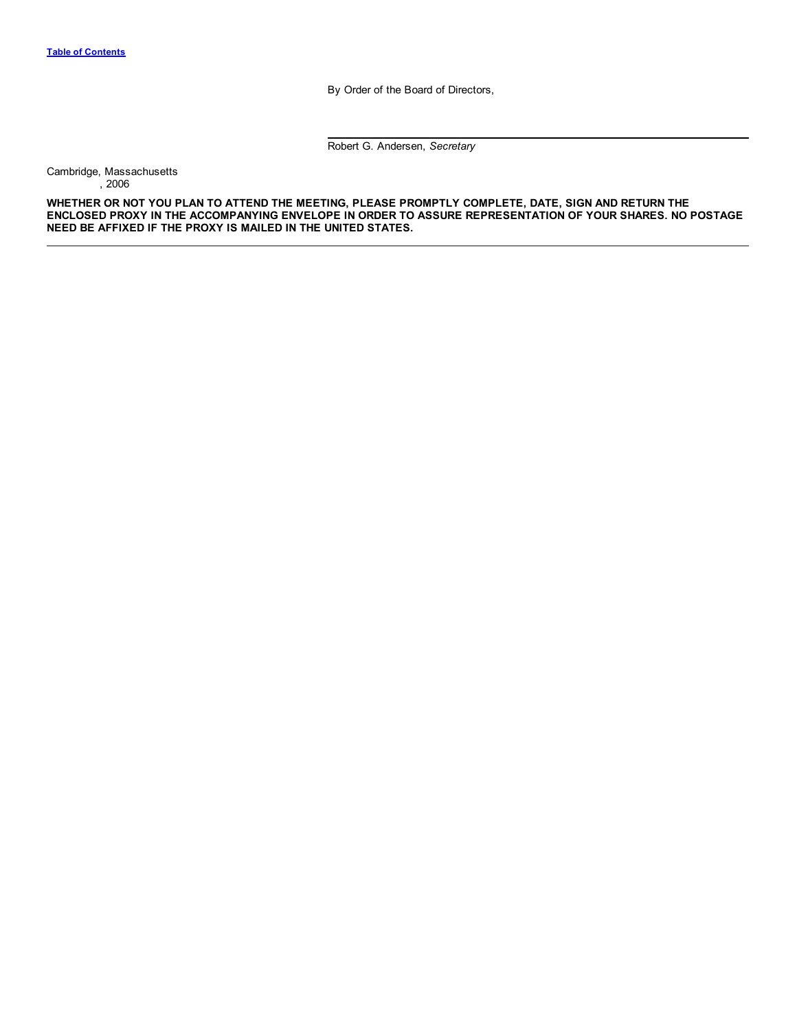By Order of the Board of Directors,

Robert G. Andersen, *Secretary*

<span id="page-2-0"></span>Cambridge, Massachusetts , 2006

**WHETHER OR NOT YOU PLAN TO ATTEND THE MEETING, PLEASE PROMPTLY COMPLETE, DATE, SIGN AND RETURN THE ENCLOSED PROXY IN THE ACCOMPANYING ENVELOPE IN ORDER TO ASSURE REPRESENTATION OF YOUR SHARES. NO POSTAGE NEED BE AFFIXED IF THE PROXY IS MAILED IN THE UNITED STATES.**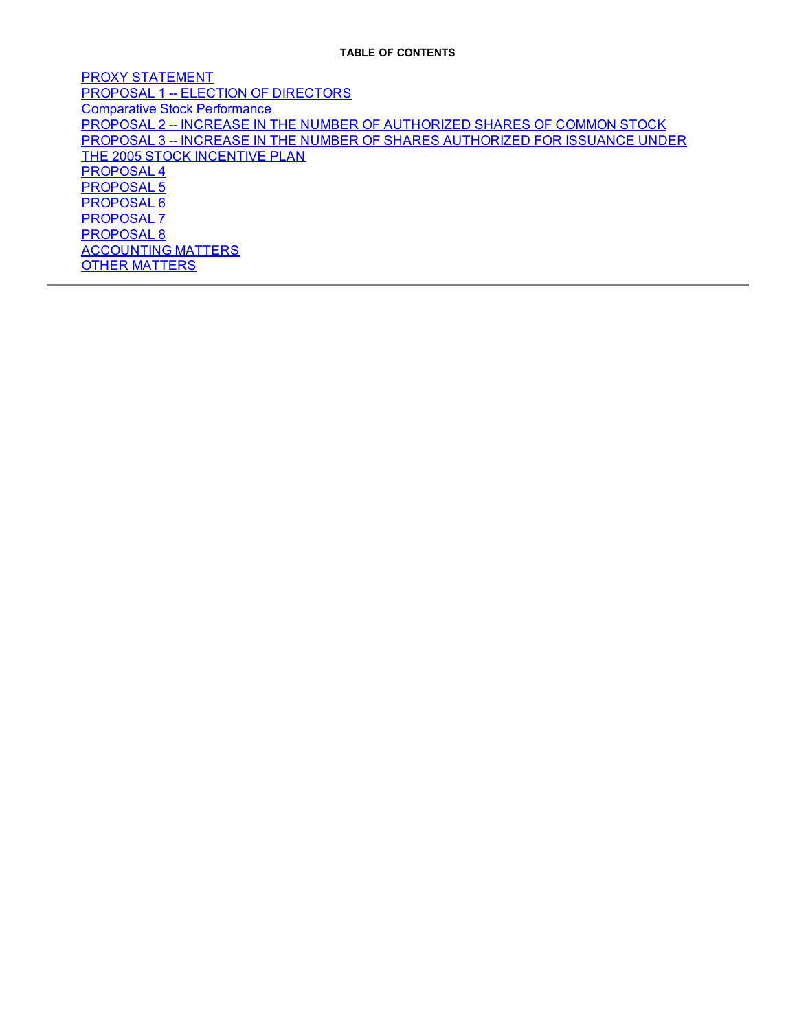# **TABLE OF CONTENTS**

PROXY [STATEMENT](#page-4-0) PROPOSAL 1 -- ELECTION OF [DIRECTORS](#page-8-0) [Comparative](#page-21-0) Stock Performance PROPOSAL 2 -- INCREASE IN THE NUMBER OF [AUTHORIZED](#page-21-0) SHARES OF COMMON STOCK PROPOSAL 3 -- INCREASE IN THE NUMBER OF SHARES [AUTHORIZED](#page-23-0) FOR ISSUANCE UNDER THE 2005 STOCK INCENTIVE PLAN [PROPOSAL](#page-30-0) 4 [PROPOSAL](#page-34-0) 5 [PROPOSAL](#page-37-0) 6 [PROPOSAL](#page-40-0) 7 [PROPOSAL](#page-42-0) 8 [ACCOUNTING](#page-45-0) MATTERS OTHER [MATTERS](#page-47-0)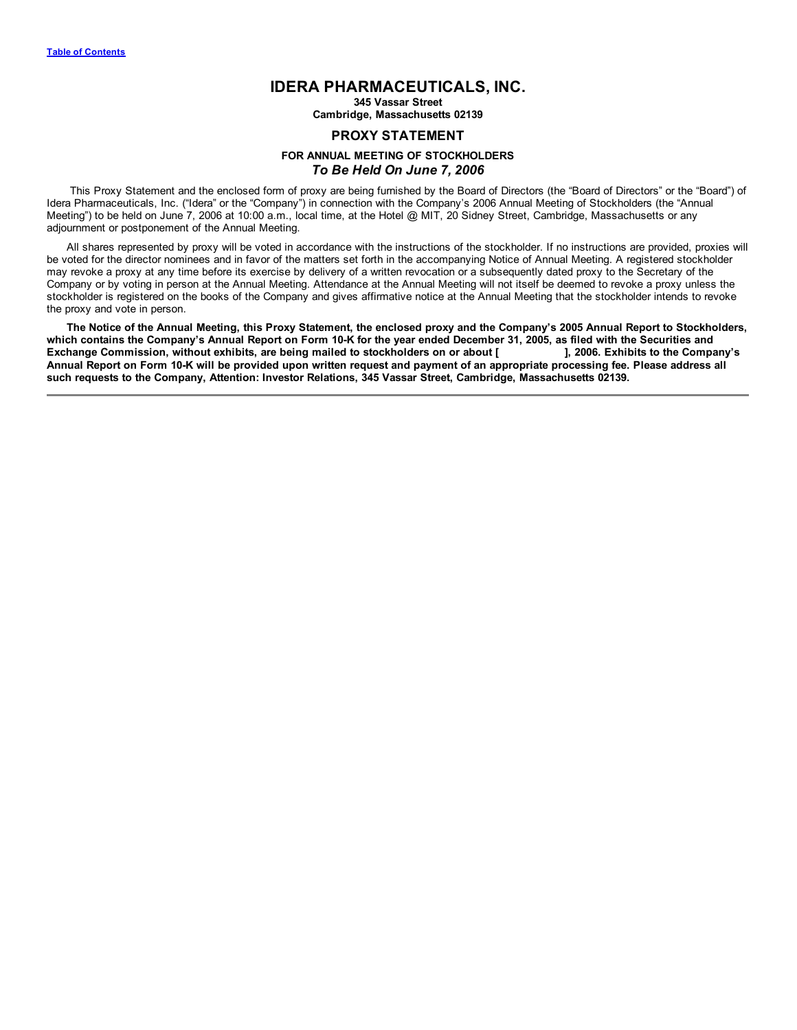# **IDERA PHARMACEUTICALS, INC.**

**345 Vassar Street**

**Cambridge, Massachusetts 02139**

# **PROXY STATEMENT**

# **FOR ANNUAL MEETING OF STOCKHOLDERS** *To Be Held On June 7, 2006*

<span id="page-4-0"></span>This Proxy Statement and the enclosed form of proxy are being furnished by the Board of Directors (the "Board of Directors" or the "Board") of Idera Pharmaceuticals, Inc. ("Idera" or the "Company") in connection with the Company's 2006 Annual Meeting of Stockholders (the "Annual Meeting") to be held on June 7, 2006 at 10:00 a.m., local time, at the Hotel @ MIT, 20 Sidney Street, Cambridge, Massachusetts or any adjournment or postponement of the Annual Meeting.

All shares represented by proxy will be voted in accordance with the instructions of the stockholder. If no instructions are provided, proxies will be voted for the director nominees and in favor of the matters set forth in the accompanying Notice of Annual Meeting. A registered stockholder may revoke a proxy at any time before its exercise by delivery of a written revocation or a subsequently dated proxy to the Secretary of the Company or by voting in person at the Annual Meeting. Attendance at the Annual Meeting will not itself be deemed to revoke a proxy unless the stockholder is registered on the books of the Company and gives affirmative notice at the Annual Meeting that the stockholder intends to revoke the proxy and vote in person.

The Notice of the Annual Meeting, this Proxy Statement, the enclosed proxy and the Company's 2005 Annual Report to Stockholders, which contains the Company's Annual Report on Form 10-K for the year ended December 31, 2005, as filed with the Securities and Exchange Commission, without exhibits, are being mailed to stockholders on or about [1, 2006. Exhibits to the Company's Annual Report on Form 10-K will be provided upon written request and payment of an appropriate processing fee. Please address all **such requests to the Company, Attention: Investor Relations, 345 Vassar Street, Cambridge, Massachusetts 02139.**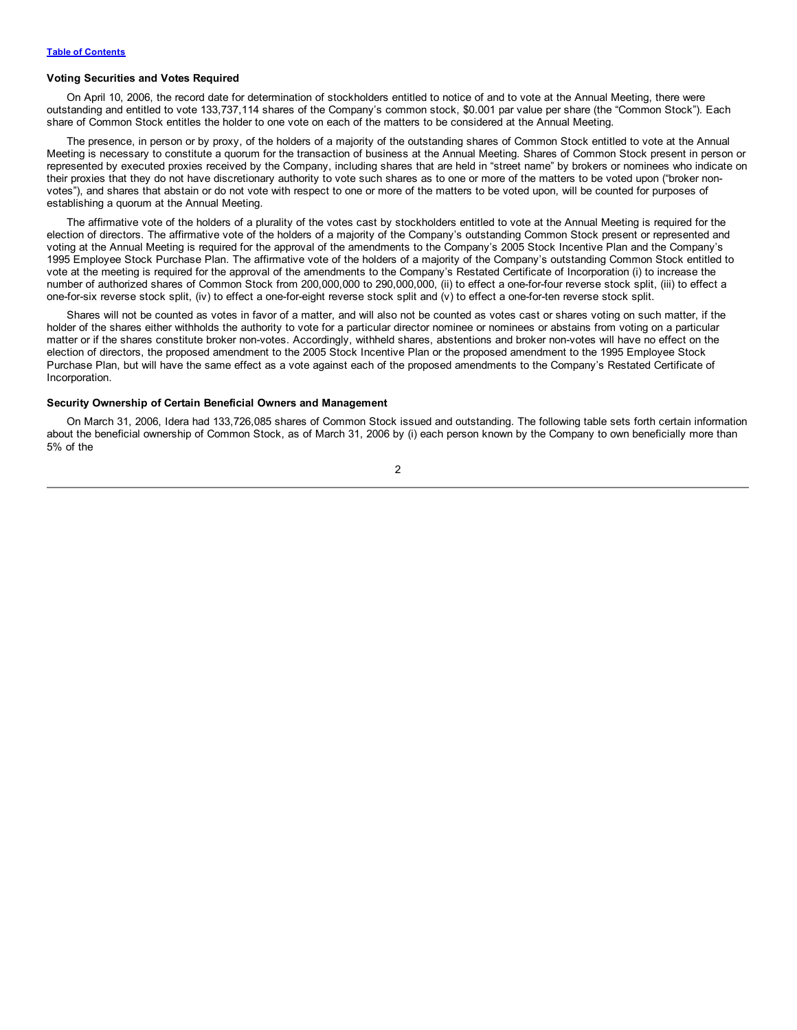#### **Voting Securities and Votes Required**

On April 10, 2006, the record date for determination of stockholders entitled to notice of and to vote at the Annual Meeting, there were outstanding and entitled to vote 133,737,114 shares of the Company's common stock, \$0.001 par value per share (the "Common Stock"). Each share of Common Stock entitles the holder to one vote on each of the matters to be considered at the Annual Meeting.

The presence, in person or by proxy, of the holders of a majority of the outstanding shares of Common Stock entitled to vote at the Annual Meeting is necessary to constitute a quorum for the transaction of business at the Annual Meeting. Shares of Common Stock present in person or represented by executed proxies received by the Company, including shares that are held in "street name" by brokers or nominees who indicate on their proxies that they do not have discretionary authority to vote such shares as to one or more of the matters to be voted upon ("broker nonvotes"), and shares that abstain or do not vote with respect to one or more of the matters to be voted upon, will be counted for purposes of establishing a quorum at the Annual Meeting.

The affirmative vote of the holders of a plurality of the votes cast by stockholders entitled to vote at the Annual Meeting is required for the election of directors. The affirmative vote of the holders of a majority of the Company's outstanding Common Stock present or represented and voting at the Annual Meeting is required for the approval of the amendments to the Company's 2005 Stock Incentive Plan and the Company's 1995 Employee Stock Purchase Plan. The affirmative vote of the holders of a majority of the Company's outstanding Common Stock entitled to vote at the meeting is required for the approval of the amendments to the Company's Restated Certificate of Incorporation (i) to increase the number of authorized shares of Common Stock from 200,000,000 to 290,000,000, (ii) to effect a one-for-four reverse stock split, (iii) to effect a one-for-six reverse stock split, (iv) to effect a one-for-eight reverse stock split and (v) to effect a one-for-ten reverse stock split.

Shares will not be counted as votes in favor of a matter, and will also not be counted as votes cast or shares voting on such matter, if the holder of the shares either withholds the authority to vote for a particular director nominee or nominees or abstains from voting on a particular matter or if the shares constitute broker non-votes. Accordingly, withheld shares, abstentions and broker non-votes will have no effect on the election of directors, the proposed amendment to the 2005 Stock Incentive Plan or the proposed amendment to the 1995 Employee Stock Purchase Plan, but will have the same effect as a vote against each of the proposed amendments to the Company's Restated Certificate of Incorporation.

# **Security Ownership of Certain Beneficial Owners and Management**

On March 31, 2006, Idera had 133,726,085 shares of Common Stock issued and outstanding. The following table sets forth certain information about the beneficial ownership of Common Stock, as of March 31, 2006 by (i) each person known by the Company to own beneficially more than 5% of the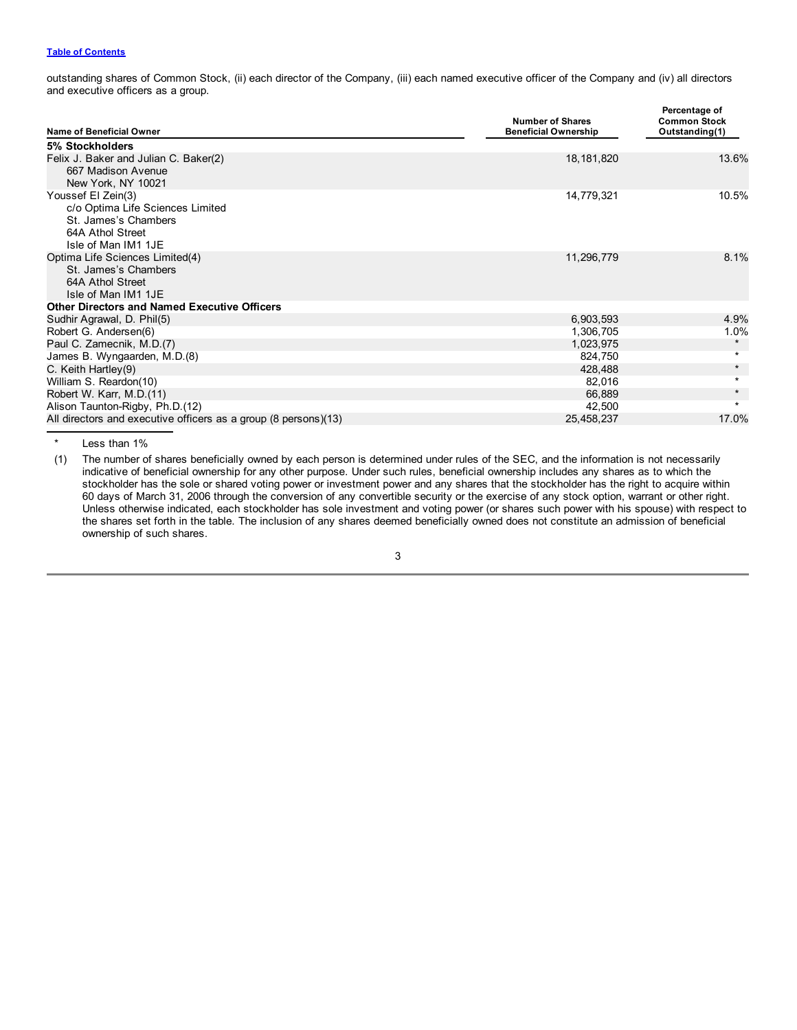# **Table of [Contents](#page-2-0)**

outstanding shares of Common Stock, (ii) each director of the Company, (iii) each named executive officer of the Company and (iv) all directors and executive officers as a group.

| Name of Beneficial Owner                                                                                                  | <b>Number of Shares</b><br><b>Beneficial Ownership</b> | Percentage of<br><b>Common Stock</b><br>Outstanding(1) |
|---------------------------------------------------------------------------------------------------------------------------|--------------------------------------------------------|--------------------------------------------------------|
| 5% Stockholders                                                                                                           |                                                        |                                                        |
| Felix J. Baker and Julian C. Baker(2)<br>667 Madison Avenue                                                               | 18, 181, 820                                           | 13.6%                                                  |
| New York, NY 10021                                                                                                        |                                                        |                                                        |
| Youssef El Zein(3)<br>c/o Optima Life Sciences Limited<br>St. James's Chambers<br>64A Athol Street<br>Isle of Man IM1 1JE | 14,779,321                                             | 10.5%                                                  |
| Optima Life Sciences Limited(4)<br>St. James's Chambers<br>64A Athol Street<br>Isle of Man IM1 1JE                        | 11,296,779                                             | 8.1%                                                   |
| <b>Other Directors and Named Executive Officers</b>                                                                       |                                                        |                                                        |
| Sudhir Agrawal, D. Phil(5)                                                                                                | 6,903,593                                              | 4.9%                                                   |
| Robert G. Andersen(6)                                                                                                     | 1,306,705                                              | 1.0%                                                   |
| Paul C. Zamecnik, M.D.(7)                                                                                                 | 1,023,975                                              | $\star$                                                |
| James B. Wyngaarden, M.D.(8)                                                                                              | 824,750                                                | $\star$                                                |
| C. Keith Hartley(9)                                                                                                       | 428,488                                                | $\star$                                                |
| William S. Reardon(10)                                                                                                    | 82,016                                                 | $\star$                                                |
| Robert W. Karr, M.D.(11)                                                                                                  | 66,889                                                 | $\star$                                                |
| Alison Taunton-Rigby, Ph.D.(12)                                                                                           | 42,500                                                 | $\star$                                                |
| All directors and executive officers as a group (8 persons)(13)                                                           | 25,458,237                                             | 17.0%                                                  |

Less than 1%

(1) The number of shares beneficially owned by each person is determined under rules of the SEC, and the information is not necessarily indicative of beneficial ownership for any other purpose. Under such rules, beneficial ownership includes any shares as to which the stockholder has the sole or shared voting power or investment power and any shares that the stockholder has the right to acquire within 60 days of March 31, 2006 through the conversion of any convertible security or the exercise of any stock option, warrant or other right. Unless otherwise indicated, each stockholder has sole investment and voting power (or shares such power with his spouse) with respect to the shares set forth in the table. The inclusion of any shares deemed beneficially owned does not constitute an admission of beneficial ownership of such shares.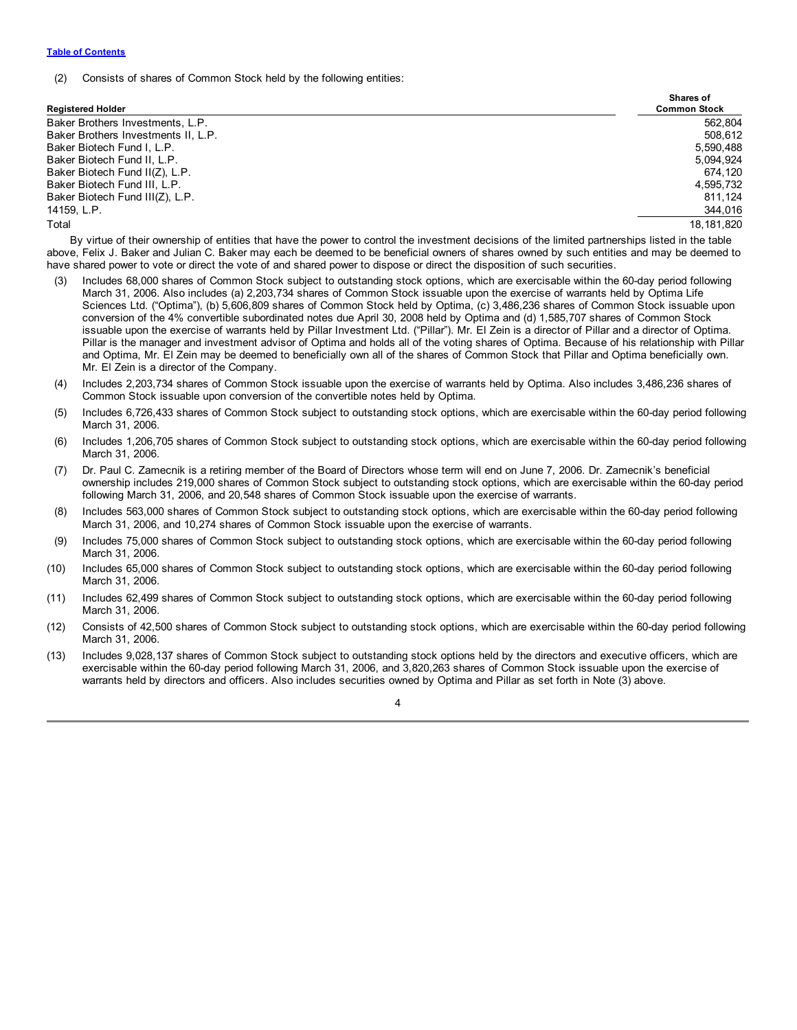(2) Consists of shares of Common Stock held by the following entities:

| <b>Registered Holder</b>            | <b>Shares of</b><br><b>Common Stock</b> |
|-------------------------------------|-----------------------------------------|
| Baker Brothers Investments, L.P.    | 562.804                                 |
| Baker Brothers Investments II. L.P. | 508.612                                 |
| Baker Biotech Fund I. L.P.          | 5.590.488                               |
| Baker Biotech Fund II, L.P.         | 5,094,924                               |
| Baker Biotech Fund II(Z), L.P.      | 674.120                                 |
| Baker Biotech Fund III, L.P.        | 4.595.732                               |
| Baker Biotech Fund III(Z), L.P.     | 811.124                                 |
| 14159, L.P.                         | 344,016                                 |
| Total                               | 18.181.820                              |

By virtue of their ownership of entities that have the power to control the investment decisions of the limited partnerships listed in the table above, Felix J. Baker and Julian C. Baker may each be deemed to be beneficial owners of shares owned by such entities and may be deemed to have shared power to vote or direct the vote of and shared power to dispose or direct the disposition of such securities.

- Includes 68,000 shares of Common Stock subject to outstanding stock options, which are exercisable within the 60-day period following March 31, 2006. Also includes (a) 2,203,734 shares of Common Stock issuable upon the exercise of warrants held by Optima Life Sciences Ltd. ("Optima"), (b) 5,606,809 shares of Common Stock held by Optima, (c) 3,486,236 shares of Common Stock issuable upon conversion of the 4% convertible subordinated notes due April 30, 2008 held by Optima and (d) 1,585,707 shares of Common Stock issuable upon the exercise of warrants held by Pillar Investment Ltd. ("Pillar"). Mr. El Zein is a director of Pillar and a director of Optima. Pillar is the manager and investment advisor of Optima and holds all of the voting shares of Optima. Because of his relationship with Pillar and Optima, Mr. El Zein may be deemed to beneficially own all of the shares of Common Stock that Pillar and Optima beneficially own. Mr. El Zein is a director of the Company.
- (4) Includes 2,203,734 shares of Common Stock issuable upon the exercise of warrants held by Optima. Also includes 3,486,236 shares of Common Stock issuable upon conversion of the convertible notes held by Optima.
- (5) Includes 6,726,433 shares of Common Stock subject to outstanding stock options, which are exercisable within the 60-day period following March 31, 2006.
- (6) Includes 1,206,705 shares of Common Stock subject to outstanding stock options, which are exercisable within the 60-day period following March 31, 2006.
- (7) Dr. Paul C. Zamecnik is a retiring member of the Board of Directors whose term will end on June 7, 2006. Dr. Zamecnik's beneficial ownership includes 219,000 shares of Common Stock subject to outstanding stock options, which are exercisable within the 60-day period following March 31, 2006, and 20,548 shares of Common Stock issuable upon the exercise of warrants.
- (8) Includes 563,000 shares of Common Stock subject to outstanding stock options, which are exercisable within the 60-day period following March 31, 2006, and 10,274 shares of Common Stock issuable upon the exercise of warrants.
- (9) Includes 75,000 shares of Common Stock subject to outstanding stock options, which are exercisable within the 60-day period following March 31, 2006.
- (10) Includes 65,000 shares of Common Stock subject to outstanding stock options, which are exercisable within the 60-day period following March 31, 2006.
- (11) Includes 62,499 shares of Common Stock subject to outstanding stock options, which are exercisable within the 60-day period following March 31, 2006.
- (12) Consists of 42,500 shares of Common Stock subject to outstanding stock options, which are exercisable within the 60-day period following March 31, 2006.
- (13) Includes 9,028,137 shares of Common Stock subject to outstanding stock options held by the directors and executive officers, which are exercisable within the 60-day period following March 31, 2006, and 3,820,263 shares of Common Stock issuable upon the exercise of warrants held by directors and officers. Also includes securities owned by Optima and Pillar as set forth in Note (3) above.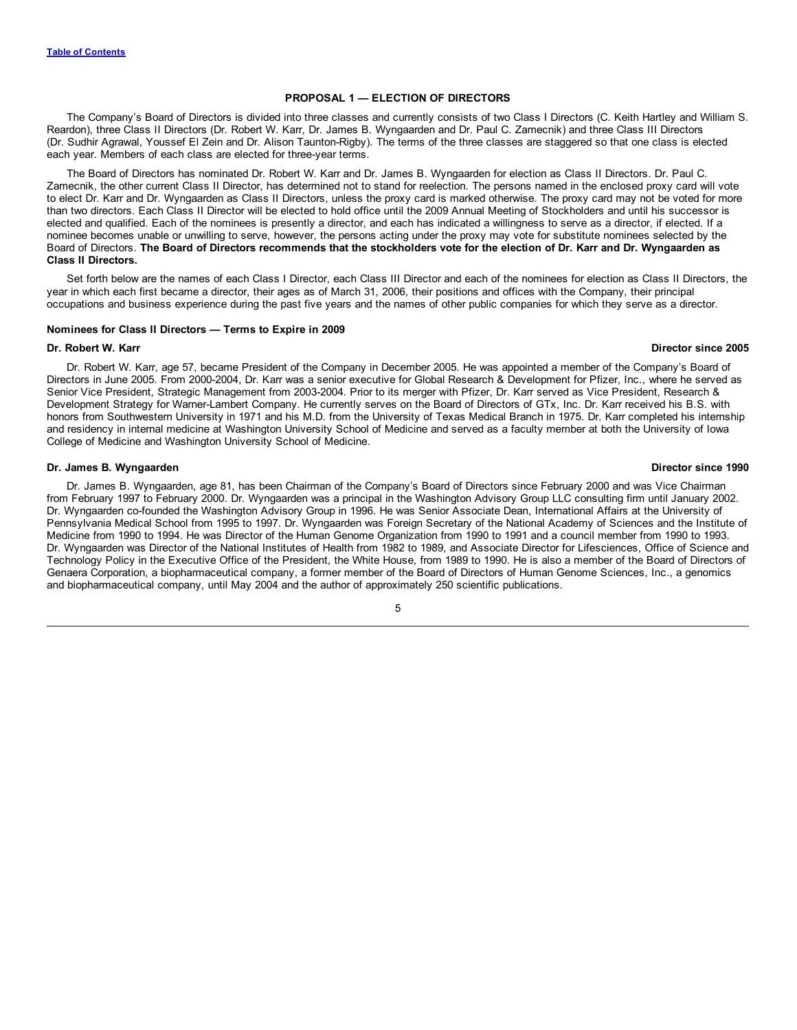# **PROPOSAL 1 — ELECTION OF DIRECTORS**

<span id="page-8-0"></span>The Company's Board of Directors is divided into three classes and currently consists of two Class I Directors (C. Keith Hartley and William S. Reardon), three Class II Directors (Dr. Robert W. Karr, Dr. James B. Wyngaarden and Dr. Paul C. Zamecnik) and three Class III Directors (Dr. Sudhir Agrawal, Youssef El Zein and Dr. Alison Taunton-Rigby). The terms of the three classes are staggered so that one class is elected each year. Members of each class are elected for three-year terms.

The Board of Directors has nominated Dr. Robert W. Karr and Dr. James B. Wyngaarden for election as Class II Directors. Dr. Paul C. Zamecnik, the other current Class II Director, has determined not to stand for reelection. The persons named in the enclosed proxy card will vote to elect Dr. Karr and Dr. Wyngaarden as Class II Directors, unless the proxy card is marked otherwise. The proxy card may not be voted for more than two directors. Each Class II Director will be elected to hold office until the 2009 Annual Meeting of Stockholders and until his successor is elected and qualified. Each of the nominees is presently a director, and each has indicated a willingness to serve as a director, if elected. If a nominee becomes unable or unwilling to serve, however, the persons acting under the proxy may vote for substitute nominees selected by the Board of Directors. The Board of Directors recommends that the stockholders vote for the election of Dr. Karr and Dr. Wyngaarden as **Class II Directors.**

Set forth below are the names of each Class I Director, each Class III Director and each of the nominees for election as Class II Directors, the year in which each first became a director, their ages as of March 31, 2006, their positions and offices with the Company, their principal occupations and business experience during the past five years and the names of other public companies for which they serve as a director.

#### **Nominees for Class II Directors — Terms to Expire in 2009**

#### **Dr. Robert W. Karr Director since 2005**

Dr. Robert W. Karr, age 57, became President of the Company in December 2005. He was appointed a member of the Company's Board of Directors in June 2005. From 2000-2004, Dr. Karr was a senior executive for Global Research & Development for Pfizer, Inc., where he served as Senior Vice President, Strategic Management from 2003-2004. Prior to its merger with Pfizer, Dr. Karr served as Vice President, Research & Development Strategy for Warner-Lambert Company. He currently serves on the Board of Directors of GTx, Inc. Dr. Karr received his B.S. with honors from Southwestern University in 1971 and his M.D. from the University of Texas Medical Branch in 1975. Dr. Karr completed his internship and residency in internal medicine at Washington University School of Medicine and served as a faculty member at both the University of Iowa College of Medicine and Washington University School of Medicine.

#### **Dr. James B. Wyngaarden Director since 1990**

Dr. James B. Wyngaarden, age 81, has been Chairman of the Company's Board of Directors since February 2000 and was Vice Chairman from February 1997 to February 2000. Dr. Wyngaarden was a principal in the Washington Advisory Group LLC consulting firm until January 2002. Dr. Wyngaarden co-founded the Washington Advisory Group in 1996. He was Senior Associate Dean, International Affairs at the University of Pennsylvania Medical School from 1995 to 1997. Dr. Wyngaarden was Foreign Secretary of the National Academy of Sciences and the Institute of Medicine from 1990 to 1994. He was Director of the Human Genome Organization from 1990 to 1991 and a council member from 1990 to 1993. Dr. Wyngaarden was Director of the National Institutes of Health from 1982 to 1989, and Associate Director for Lifesciences, Office of Science and Technology Policy in the Executive Office of the President, the White House, from 1989 to 1990. He is also a member of the Board of Directors of Genaera Corporation, a biopharmaceutical company, a former member of the Board of Directors of Human Genome Sciences, Inc., a genomics and biopharmaceutical company, until May 2004 and the author of approximately 250 scientific publications.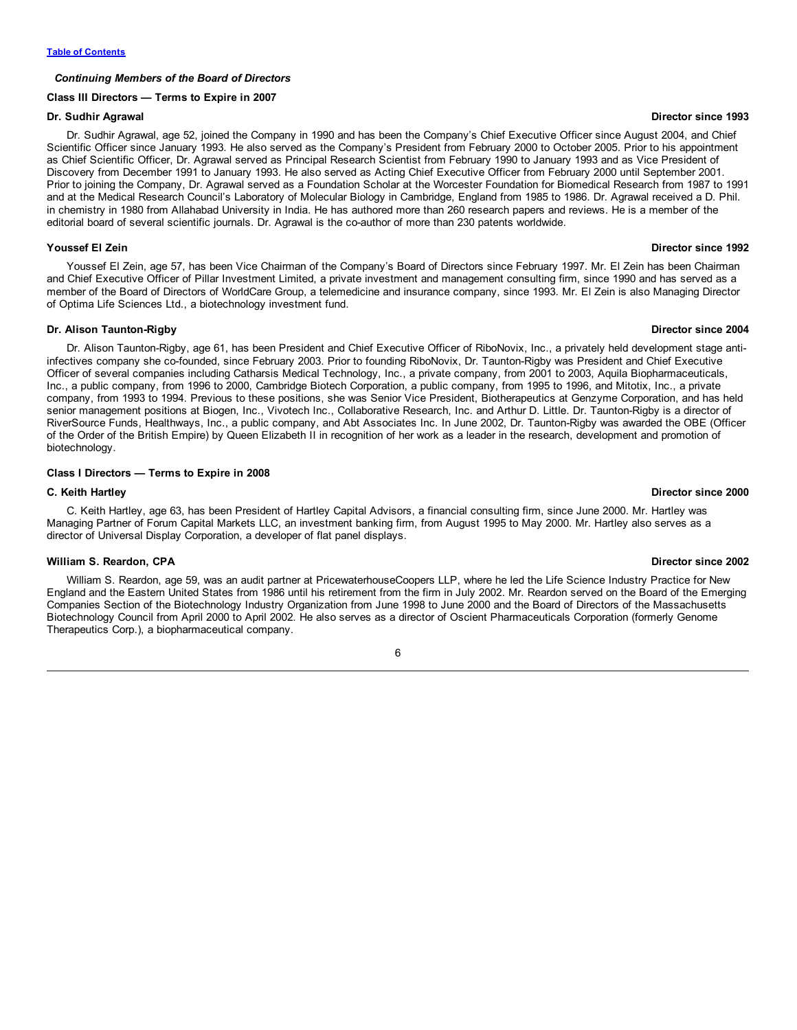# *Continuing Members of the Board of Directors*

#### **Class III Directors — Terms to Expire in 2007**

## **Dr. Sudhir Agrawal Director since 1993**

Dr. Sudhir Agrawal, age 52, joined the Company in 1990 and has been the Company's Chief Executive Officer since August 2004, and Chief Scientific Officer since January 1993. He also served as the Company's President from February 2000 to October 2005. Prior to his appointment as Chief Scientific Officer, Dr. Agrawal served as Principal Research Scientist from February 1990 to January 1993 and as Vice President of Discovery from December 1991 to January 1993. He also served as Acting Chief Executive Officer from February 2000 until September 2001. Prior to joining the Company, Dr. Agrawal served as a Foundation Scholar at the Worcester Foundation for Biomedical Research from 1987 to 1991 and at the Medical Research Council's Laboratory of Molecular Biology in Cambridge, England from 1985 to 1986. Dr. Agrawal received a D. Phil. in chemistry in 1980 from Allahabad University in India. He has authored more than 260 research papers and reviews. He is a member of the editorial board of several scientific journals. Dr. Agrawal is the co-author of more than 230 patents worldwide.

#### **Youssef El Zein Director since 1992**

Youssef El Zein, age 57, has been Vice Chairman of the Company's Board of Directors since February 1997. Mr. El Zein has been Chairman and Chief Executive Officer of Pillar Investment Limited, a private investment and management consulting firm, since 1990 and has served as a member of the Board of Directors of WorldCare Group, a telemedicine and insurance company, since 1993. Mr. El Zein is also Managing Director of Optima Life Sciences Ltd., a biotechnology investment fund.

## **Dr. Alison Taunton-Rigby Director since 2004**

Dr. Alison Taunton-Rigby, age 61, has been President and Chief Executive Officer of RiboNovix, Inc., a privately held development stage antiinfectives company she co-founded, since February 2003. Prior to founding RiboNovix, Dr. Taunton-Rigby was President and Chief Executive Officer of several companies including Catharsis Medical Technology, Inc., a private company, from 2001 to 2003, Aquila Biopharmaceuticals, Inc., a public company, from 1996 to 2000, Cambridge Biotech Corporation, a public company, from 1995 to 1996, and Mitotix, Inc., a private company, from 1993 to 1994. Previous to these positions, she was Senior Vice President, Biotherapeutics at Genzyme Corporation, and has held senior management positions at Biogen, Inc., Vivotech Inc., Collaborative Research, Inc. and Arthur D. Little. Dr. Taunton-Rigby is a director of RiverSource Funds, Healthways, Inc., a public company, and Abt Associates Inc. In June 2002, Dr. Taunton-Rigby was awarded the OBE (Officer of the Order of the British Empire) by Queen Elizabeth II in recognition of her work as a leader in the research, development and promotion of biotechnology.

# **Class I Directors — Terms to Expire in 2008**

# **C. Keith Hartley Director since 2000**

C. Keith Hartley, age 63, has been President of Hartley Capital Advisors, a financial consulting firm, since June 2000. Mr. Hartley was Managing Partner of Forum Capital Markets LLC, an investment banking firm, from August 1995 to May 2000. Mr. Hartley also serves as a director of Universal Display Corporation, a developer of flat panel displays.

#### **William S. Reardon, CPA Director since 2002**

William S. Reardon, age 59, was an audit partner at PricewaterhouseCoopers LLP, where he led the Life Science Industry Practice for New England and the Eastern United States from 1986 until his retirement from the firm in July 2002. Mr. Reardon served on the Board of the Emerging Companies Section of the Biotechnology Industry Organization from June 1998 to June 2000 and the Board of Directors of the Massachusetts Biotechnology Council from April 2000 to April 2002. He also serves as a director of Oscient Pharmaceuticals Corporation (formerly Genome Therapeutics Corp.), a biopharmaceutical company.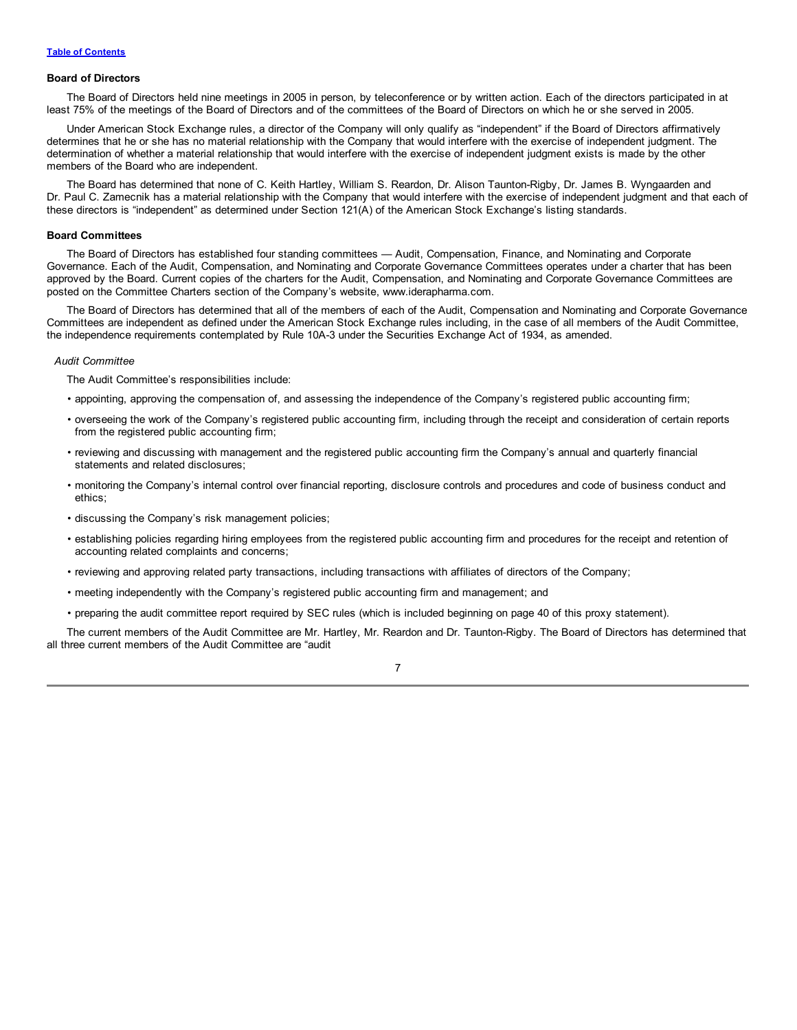#### **Board of Directors**

The Board of Directors held nine meetings in 2005 in person, by teleconference or by written action. Each of the directors participated in at least 75% of the meetings of the Board of Directors and of the committees of the Board of Directors on which he or she served in 2005.

Under American Stock Exchange rules, a director of the Company will only qualify as "independent" if the Board of Directors affirmatively determines that he or she has no material relationship with the Company that would interfere with the exercise of independent judgment. The determination of whether a material relationship that would interfere with the exercise of independent judgment exists is made by the other members of the Board who are independent.

The Board has determined that none of C. Keith Hartley, William S. Reardon, Dr. Alison Taunton-Rigby, Dr. James B. Wyngaarden and Dr. Paul C. Zamecnik has a material relationship with the Company that would interfere with the exercise of independent judgment and that each of these directors is "independent" as determined under Section 121(A) of the American Stock Exchange's listing standards.

#### **Board Committees**

The Board of Directors has established four standing committees — Audit, Compensation, Finance, and Nominating and Corporate Governance. Each of the Audit, Compensation, and Nominating and Corporate Governance Committees operates under a charter that has been approved by the Board. Current copies of the charters for the Audit, Compensation, and Nominating and Corporate Governance Committees are posted on the Committee Charters section of the Company's website, www.iderapharma.com.

The Board of Directors has determined that all of the members of each of the Audit, Compensation and Nominating and Corporate Governance Committees are independent as defined under the American Stock Exchange rules including, in the case of all members of the Audit Committee, the independence requirements contemplated by Rule 10A-3 under the Securities Exchange Act of 1934, as amended.

## *Audit Committee*

The Audit Committee's responsibilities include:

- appointing, approving the compensation of, and assessing the independence of the Company's registered public accounting firm;
- overseeing the work of the Company's registered public accounting firm, including through the receipt and consideration of certain reports from the registered public accounting firm;
- reviewing and discussing with management and the registered public accounting firm the Company's annual and quarterly financial statements and related disclosures;
- monitoring the Company's internal control over financial reporting, disclosure controls and procedures and code of business conduct and ethics;
- discussing the Company's risk management policies;
- establishing policies regarding hiring employees from the registered public accounting firm and procedures for the receipt and retention of accounting related complaints and concerns;
- reviewing and approving related party transactions, including transactions with affiliates of directors of the Company;
- meeting independently with the Company's registered public accounting firm and management; and
- preparing the audit committee report required by SEC rules (which is included beginning on page 40 of this proxy statement).

The current members of the Audit Committee are Mr. Hartley, Mr. Reardon and Dr. Taunton-Rigby. The Board of Directors has determined that all three current members of the Audit Committee are "audit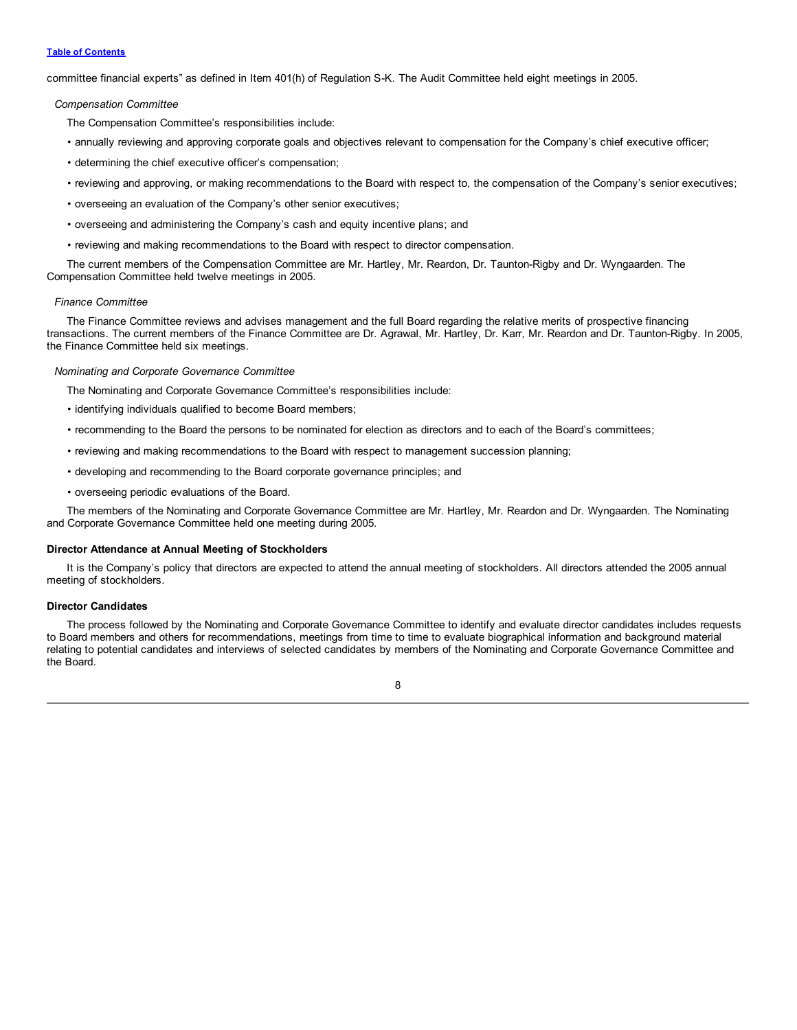## **Table of [Contents](#page-2-0)**

committee financial experts" as defined in Item 401(h) of Regulation S-K. The Audit Committee held eight meetings in 2005.

# *Compensation Committee*

The Compensation Committee's responsibilities include:

- annually reviewing and approving corporate goals and objectives relevant to compensation for the Company's chief executive officer;
- determining the chief executive officer's compensation;
- reviewing and approving, or making recommendations to the Board with respect to, the compensation of the Company's senior executives;
- overseeing an evaluation of the Company's other senior executives;
- overseeing and administering the Company's cash and equity incentive plans; and
- reviewing and making recommendations to the Board with respect to director compensation.

The current members of the Compensation Committee are Mr. Hartley, Mr. Reardon, Dr. Taunton-Rigby and Dr. Wyngaarden. The Compensation Committee held twelve meetings in 2005.

#### *Finance Committee*

The Finance Committee reviews and advises management and the full Board regarding the relative merits of prospective financing transactions. The current members of the Finance Committee are Dr. Agrawal, Mr. Hartley, Dr. Karr, Mr. Reardon and Dr. Taunton-Rigby. In 2005, the Finance Committee held six meetings.

#### *Nominating and Corporate Governance Committee*

The Nominating and Corporate Governance Committee's responsibilities include:

- identifying individuals qualified to become Board members;
- recommending to the Board the persons to be nominated for election as directors and to each of the Board's committees;
- reviewing and making recommendations to the Board with respect to management succession planning;
- developing and recommending to the Board corporate governance principles; and
- overseeing periodic evaluations of the Board.

The members of the Nominating and Corporate Governance Committee are Mr. Hartley, Mr. Reardon and Dr. Wyngaarden. The Nominating and Corporate Governance Committee held one meeting during 2005.

# **Director Attendance at Annual Meeting of Stockholders**

It is the Company's policy that directors are expected to attend the annual meeting of stockholders. All directors attended the 2005 annual meeting of stockholders.

## **Director Candidates**

The process followed by the Nominating and Corporate Governance Committee to identify and evaluate director candidates includes requests to Board members and others for recommendations, meetings from time to time to evaluate biographical information and background material relating to potential candidates and interviews of selected candidates by members of the Nominating and Corporate Governance Committee and the Board.

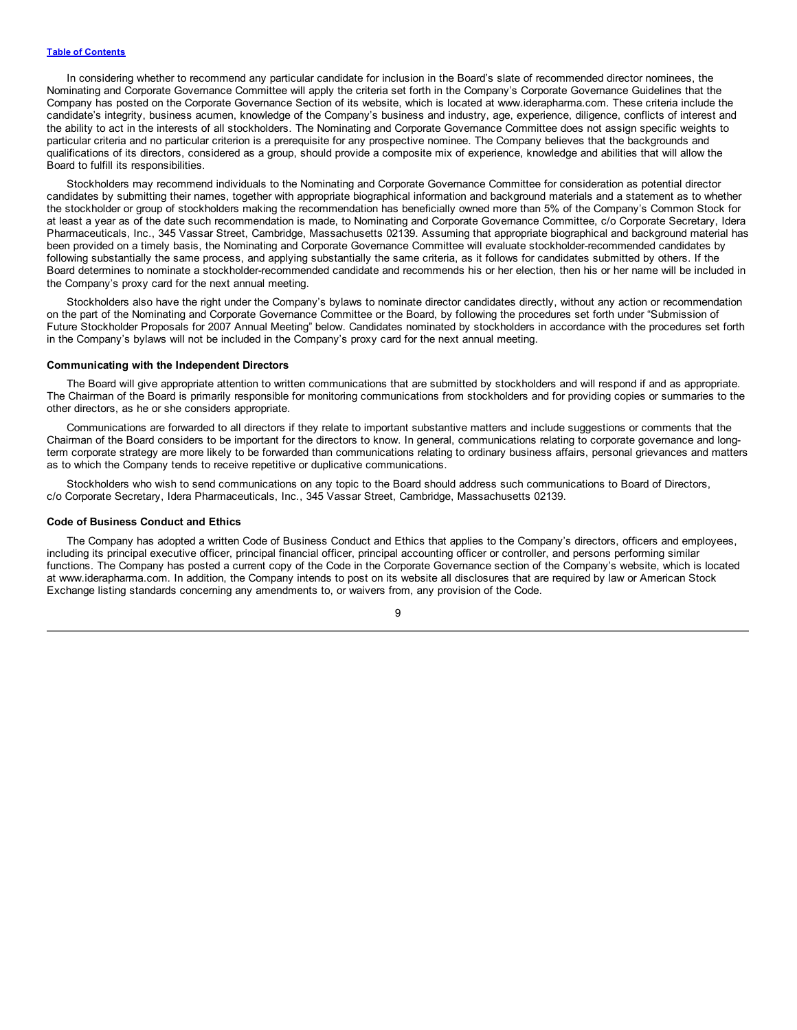In considering whether to recommend any particular candidate for inclusion in the Board's slate of recommended director nominees, the Nominating and Corporate Governance Committee will apply the criteria set forth in the Company's Corporate Governance Guidelines that the Company has posted on the Corporate Governance Section of its website, which is located at www.iderapharma.com. These criteria include the candidate's integrity, business acumen, knowledge of the Company's business and industry, age, experience, diligence, conflicts of interest and the ability to act in the interests of all stockholders. The Nominating and Corporate Governance Committee does not assign specific weights to particular criteria and no particular criterion is a prerequisite for any prospective nominee. The Company believes that the backgrounds and qualifications of its directors, considered as a group, should provide a composite mix of experience, knowledge and abilities that will allow the Board to fulfill its responsibilities.

Stockholders may recommend individuals to the Nominating and Corporate Governance Committee for consideration as potential director candidates by submitting their names, together with appropriate biographical information and background materials and a statement as to whether the stockholder or group of stockholders making the recommendation has beneficially owned more than 5% of the Company's Common Stock for at least a year as of the date such recommendation is made, to Nominating and Corporate Governance Committee, c/o Corporate Secretary, Idera Pharmaceuticals, Inc., 345 Vassar Street, Cambridge, Massachusetts 02139. Assuming that appropriate biographical and background material has been provided on a timely basis, the Nominating and Corporate Governance Committee will evaluate stockholder-recommended candidates by following substantially the same process, and applying substantially the same criteria, as it follows for candidates submitted by others. If the Board determines to nominate a stockholder-recommended candidate and recommends his or her election, then his or her name will be included in the Company's proxy card for the next annual meeting.

Stockholders also have the right under the Company's bylaws to nominate director candidates directly, without any action or recommendation on the part of the Nominating and Corporate Governance Committee or the Board, by following the procedures set forth under "Submission of Future Stockholder Proposals for 2007 Annual Meeting" below. Candidates nominated by stockholders in accordance with the procedures set forth in the Company's bylaws will not be included in the Company's proxy card for the next annual meeting.

## **Communicating with the Independent Directors**

The Board will give appropriate attention to written communications that are submitted by stockholders and will respond if and as appropriate. The Chairman of the Board is primarily responsible for monitoring communications from stockholders and for providing copies or summaries to the other directors, as he or she considers appropriate.

Communications are forwarded to all directors if they relate to important substantive matters and include suggestions or comments that the Chairman of the Board considers to be important for the directors to know. In general, communications relating to corporate governance and longterm corporate strategy are more likely to be forwarded than communications relating to ordinary business affairs, personal grievances and matters as to which the Company tends to receive repetitive or duplicative communications.

Stockholders who wish to send communications on any topic to the Board should address such communications to Board of Directors, c/o Corporate Secretary, Idera Pharmaceuticals, Inc., 345 Vassar Street, Cambridge, Massachusetts 02139.

#### **Code of Business Conduct and Ethics**

The Company has adopted a written Code of Business Conduct and Ethics that applies to the Company's directors, officers and employees, including its principal executive officer, principal financial officer, principal accounting officer or controller, and persons performing similar functions. The Company has posted a current copy of the Code in the Corporate Governance section of the Company's website, which is located at www.iderapharma.com. In addition, the Company intends to post on its website all disclosures that are required by law or American Stock Exchange listing standards concerning any amendments to, or waivers from, any provision of the Code.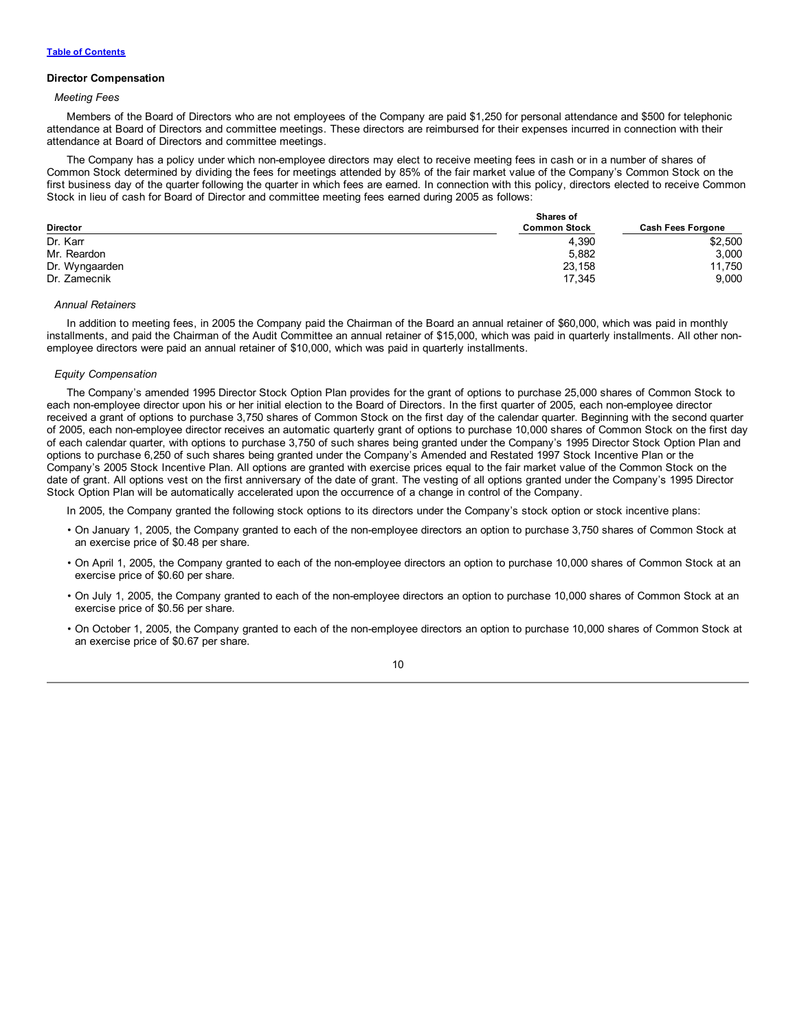# **Director Compensation**

# *Meeting Fees*

Members of the Board of Directors who are not employees of the Company are paid \$1,250 for personal attendance and \$500 for telephonic attendance at Board of Directors and committee meetings. These directors are reimbursed for their expenses incurred in connection with their attendance at Board of Directors and committee meetings.

The Company has a policy under which non-employee directors may elect to receive meeting fees in cash or in a number of shares of Common Stock determined by dividing the fees for meetings attended by 85% of the fair market value of the Company's Common Stock on the first business day of the quarter following the quarter in which fees are earned. In connection with this policy, directors elected to receive Common Stock in lieu of cash for Board of Director and committee meeting fees earned during 2005 as follows:

|                 | <b>Shares of</b>    |                          |
|-----------------|---------------------|--------------------------|
| <b>Director</b> | <b>Common Stock</b> | <b>Cash Fees Forgone</b> |
| Dr. Karr        | 4,390               | \$2,500                  |
| Mr. Reardon     | 5,882               | 3,000                    |
| Dr. Wyngaarden  | 23,158              | 11,750                   |
| Dr. Zamecnik    | 17.345              | 9,000                    |

#### *Annual Retainers*

In addition to meeting fees, in 2005 the Company paid the Chairman of the Board an annual retainer of \$60,000, which was paid in monthly installments, and paid the Chairman of the Audit Committee an annual retainer of \$15,000, which was paid in quarterly installments. All other nonemployee directors were paid an annual retainer of \$10,000, which was paid in quarterly installments.

## *Equity Compensation*

The Company's amended 1995 Director Stock Option Plan provides for the grant of options to purchase 25,000 shares of Common Stock to each non-employee director upon his or her initial election to the Board of Directors. In the first quarter of 2005, each non-employee director received a grant of options to purchase 3,750 shares of Common Stock on the first day of the calendar quarter. Beginning with the second quarter of 2005, each non-employee director receives an automatic quarterly grant of options to purchase 10,000 shares of Common Stock on the first day of each calendar quarter, with options to purchase 3,750 of such shares being granted under the Company's 1995 Director Stock Option Plan and options to purchase 6,250 of such shares being granted under the Company's Amended and Restated 1997 Stock Incentive Plan or the Company's 2005 Stock Incentive Plan. All options are granted with exercise prices equal to the fair market value of the Common Stock on the date of grant. All options vest on the first anniversary of the date of grant. The vesting of all options granted under the Company's 1995 Director Stock Option Plan will be automatically accelerated upon the occurrence of a change in control of the Company.

In 2005, the Company granted the following stock options to its directors under the Company's stock option or stock incentive plans:

- On January 1, 2005, the Company granted to each of the non-employee directors an option to purchase 3,750 shares of Common Stock at an exercise price of \$0.48 per share.
- On April 1, 2005, the Company granted to each of the non-employee directors an option to purchase 10,000 shares of Common Stock at an exercise price of \$0.60 per share.
- On July 1, 2005, the Company granted to each of the non-employee directors an option to purchase 10,000 shares of Common Stock at an exercise price of \$0.56 per share.
- On October 1, 2005, the Company granted to each of the non-employee directors an option to purchase 10,000 shares of Common Stock at an exercise price of \$0.67 per share.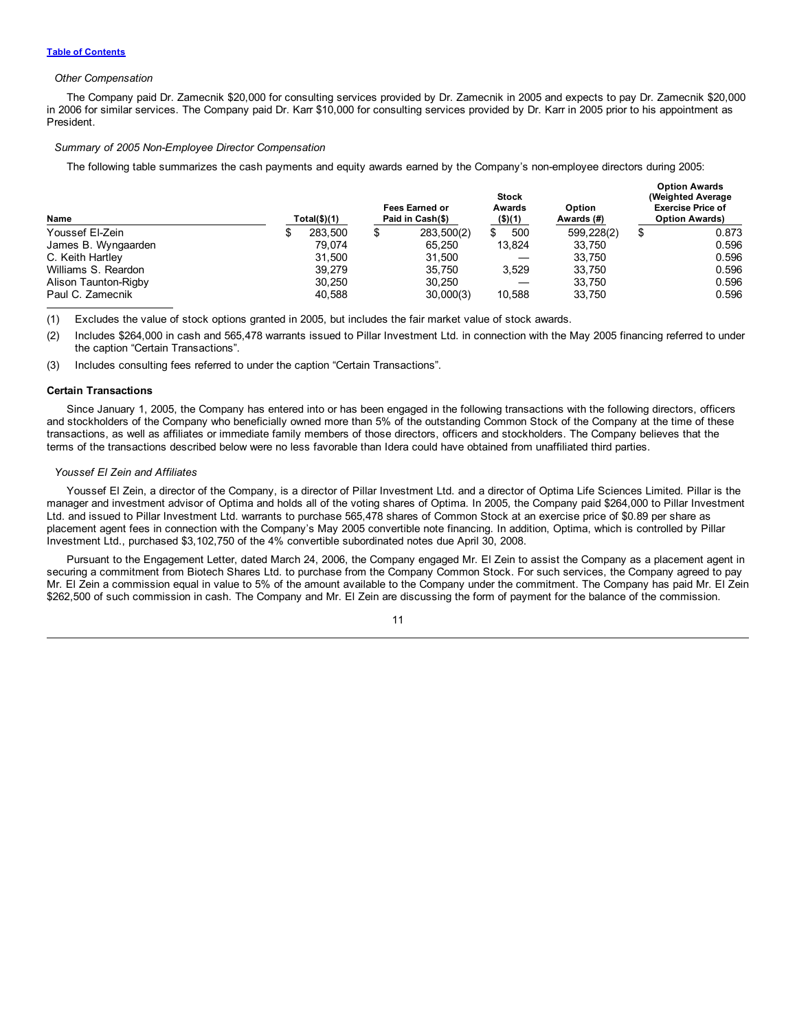#### *Other Compensation*

The Company paid Dr. Zamecnik \$20,000 for consulting services provided by Dr. Zamecnik in 2005 and expects to pay Dr. Zamecnik \$20,000 in 2006 for similar services. The Company paid Dr. Karr \$10,000 for consulting services provided by Dr. Karr in 2005 prior to his appointment as President.

**Option Awards**

#### *Summary of 2005 Non-Employee Director Compensation*

The following table summarizes the cash payments and equity awards earned by the Company's non-employee directors during 2005:

| Name                 | Total(\$)(1) |         | <b>Fees Earned or</b><br>Paid in Cash(\$) |            | <b>Stock</b><br>Awards<br>$($ \$)(1) |        | <b>Option</b><br>Awards (#) | <b>Uption Awards</b><br>(Weighted Average)<br><b>Exercise Price of</b><br><b>Option Awards)</b> |       |  |
|----------------------|--------------|---------|-------------------------------------------|------------|--------------------------------------|--------|-----------------------------|-------------------------------------------------------------------------------------------------|-------|--|
| Youssef El-Zein      |              | 283.500 |                                           | 283,500(2) | £.                                   | 500    | 599,228(2)                  |                                                                                                 | 0.873 |  |
| James B. Wyngaarden  |              | 79.074  |                                           | 65.250     |                                      | 13,824 | 33.750                      |                                                                                                 | 0.596 |  |
| C. Keith Hartley     |              | 31.500  |                                           | 31.500     |                                      |        | 33.750                      |                                                                                                 | 0.596 |  |
| Williams S. Reardon  |              | 39.279  |                                           | 35.750     |                                      | 3.529  | 33.750                      |                                                                                                 | 0.596 |  |
| Alison Taunton-Rigby |              | 30.250  |                                           | 30.250     |                                      |        | 33.750                      |                                                                                                 | 0.596 |  |
| Paul C. Zamecnik     |              | 40.588  |                                           | 30,000(3)  |                                      | 10,588 | 33.750                      |                                                                                                 | 0.596 |  |

(1) Excludes the value of stock options granted in 2005, but includes the fair market value of stock awards.

(2) Includes \$264,000 in cash and 565,478 warrants issued to Pillar Investment Ltd. in connection with the May 2005 financing referred to under the caption "Certain Transactions".

(3) Includes consulting fees referred to under the caption "Certain Transactions".

#### **Certain Transactions**

Since January 1, 2005, the Company has entered into or has been engaged in the following transactions with the following directors, officers and stockholders of the Company who beneficially owned more than 5% of the outstanding Common Stock of the Company at the time of these transactions, as well as affiliates or immediate family members of those directors, officers and stockholders. The Company believes that the terms of the transactions described below were no less favorable than Idera could have obtained from unaffiliated third parties.

# *Youssef El Zein and Affiliates*

Youssef El Zein, a director of the Company, is a director of Pillar Investment Ltd. and a director of Optima Life Sciences Limited. Pillar is the manager and investment advisor of Optima and holds all of the voting shares of Optima. In 2005, the Company paid \$264,000 to Pillar Investment Ltd. and issued to Pillar Investment Ltd. warrants to purchase 565,478 shares of Common Stock at an exercise price of \$0.89 per share as placement agent fees in connection with the Company's May 2005 convertible note financing. In addition, Optima, which is controlled by Pillar Investment Ltd., purchased \$3,102,750 of the 4% convertible subordinated notes due April 30, 2008.

Pursuant to the Engagement Letter, dated March 24, 2006, the Company engaged Mr. El Zein to assist the Company as a placement agent in securing a commitment from Biotech Shares Ltd. to purchase from the Company Common Stock. For such services, the Company agreed to pay Mr. El Zein a commission equal in value to 5% of the amount available to the Company under the commitment. The Company has paid Mr. El Zein \$262,500 of such commission in cash. The Company and Mr. El Zein are discussing the form of payment for the balance of the commission.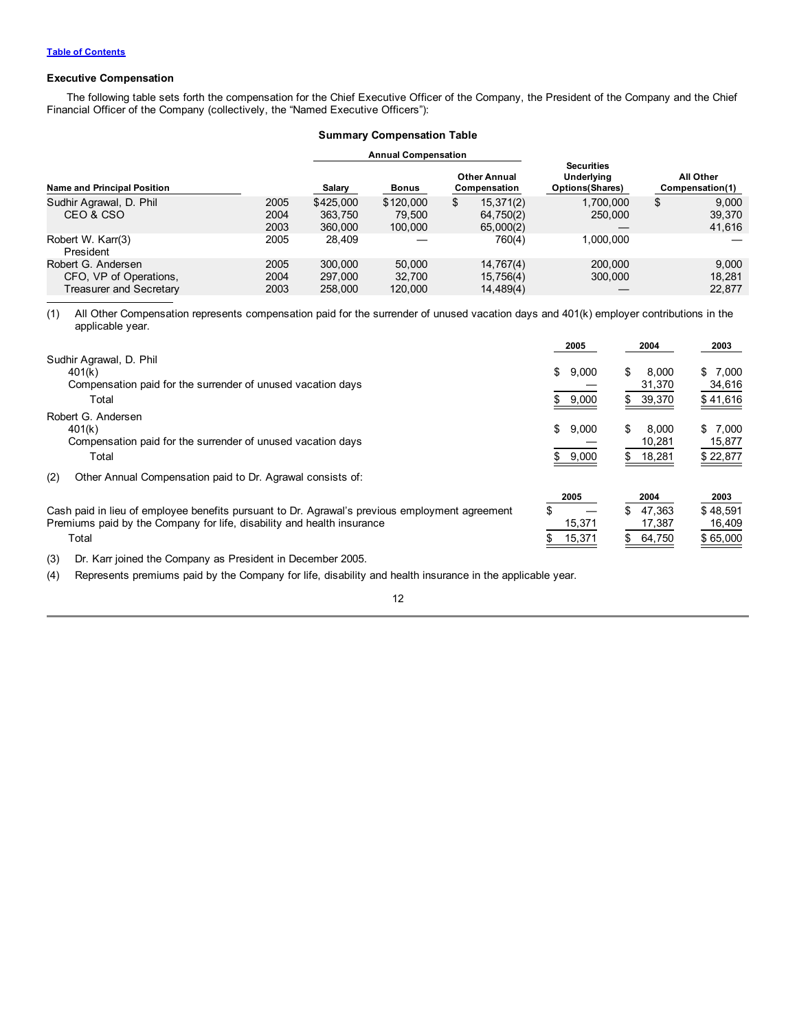# **Executive Compensation**

The following table sets forth the compensation for the Chief Executive Officer of the Company, the President of the Company and the Chief Financial Officer of the Company (collectively, the "Named Executive Officers"):

|  | <b>Summary Compensation Table</b> |  |
|--|-----------------------------------|--|
|--|-----------------------------------|--|

|                                                                         |                      |                                 | <b>Annual Compensation</b>     |    |                                     |                                                                   |                                 |
|-------------------------------------------------------------------------|----------------------|---------------------------------|--------------------------------|----|-------------------------------------|-------------------------------------------------------------------|---------------------------------|
| <b>Name and Principal Position</b>                                      |                      | Salary                          | <b>Bonus</b>                   |    | <b>Other Annual</b><br>Compensation | <b>Securities</b><br><b>Underlying</b><br><b>Options (Shares)</b> | All Other<br>Compensation(1)    |
| Sudhir Agrawal, D. Phil<br>CEO & CSO                                    | 2005<br>2004<br>2003 | \$425,000<br>363.750<br>360,000 | \$120,000<br>79.500<br>100,000 | \$ | 15,371(2)<br>64,750(2)<br>65,000(2) | 1.700.000<br>250,000                                              | \$<br>9,000<br>39,370<br>41,616 |
| Robert W. Karr(3)<br>President                                          | 2005                 | 28.409                          |                                |    | 760(4)                              | 1.000.000                                                         |                                 |
| Robert G. Andersen<br>CFO, VP of Operations,<br>Treasurer and Secretary | 2005<br>2004<br>2003 | 300,000<br>297,000<br>258,000   | 50,000<br>32.700<br>120,000    |    | 14,767(4)<br>15,756(4)<br>14,489(4) | 200,000<br>300,000                                                | 9,000<br>18,281<br>22.877       |

(1) All Other Compensation represents compensation paid for the surrender of unused vacation days and 401(k) employer contributions in the applicable year.

|                                                                                                | 2005        | 2004         | 2003     |
|------------------------------------------------------------------------------------------------|-------------|--------------|----------|
| Sudhir Agrawal, D. Phil                                                                        |             |              |          |
| 401(k)                                                                                         | \$<br>9,000 | \$<br>8.000  | \$7,000  |
| Compensation paid for the surrender of unused vacation days                                    |             | 31,370       | 34,616   |
| Total                                                                                          | 9,000       | 39,370<br>S. | \$41,616 |
| Robert G. Andersen                                                                             |             |              |          |
| 401(k)                                                                                         | \$<br>9,000 | \$<br>8.000  | \$7.000  |
| Compensation paid for the surrender of unused vacation days                                    |             | 10,281       | 15,877   |
| Total                                                                                          | 9,000       | 18,281<br>S. | \$22,877 |
| (2)<br>Other Annual Compensation paid to Dr. Agrawal consists of:                              |             |              |          |
|                                                                                                | 2005        | 2004         | 2003     |
| Cash paid in lieu of employee benefits pursuant to Dr. Agrawal's previous employment agreement | \$          | 47.363<br>S. | \$48.591 |
| Premiums paid by the Company for life, disability and health insurance                         | 15,371      | 17,387       | 16,409   |
| Total                                                                                          | 15,371      | 64,750<br>\$ | \$65,000 |

(3) Dr. Karr joined the Company as President in December 2005.

(4) Represents premiums paid by the Company for life, disability and health insurance in the applicable year.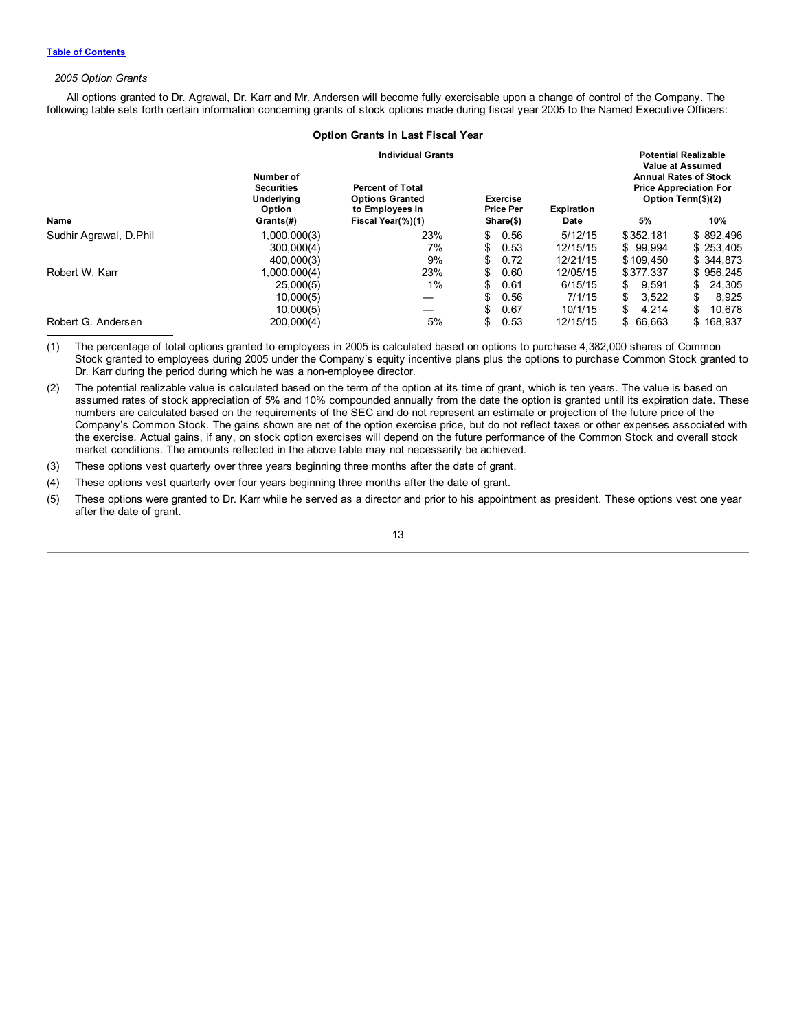# *2005 Option Grants*

All options granted to Dr. Agrawal, Dr. Karr and Mr. Andersen will become fully exercisable upon a change of control of the Company. The following table sets forth certain information concerning grants of stock options made during fiscal year 2005 to the Named Executive Officers:

|                        |                                                               | <b>Option Grants in Last Fiscal Year</b>                             |                                                  |      |                   |             |                                                                                                                |
|------------------------|---------------------------------------------------------------|----------------------------------------------------------------------|--------------------------------------------------|------|-------------------|-------------|----------------------------------------------------------------------------------------------------------------|
|                        |                                                               | <b>Individual Grants</b>                                             |                                                  |      |                   |             | <b>Potential Realizable</b>                                                                                    |
|                        | Number of<br><b>Securities</b><br><b>Underlying</b><br>Option | <b>Percent of Total</b><br><b>Options Granted</b><br>to Employees in | <b>Exercise</b><br><b>Price Per</b><br>Share(\$) |      | <b>Expiration</b> |             | <b>Value at Assumed</b><br><b>Annual Rates of Stock</b><br><b>Price Appreciation For</b><br>Option Term(\$)(2) |
| Name                   | Grants(#)                                                     | Fiscal Year(%)(1)                                                    |                                                  |      | Date              | 5%          | 10%                                                                                                            |
| Sudhir Agrawal, D.Phil | 1,000,000(3)                                                  | 23%                                                                  | \$                                               | 0.56 | 5/12/15           | \$352,181   | \$892,496                                                                                                      |
|                        | 300,000(4)                                                    | 7%                                                                   | \$                                               | 0.53 | 12/15/15          | \$99.994    | \$253,405                                                                                                      |
|                        | 400,000(3)                                                    | 9%                                                                   | \$                                               | 0.72 | 12/21/15          | \$109.450   | \$344,873                                                                                                      |
| Robert W. Karr         | 1,000,000(4)                                                  | 23%                                                                  | \$                                               | 0.60 | 12/05/15          | \$377.337   | \$956,245                                                                                                      |
|                        | 25,000(5)                                                     | $1\%$                                                                | \$                                               | 0.61 | 6/15/15           | \$<br>9.591 | 24,305<br>\$                                                                                                   |
|                        | 10,000(5)                                                     |                                                                      | \$                                               | 0.56 | 7/1/15            | \$<br>3.522 | S.<br>8,925                                                                                                    |
|                        | 10,000(5)                                                     |                                                                      | \$                                               | 0.67 | 10/1/15           | \$<br>4.214 | 10,678<br>S                                                                                                    |
| Robert G. Andersen     | 200,000(4)                                                    | 5%                                                                   | \$                                               | 0.53 | 12/15/15          | \$ 66,663   | \$168,937                                                                                                      |

(1) The percentage of total options granted to employees in 2005 is calculated based on options to purchase 4,382,000 shares of Common Stock granted to employees during 2005 under the Company's equity incentive plans plus the options to purchase Common Stock granted to Dr. Karr during the period during which he was a non-employee director.

(2) The potential realizable value is calculated based on the term of the option at its time of grant, which is ten years. The value is based on assumed rates of stock appreciation of 5% and 10% compounded annually from the date the option is granted until its expiration date. These numbers are calculated based on the requirements of the SEC and do not represent an estimate or projection of the future price of the Company's Common Stock. The gains shown are net of the option exercise price, but do not reflect taxes or other expenses associated with the exercise. Actual gains, if any, on stock option exercises will depend on the future performance of the Common Stock and overall stock market conditions. The amounts reflected in the above table may not necessarily be achieved.

(3) These options vest quarterly over three years beginning three months after the date of grant.

(4) These options vest quarterly over four years beginning three months after the date of grant.

(5) These options were granted to Dr. Karr while he served as a director and prior to his appointment as president. These options vest one year after the date of grant.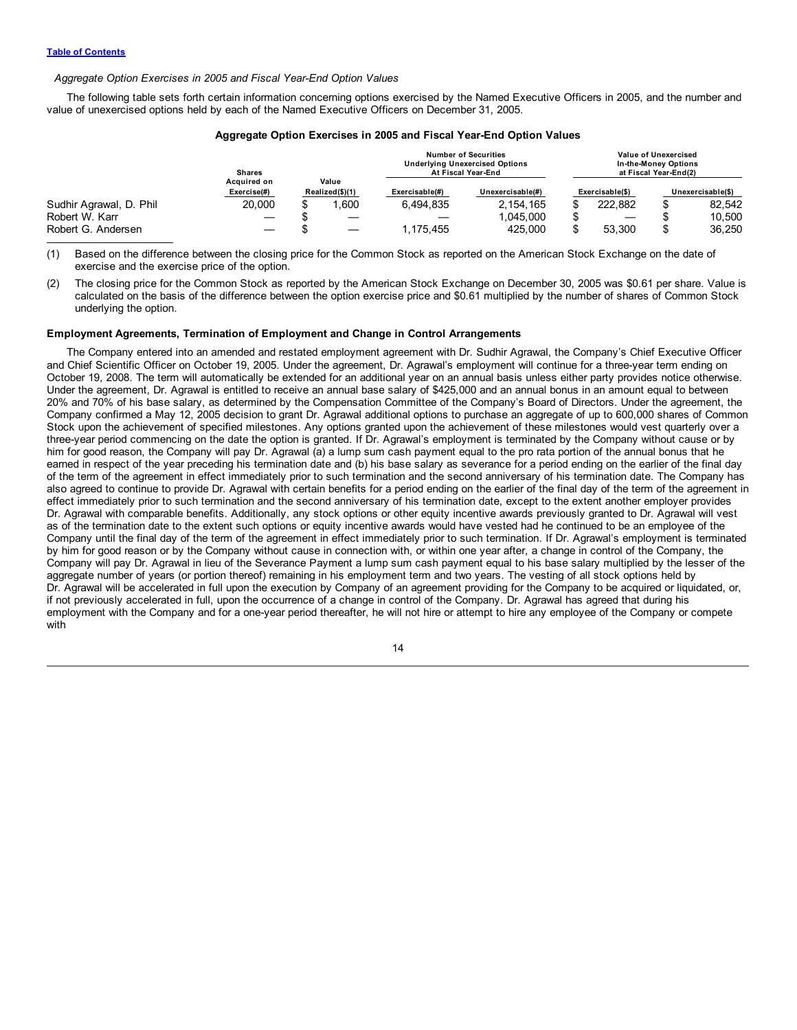## *Aggregate Option Exercises in 2005 and Fiscal Year-End Option Values*

The following table sets forth certain information concerning options exercised by the Named Executive Officers in 2005, and the number and value of unexercised options held by each of the Named Executive Officers on December 31, 2005.

|                         |                            |  |                          |                | $1.991$ value operate matches to the move aller though that matches and contracts          |                 |                                                                       |                   |
|-------------------------|----------------------------|--|--------------------------|----------------|--------------------------------------------------------------------------------------------|-----------------|-----------------------------------------------------------------------|-------------------|
|                         | <b>Shares</b>              |  |                          |                | <b>Number of Securities</b><br><b>Underlying Unexercised Options</b><br>At Fiscal Year-End |                 | Value of Unexercised<br>In-the-Money Options<br>at Fiscal Year-End(2) |                   |
|                         | Acauired on<br>Exercise(#) |  | Value<br>Realized(\$)(1) | Exercisable(#) | Unexercisable(#)                                                                           | Exercisable(\$) |                                                                       | Unexercisable(\$) |
| Sudhir Agrawal, D. Phil | 20,000                     |  | .600                     | 6.494.835      | 2, 154, 165                                                                                | 222.882         |                                                                       | 82.542            |
| Robert W. Karr          |                            |  |                          |                | 1.045.000                                                                                  |                 |                                                                       | 10.500            |
| Robert G. Andersen      |                            |  |                          | 1.175.455      | 425,000                                                                                    | 53.300          | æ                                                                     | 36.250            |

# **Aggregate Option Exercises in 2005 and Fiscal Year-End Option Values**

(1) Based on the difference between the closing price for the Common Stock as reported on the American Stock Exchange on the date of exercise and the exercise price of the option.

(2) The closing price for the Common Stock as reported by the American Stock Exchange on December 30, 2005 was \$0.61 per share. Value is calculated on the basis of the difference between the option exercise price and \$0.61 multiplied by the number of shares of Common Stock underlying the option.

## **Employment Agreements, Termination of Employment and Change in Control Arrangements**

The Company entered into an amended and restated employment agreement with Dr. Sudhir Agrawal, the Company's Chief Executive Officer and Chief Scientific Officer on October 19, 2005. Under the agreement, Dr. Agrawal's employment will continue for a three-year term ending on October 19, 2008. The term will automatically be extended for an additional year on an annual basis unless either party provides notice otherwise. Under the agreement, Dr. Agrawal is entitled to receive an annual base salary of \$425,000 and an annual bonus in an amount equal to between 20% and 70% of his base salary, as determined by the Compensation Committee of the Company's Board of Directors. Under the agreement, the Company confirmed a May 12, 2005 decision to grant Dr. Agrawal additional options to purchase an aggregate of up to 600,000 shares of Common Stock upon the achievement of specified milestones. Any options granted upon the achievement of these milestones would vest quarterly over a three-year period commencing on the date the option is granted. If Dr. Agrawal's employment is terminated by the Company without cause or by him for good reason, the Company will pay Dr. Agrawal (a) a lump sum cash payment equal to the pro rata portion of the annual bonus that he earned in respect of the year preceding his termination date and (b) his base salary as severance for a period ending on the earlier of the final day of the term of the agreement in effect immediately prior to such termination and the second anniversary of his termination date. The Company has also agreed to continue to provide Dr. Agrawal with certain benefits for a period ending on the earlier of the final day of the term of the agreement in effect immediately prior to such termination and the second anniversary of his termination date, except to the extent another employer provides Dr. Agrawal with comparable benefits. Additionally, any stock options or other equity incentive awards previously granted to Dr. Agrawal will vest as of the termination date to the extent such options or equity incentive awards would have vested had he continued to be an employee of the Company until the final day of the term of the agreement in effect immediately prior to such termination. If Dr. Agrawal's employment is terminated by him for good reason or by the Company without cause in connection with, or within one year after, a change in control of the Company, the Company will pay Dr. Agrawal in lieu of the Severance Payment a lump sum cash payment equal to his base salary multiplied by the lesser of the aggregate number of years (or portion thereof) remaining in his employment term and two years. The vesting of all stock options held by Dr. Agrawal will be accelerated in full upon the execution by Company of an agreement providing for the Company to be acquired or liquidated, or, if not previously accelerated in full, upon the occurrence of a change in control of the Company. Dr. Agrawal has agreed that during his employment with the Company and for a one-year period thereafter, he will not hire or attempt to hire any employee of the Company or compete with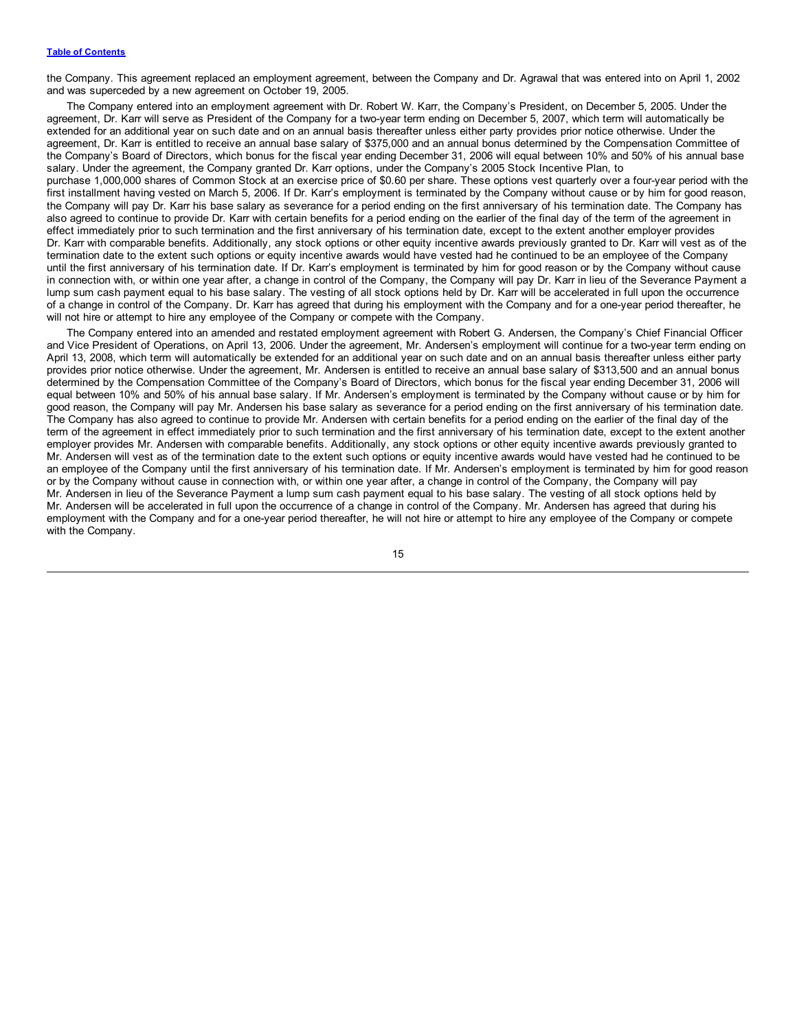the Company. This agreement replaced an employment agreement, between the Company and Dr. Agrawal that was entered into on April 1, 2002 and was superceded by a new agreement on October 19, 2005.

The Company entered into an employment agreement with Dr. Robert W. Karr, the Company's President, on December 5, 2005. Under the agreement, Dr. Karr will serve as President of the Company for a two-year term ending on December 5, 2007, which term will automatically be extended for an additional year on such date and on an annual basis thereafter unless either party provides prior notice otherwise. Under the agreement, Dr. Karr is entitled to receive an annual base salary of \$375,000 and an annual bonus determined by the Compensation Committee of the Company's Board of Directors, which bonus for the fiscal year ending December 31, 2006 will equal between 10% and 50% of his annual base salary. Under the agreement, the Company granted Dr. Karr options, under the Company's 2005 Stock Incentive Plan, to purchase 1,000,000 shares of Common Stock at an exercise price of \$0.60 per share. These options vest quarterly over a four-year period with the first installment having vested on March 5, 2006. If Dr. Karr's employment is terminated by the Company without cause or by him for good reason, the Company will pay Dr. Karr his base salary as severance for a period ending on the first anniversary of his termination date. The Company has also agreed to continue to provide Dr. Karr with certain benefits for a period ending on the earlier of the final day of the term of the agreement in effect immediately prior to such termination and the first anniversary of his termination date, except to the extent another employer provides Dr. Karr with comparable benefits. Additionally, any stock options or other equity incentive awards previously granted to Dr. Karr will vest as of the termination date to the extent such options or equity incentive awards would have vested had he continued to be an employee of the Company until the first anniversary of his termination date. If Dr. Karr's employment is terminated by him for good reason or by the Company without cause in connection with, or within one year after, a change in control of the Company, the Company will pay Dr. Karr in lieu of the Severance Payment a lump sum cash payment equal to his base salary. The vesting of all stock options held by Dr. Karr will be accelerated in full upon the occurrence of a change in control of the Company. Dr. Karr has agreed that during his employment with the Company and for a one-year period thereafter, he will not hire or attempt to hire any employee of the Company or compete with the Company.

The Company entered into an amended and restated employment agreement with Robert G. Andersen, the Company's Chief Financial Officer and Vice President of Operations, on April 13, 2006. Under the agreement, Mr. Andersen's employment will continue for a two-year term ending on April 13, 2008, which term will automatically be extended for an additional year on such date and on an annual basis thereafter unless either party provides prior notice otherwise. Under the agreement, Mr. Andersen is entitled to receive an annual base salary of \$313,500 and an annual bonus determined by the Compensation Committee of the Company's Board of Directors, which bonus for the fiscal year ending December 31, 2006 will equal between 10% and 50% of his annual base salary. If Mr. Andersen's employment is terminated by the Company without cause or by him for good reason, the Company will pay Mr. Andersen his base salary as severance for a period ending on the first anniversary of his termination date. The Company has also agreed to continue to provide Mr. Andersen with certain benefits for a period ending on the earlier of the final day of the term of the agreement in effect immediately prior to such termination and the first anniversary of his termination date, except to the extent another employer provides Mr. Andersen with comparable benefits. Additionally, any stock options or other equity incentive awards previously granted to Mr. Andersen will vest as of the termination date to the extent such options or equity incentive awards would have vested had he continued to be an employee of the Company until the first anniversary of his termination date. If Mr. Andersen's employment is terminated by him for good reason or by the Company without cause in connection with, or within one year after, a change in control of the Company, the Company will pay Mr. Andersen in lieu of the Severance Payment a lump sum cash payment equal to his base salary. The vesting of all stock options held by Mr. Andersen will be accelerated in full upon the occurrence of a change in control of the Company. Mr. Andersen has agreed that during his employment with the Company and for a one-year period thereafter, he will not hire or attempt to hire any employee of the Company or compete with the Company.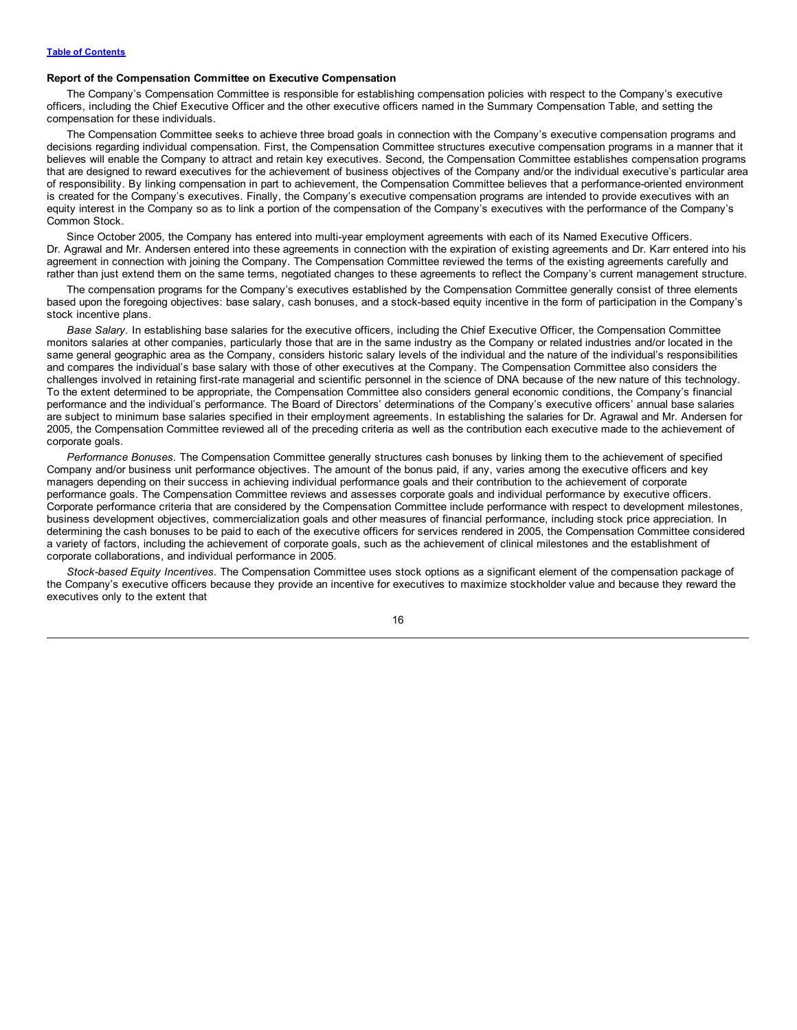## **Report of the Compensation Committee on Executive Compensation**

The Company's Compensation Committee is responsible for establishing compensation policies with respect to the Company's executive officers, including the Chief Executive Officer and the other executive officers named in the Summary Compensation Table, and setting the compensation for these individuals.

The Compensation Committee seeks to achieve three broad goals in connection with the Company's executive compensation programs and decisions regarding individual compensation. First, the Compensation Committee structures executive compensation programs in a manner that it believes will enable the Company to attract and retain key executives. Second, the Compensation Committee establishes compensation programs that are designed to reward executives for the achievement of business objectives of the Company and/or the individual executive's particular area of responsibility. By linking compensation in part to achievement, the Compensation Committee believes that a performance-oriented environment is created for the Company's executives. Finally, the Company's executive compensation programs are intended to provide executives with an equity interest in the Company so as to link a portion of the compensation of the Company's executives with the performance of the Company's Common Stock.

Since October 2005, the Company has entered into multi-year employment agreements with each of its Named Executive Officers. Dr. Agrawal and Mr. Andersen entered into these agreements in connection with the expiration of existing agreements and Dr. Karr entered into his agreement in connection with joining the Company. The Compensation Committee reviewed the terms of the existing agreements carefully and rather than just extend them on the same terms, negotiated changes to these agreements to reflect the Company's current management structure.

The compensation programs for the Company's executives established by the Compensation Committee generally consist of three elements based upon the foregoing objectives: base salary, cash bonuses, and a stock-based equity incentive in the form of participation in the Company's stock incentive plans.

*Base Salary.* In establishing base salaries for the executive officers, including the Chief Executive Officer, the Compensation Committee monitors salaries at other companies, particularly those that are in the same industry as the Company or related industries and/or located in the same general geographic area as the Company, considers historic salary levels of the individual and the nature of the individual's responsibilities and compares the individual's base salary with those of other executives at the Company. The Compensation Committee also considers the challenges involved in retaining first-rate managerial and scientific personnel in the science of DNA because of the new nature of this technology. To the extent determined to be appropriate, the Compensation Committee also considers general economic conditions, the Company's financial performance and the individual's performance. The Board of Directors' determinations of the Company's executive officers' annual base salaries are subject to minimum base salaries specified in their employment agreements. In establishing the salaries for Dr. Agrawal and Mr. Andersen for 2005, the Compensation Committee reviewed all of the preceding criteria as well as the contribution each executive made to the achievement of corporate goals.

*Performance Bonuses.* The Compensation Committee generally structures cash bonuses by linking them to the achievement of specified Company and/or business unit performance objectives. The amount of the bonus paid, if any, varies among the executive officers and key managers depending on their success in achieving individual performance goals and their contribution to the achievement of corporate performance goals. The Compensation Committee reviews and assesses corporate goals and individual performance by executive officers. Corporate performance criteria that are considered by the Compensation Committee include performance with respect to development milestones, business development objectives, commercialization goals and other measures of financial performance, including stock price appreciation. In determining the cash bonuses to be paid to each of the executive officers for services rendered in 2005, the Compensation Committee considered a variety of factors, including the achievement of corporate goals, such as the achievement of clinical milestones and the establishment of corporate collaborations, and individual performance in 2005.

*Stock-based Equity Incentives.* The Compensation Committee uses stock options as a significant element of the compensation package of the Company's executive officers because they provide an incentive for executives to maximize stockholder value and because they reward the executives only to the extent that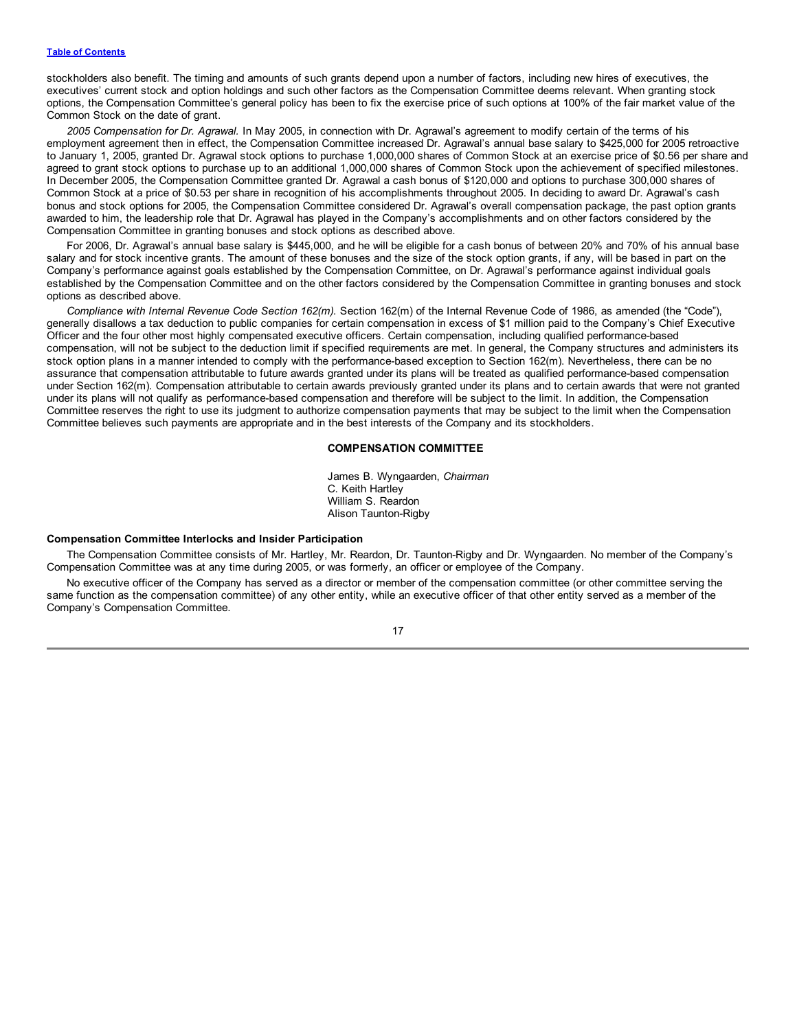stockholders also benefit. The timing and amounts of such grants depend upon a number of factors, including new hires of executives, the executives' current stock and option holdings and such other factors as the Compensation Committee deems relevant. When granting stock options, the Compensation Committee's general policy has been to fix the exercise price of such options at 100% of the fair market value of the Common Stock on the date of grant.

*2005 Compensation for Dr. Agrawal.* In May 2005, in connection with Dr. Agrawal's agreement to modify certain of the terms of his employment agreement then in effect, the Compensation Committee increased Dr. Agrawal's annual base salary to \$425,000 for 2005 retroactive to January 1, 2005, granted Dr. Agrawal stock options to purchase 1,000,000 shares of Common Stock at an exercise price of \$0.56 per share and agreed to grant stock options to purchase up to an additional 1,000,000 shares of Common Stock upon the achievement of specified milestones. In December 2005, the Compensation Committee granted Dr. Agrawal a cash bonus of \$120,000 and options to purchase 300,000 shares of Common Stock at a price of \$0.53 per share in recognition of his accomplishments throughout 2005. In deciding to award Dr. Agrawal's cash bonus and stock options for 2005, the Compensation Committee considered Dr. Agrawal's overall compensation package, the past option grants awarded to him, the leadership role that Dr. Agrawal has played in the Company's accomplishments and on other factors considered by the Compensation Committee in granting bonuses and stock options as described above.

For 2006, Dr. Agrawal's annual base salary is \$445,000, and he will be eligible for a cash bonus of between 20% and 70% of his annual base salary and for stock incentive grants. The amount of these bonuses and the size of the stock option grants, if any, will be based in part on the Company's performance against goals established by the Compensation Committee, on Dr. Agrawal's performance against individual goals established by the Compensation Committee and on the other factors considered by the Compensation Committee in granting bonuses and stock options as described above.

*Compliance with Internal Revenue Code Section 162(m).* Section 162(m) of the Internal Revenue Code of 1986, as amended (the "Code"), generally disallows a tax deduction to public companies for certain compensation in excess of \$1 million paid to the Company's Chief Executive Officer and the four other most highly compensated executive officers. Certain compensation, including qualified performance-based compensation, will not be subject to the deduction limit if specified requirements are met. In general, the Company structures and administers its stock option plans in a manner intended to comply with the performance-based exception to Section 162(m). Nevertheless, there can be no assurance that compensation attributable to future awards granted under its plans will be treated as qualified performance-based compensation under Section 162(m). Compensation attributable to certain awards previously granted under its plans and to certain awards that were not granted under its plans will not qualify as performance-based compensation and therefore will be subject to the limit. In addition, the Compensation Committee reserves the right to use its judgment to authorize compensation payments that may be subject to the limit when the Compensation Committee believes such payments are appropriate and in the best interests of the Company and its stockholders.

# **COMPENSATION COMMITTEE**

James B. Wyngaarden, *Chairman* C. Keith Hartley William S. Reardon Alison Taunton-Rigby

#### **Compensation Committee Interlocks and Insider Participation**

The Compensation Committee consists of Mr. Hartley, Mr. Reardon, Dr. Taunton-Rigby and Dr. Wyngaarden. No member of the Company's Compensation Committee was at any time during 2005, or was formerly, an officer or employee of the Company.

No executive officer of the Company has served as a director or member of the compensation committee (or other committee serving the same function as the compensation committee) of any other entity, while an executive officer of that other entity served as a member of the Company's Compensation Committee.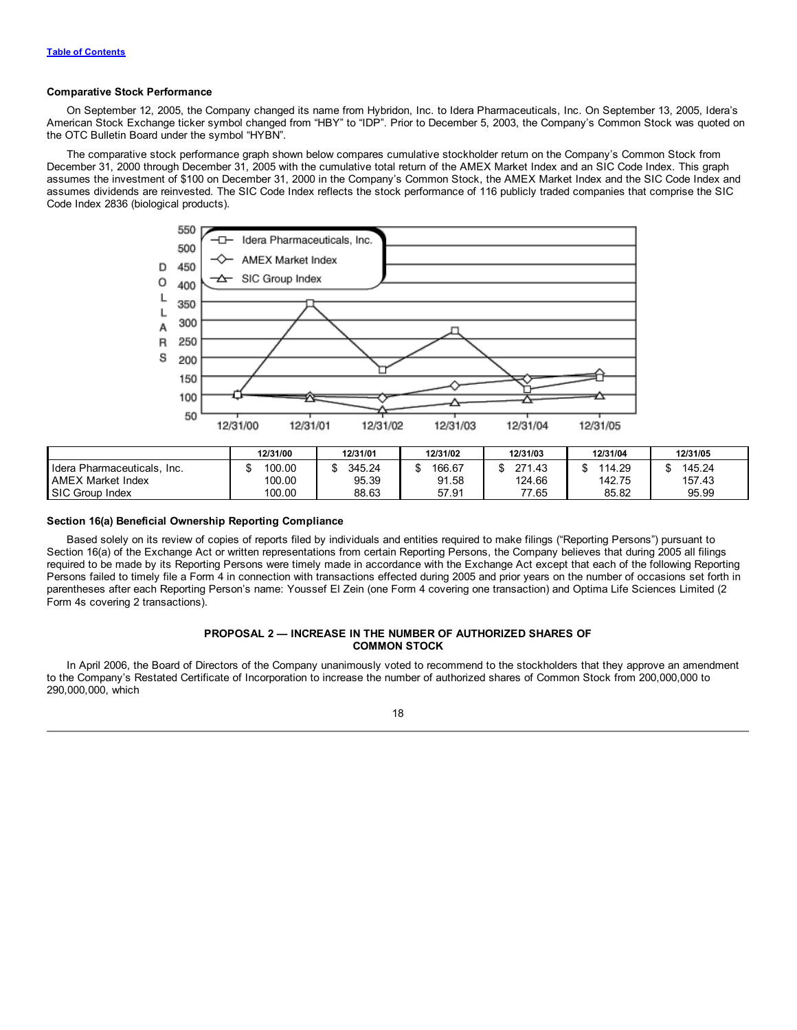## <span id="page-21-0"></span>**Comparative Stock Performance**

On September 12, 2005, the Company changed its name from Hybridon, Inc. to Idera Pharmaceuticals, Inc. On September 13, 2005, Idera's American Stock Exchange ticker symbol changed from "HBY" to "IDP". Prior to December 5, 2003, the Company's Common Stock was quoted on the OTC Bulletin Board under the symbol "HYBN".

The comparative stock performance graph shown below compares cumulative stockholder return on the Company's Common Stock from December 31, 2000 through December 31, 2005 with the cumulative total return of the AMEX Market Index and an SIC Code Index. This graph assumes the investment of \$100 on December 31, 2000 in the Company's Common Stock, the AMEX Market Index and the SIC Code Index and assumes dividends are reinvested. The SIC Code Index reflects the stock performance of 116 publicly traded companies that comprise the SIC Code Index 2836 (biological products).



|                                     | 12/31/00 | 12/31/01 | 12/31/02 | 12/31/03    | 12/31/04 | 12/31/05 |
|-------------------------------------|----------|----------|----------|-------------|----------|----------|
| Idera<br>เ Pharmaceuticals.<br>Inc. | 100.00   | 345.24   | 166.67   | 271<br>1.43 | 114.29   | 145.24   |
| <b>AMEX Market Index</b>            | 100.00   | 95.39    | 91.58    | 124.66      | 142.75   | 157.43   |
| SIC Group Index                     | 100.00   | 88.63    | 57.91    | 77.65       | 85.82    | 95.99    |

## **Section 16(a) Beneficial Ownership Reporting Compliance**

Based solely on its review of copies of reports filed by individuals and entities required to make filings ("Reporting Persons") pursuant to Section 16(a) of the Exchange Act or written representations from certain Reporting Persons, the Company believes that during 2005 all filings required to be made by its Reporting Persons were timely made in accordance with the Exchange Act except that each of the following Reporting Persons failed to timely file a Form 4 in connection with transactions effected during 2005 and prior years on the number of occasions set forth in parentheses after each Reporting Person's name: Youssef El Zein (one Form 4 covering one transaction) and Optima Life Sciences Limited (2 Form 4s covering 2 transactions).

# **PROPOSAL 2 — INCREASE IN THE NUMBER OF AUTHORIZED SHARES OF COMMON STOCK**

In April 2006, the Board of Directors of the Company unanimously voted to recommend to the stockholders that they approve an amendment to the Company's Restated Certificate of Incorporation to increase the number of authorized shares of Common Stock from 200,000,000 to 290,000,000, which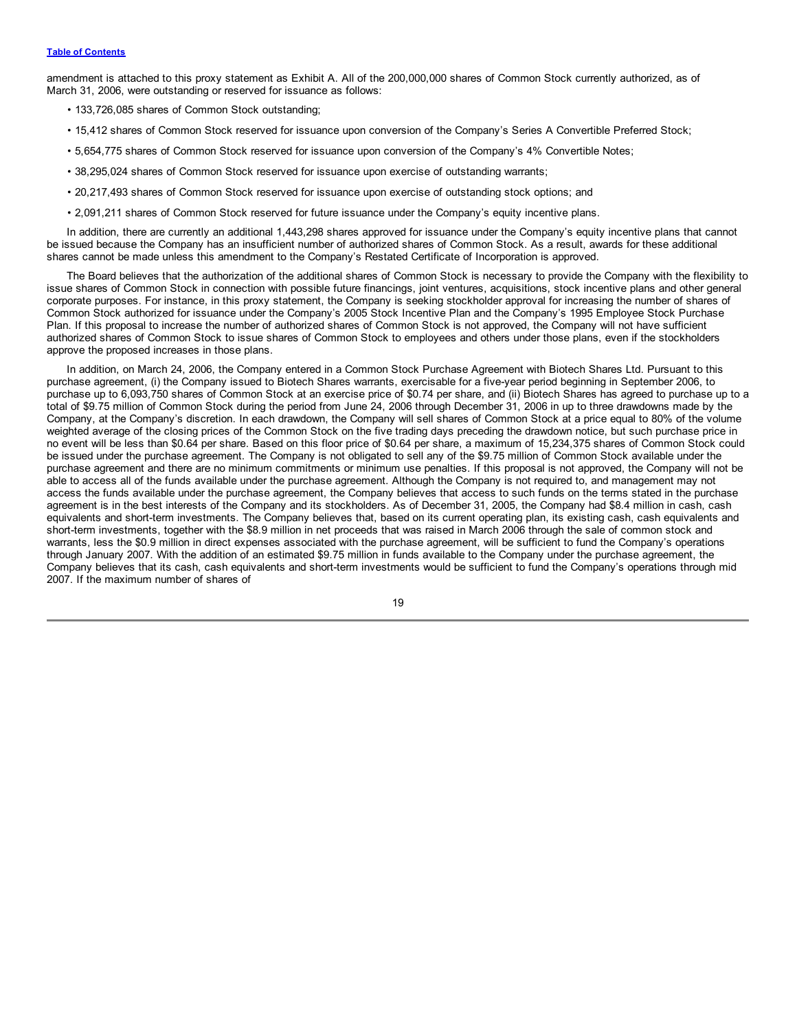amendment is attached to this proxy statement as Exhibit A. All of the 200,000,000 shares of Common Stock currently authorized, as of March 31, 2006, were outstanding or reserved for issuance as follows:

- 133,726,085 shares of Common Stock outstanding;
- 15,412 shares of Common Stock reserved for issuance upon conversion of the Company's Series A Convertible Preferred Stock;
- 5,654,775 shares of Common Stock reserved for issuance upon conversion of the Company's 4% Convertible Notes;
- 38,295,024 shares of Common Stock reserved for issuance upon exercise of outstanding warrants;
- 20,217,493 shares of Common Stock reserved for issuance upon exercise of outstanding stock options; and
- 2,091,211 shares of Common Stock reserved for future issuance under the Company's equity incentive plans.

In addition, there are currently an additional 1,443,298 shares approved for issuance under the Company's equity incentive plans that cannot be issued because the Company has an insufficient number of authorized shares of Common Stock. As a result, awards for these additional shares cannot be made unless this amendment to the Company's Restated Certificate of Incorporation is approved.

The Board believes that the authorization of the additional shares of Common Stock is necessary to provide the Company with the flexibility to issue shares of Common Stock in connection with possible future financings, joint ventures, acquisitions, stock incentive plans and other general corporate purposes. For instance, in this proxy statement, the Company is seeking stockholder approval for increasing the number of shares of Common Stock authorized for issuance under the Company's 2005 Stock Incentive Plan and the Company's 1995 Employee Stock Purchase Plan. If this proposal to increase the number of authorized shares of Common Stock is not approved, the Company will not have sufficient authorized shares of Common Stock to issue shares of Common Stock to employees and others under those plans, even if the stockholders approve the proposed increases in those plans.

In addition, on March 24, 2006, the Company entered in a Common Stock Purchase Agreement with Biotech Shares Ltd. Pursuant to this purchase agreement, (i) the Company issued to Biotech Shares warrants, exercisable for a five-year period beginning in September 2006, to purchase up to 6,093,750 shares of Common Stock at an exercise price of \$0.74 per share, and (ii) Biotech Shares has agreed to purchase up to a total of \$9.75 million of Common Stock during the period from June 24, 2006 through December 31, 2006 in up to three drawdowns made by the Company, at the Company's discretion. In each drawdown, the Company will sell shares of Common Stock at a price equal to 80% of the volume weighted average of the closing prices of the Common Stock on the five trading days preceding the drawdown notice, but such purchase price in no event will be less than \$0.64 per share. Based on this floor price of \$0.64 per share, a maximum of 15,234,375 shares of Common Stock could be issued under the purchase agreement. The Company is not obligated to sell any of the \$9.75 million of Common Stock available under the purchase agreement and there are no minimum commitments or minimum use penalties. If this proposal is not approved, the Company will not be able to access all of the funds available under the purchase agreement. Although the Company is not required to, and management may not access the funds available under the purchase agreement, the Company believes that access to such funds on the terms stated in the purchase agreement is in the best interests of the Company and its stockholders. As of December 31, 2005, the Company had \$8.4 million in cash, cash equivalents and short-term investments. The Company believes that, based on its current operating plan, its existing cash, cash equivalents and short-term investments, together with the \$8.9 million in net proceeds that was raised in March 2006 through the sale of common stock and warrants, less the \$0.9 million in direct expenses associated with the purchase agreement, will be sufficient to fund the Company's operations through January 2007. With the addition of an estimated \$9.75 million in funds available to the Company under the purchase agreement, the Company believes that its cash, cash equivalents and short-term investments would be sufficient to fund the Company's operations through mid 2007. If the maximum number of shares of

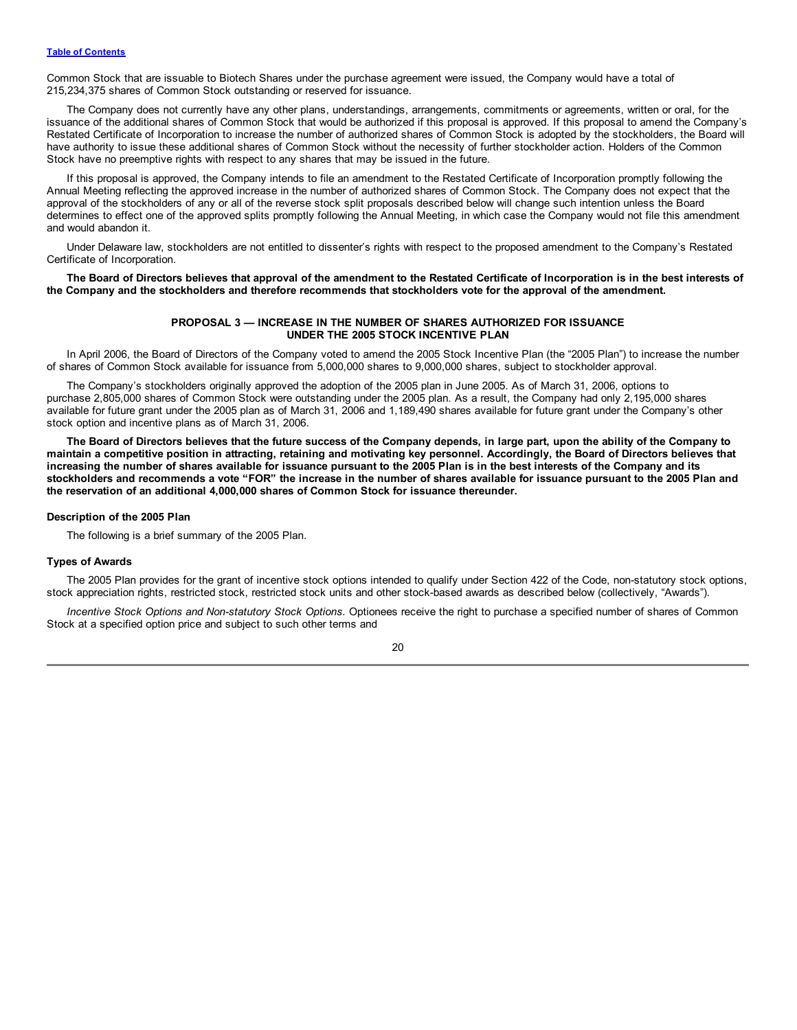<span id="page-23-0"></span>Common Stock that are issuable to Biotech Shares under the purchase agreement were issued, the Company would have a total of 215,234,375 shares of Common Stock outstanding or reserved for issuance.

The Company does not currently have any other plans, understandings, arrangements, commitments or agreements, written or oral, for the issuance of the additional shares of Common Stock that would be authorized if this proposal is approved. If this proposal to amend the Company's Restated Certificate of Incorporation to increase the number of authorized shares of Common Stock is adopted by the stockholders, the Board will have authority to issue these additional shares of Common Stock without the necessity of further stockholder action. Holders of the Common Stock have no preemptive rights with respect to any shares that may be issued in the future.

If this proposal is approved, the Company intends to file an amendment to the Restated Certificate of Incorporation promptly following the Annual Meeting reflecting the approved increase in the number of authorized shares of Common Stock. The Company does not expect that the approval of the stockholders of any or all of the reverse stock split proposals described below will change such intention unless the Board determines to effect one of the approved splits promptly following the Annual Meeting, in which case the Company would not file this amendment and would abandon it.

Under Delaware law, stockholders are not entitled to dissenter's rights with respect to the proposed amendment to the Company's Restated Certificate of Incorporation.

The Board of Directors believes that approval of the amendment to the Restated Certificate of Incorporation is in the best interests of the Company and the stockholders and therefore recommends that stockholders vote for the approval of the amendment.

# **PROPOSAL 3 — INCREASE IN THE NUMBER OF SHARES AUTHORIZED FOR ISSUANCE UNDER THE 2005 STOCK INCENTIVE PLAN**

In April 2006, the Board of Directors of the Company voted to amend the 2005 Stock Incentive Plan (the "2005 Plan") to increase the number of shares of Common Stock available for issuance from 5,000,000 shares to 9,000,000 shares, subject to stockholder approval.

The Company's stockholders originally approved the adoption of the 2005 plan in June 2005. As of March 31, 2006, options to purchase 2,805,000 shares of Common Stock were outstanding under the 2005 plan. As a result, the Company had only 2,195,000 shares available for future grant under the 2005 plan as of March 31, 2006 and 1,189,490 shares available for future grant under the Company's other stock option and incentive plans as of March 31, 2006.

The Board of Directors believes that the future success of the Company depends, in large part, upon the ability of the Company to maintain a competitive position in attracting, retaining and motivating key personnel. Accordingly, the Board of Directors believes that increasing the number of shares available for issuance pursuant to the 2005 Plan is in the best interests of the Company and its stockholders and recommends a vote "FOR" the increase in the number of shares available for issuance pursuant to the 2005 Plan and **the reservation of an additional 4,000,000 shares of Common Stock for issuance thereunder.**

#### **Description of the 2005 Plan**

The following is a brief summary of the 2005 Plan.

# **Types of Awards**

The 2005 Plan provides for the grant of incentive stock options intended to qualify under Section 422 of the Code, non-statutory stock options, stock appreciation rights, restricted stock, restricted stock units and other stock-based awards as described below (collectively, "Awards").

*Incentive Stock Options and Non-statutory Stock Options.* Optionees receive the right to purchase a specified number of shares of Common Stock at a specified option price and subject to such other terms and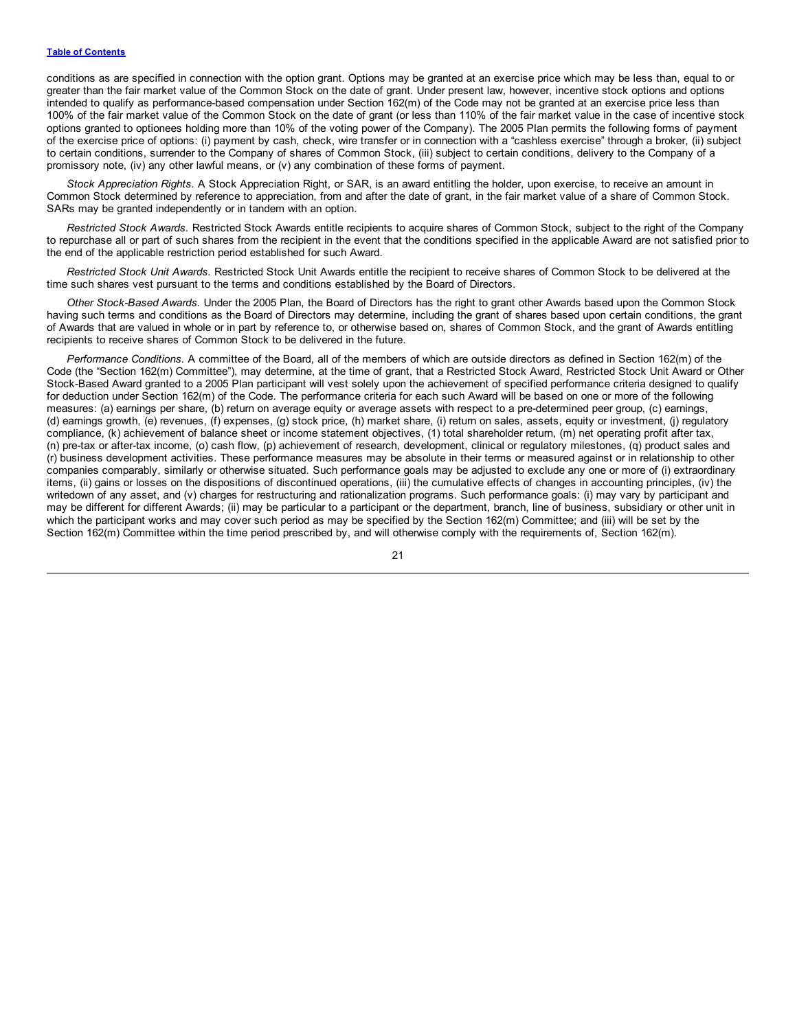conditions as are specified in connection with the option grant. Options may be granted at an exercise price which may be less than, equal to or greater than the fair market value of the Common Stock on the date of grant. Under present law, however, incentive stock options and options intended to qualify as performance-based compensation under Section 162(m) of the Code may not be granted at an exercise price less than 100% of the fair market value of the Common Stock on the date of grant (or less than 110% of the fair market value in the case of incentive stock options granted to optionees holding more than 10% of the voting power of the Company). The 2005 Plan permits the following forms of payment of the exercise price of options: (i) payment by cash, check, wire transfer or in connection with a "cashless exercise" through a broker, (ii) subject to certain conditions, surrender to the Company of shares of Common Stock, (iii) subject to certain conditions, delivery to the Company of a promissory note, (iv) any other lawful means, or (v) any combination of these forms of payment.

*Stock Appreciation Rights.* A Stock Appreciation Right, or SAR, is an award entitling the holder, upon exercise, to receive an amount in Common Stock determined by reference to appreciation, from and after the date of grant, in the fair market value of a share of Common Stock. SARs may be granted independently or in tandem with an option.

*Restricted Stock Awards.* Restricted Stock Awards entitle recipients to acquire shares of Common Stock, subject to the right of the Company to repurchase all or part of such shares from the recipient in the event that the conditions specified in the applicable Award are not satisfied prior to the end of the applicable restriction period established for such Award.

*Restricted Stock Unit Awards.* Restricted Stock Unit Awards entitle the recipient to receive shares of Common Stock to be delivered at the time such shares vest pursuant to the terms and conditions established by the Board of Directors.

*Other Stock-Based Awards.* Under the 2005 Plan, the Board of Directors has the right to grant other Awards based upon the Common Stock having such terms and conditions as the Board of Directors may determine, including the grant of shares based upon certain conditions, the grant of Awards that are valued in whole or in part by reference to, or otherwise based on, shares of Common Stock, and the grant of Awards entitling recipients to receive shares of Common Stock to be delivered in the future.

*Performance Conditions.* A committee of the Board, all of the members of which are outside directors as defined in Section 162(m) of the Code (the "Section 162(m) Committee"), may determine, at the time of grant, that a Restricted Stock Award, Restricted Stock Unit Award or Other Stock-Based Award granted to a 2005 Plan participant will vest solely upon the achievement of specified performance criteria designed to qualify for deduction under Section 162(m) of the Code. The performance criteria for each such Award will be based on one or more of the following measures: (a) earnings per share, (b) return on average equity or average assets with respect to a pre-determined peer group, (c) earnings, (d) earnings growth, (e) revenues, (f) expenses, (g) stock price, (h) market share, (i) return on sales, assets, equity or investment, (j) regulatory compliance, (k) achievement of balance sheet or income statement objectives, (1) total shareholder return, (m) net operating profit after tax, (n) pre-tax or after-tax income, (o) cash flow, (p) achievement of research, development, clinical or regulatory milestones, (q) product sales and (r) business development activities. These performance measures may be absolute in their terms or measured against or in relationship to other companies comparably, similarly or otherwise situated. Such performance goals may be adjusted to exclude any one or more of (i) extraordinary items, (ii) gains or losses on the dispositions of discontinued operations, (iii) the cumulative effects of changes in accounting principles, (iv) the writedown of any asset, and (v) charges for restructuring and rationalization programs. Such performance goals: (i) may vary by participant and may be different for different Awards; (ii) may be particular to a participant or the department, branch, line of business, subsidiary or other unit in which the participant works and may cover such period as may be specified by the Section 162(m) Committee; and (iii) will be set by the Section 162(m) Committee within the time period prescribed by, and will otherwise comply with the requirements of, Section 162(m).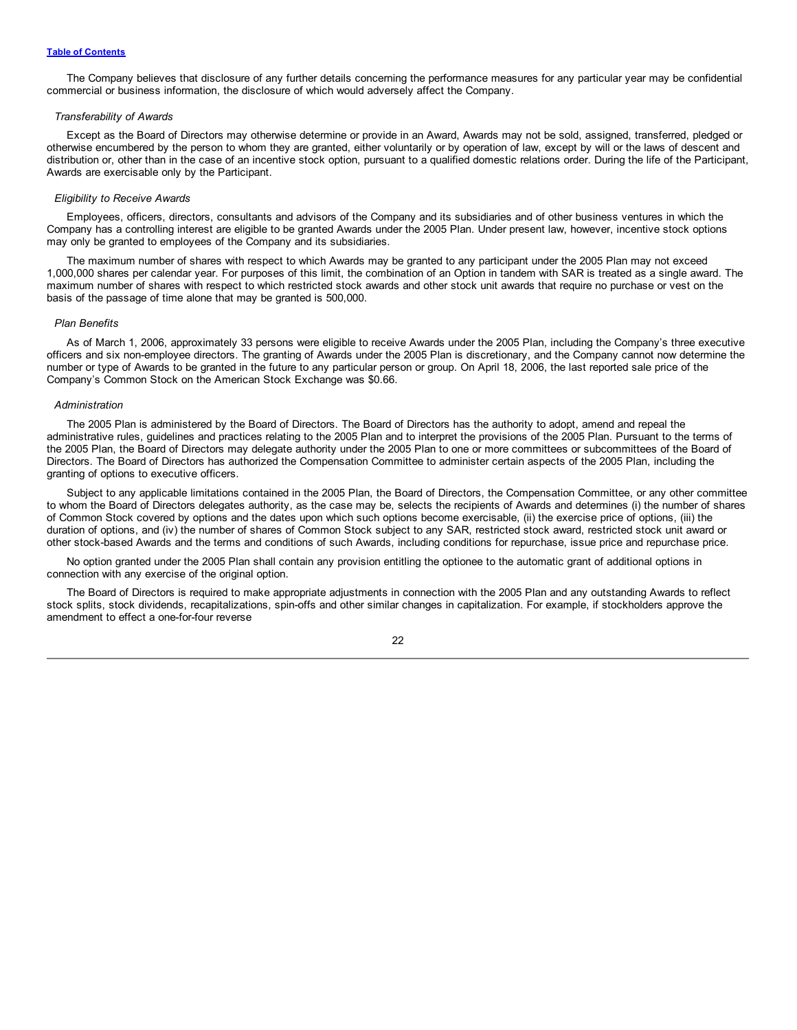The Company believes that disclosure of any further details concerning the performance measures for any particular year may be confidential commercial or business information, the disclosure of which would adversely affect the Company.

#### *Transferability of Awards*

Except as the Board of Directors may otherwise determine or provide in an Award, Awards may not be sold, assigned, transferred, pledged or otherwise encumbered by the person to whom they are granted, either voluntarily or by operation of law, except by will or the laws of descent and distribution or, other than in the case of an incentive stock option, pursuant to a qualified domestic relations order. During the life of the Participant, Awards are exercisable only by the Participant.

#### *Eligibility to Receive Awards*

Employees, officers, directors, consultants and advisors of the Company and its subsidiaries and of other business ventures in which the Company has a controlling interest are eligible to be granted Awards under the 2005 Plan. Under present law, however, incentive stock options may only be granted to employees of the Company and its subsidiaries.

The maximum number of shares with respect to which Awards may be granted to any participant under the 2005 Plan may not exceed 1,000,000 shares per calendar year. For purposes of this limit, the combination of an Option in tandem with SAR is treated as a single award. The maximum number of shares with respect to which restricted stock awards and other stock unit awards that require no purchase or vest on the basis of the passage of time alone that may be granted is 500,000.

# *Plan Benefits*

As of March 1, 2006, approximately 33 persons were eligible to receive Awards under the 2005 Plan, including the Company's three executive officers and six non-employee directors. The granting of Awards under the 2005 Plan is discretionary, and the Company cannot now determine the number or type of Awards to be granted in the future to any particular person or group. On April 18, 2006, the last reported sale price of the Company's Common Stock on the American Stock Exchange was \$0.66.

# *Administration*

The 2005 Plan is administered by the Board of Directors. The Board of Directors has the authority to adopt, amend and repeal the administrative rules, guidelines and practices relating to the 2005 Plan and to interpret the provisions of the 2005 Plan. Pursuant to the terms of the 2005 Plan, the Board of Directors may delegate authority under the 2005 Plan to one or more committees or subcommittees of the Board of Directors. The Board of Directors has authorized the Compensation Committee to administer certain aspects of the 2005 Plan, including the granting of options to executive officers.

Subject to any applicable limitations contained in the 2005 Plan, the Board of Directors, the Compensation Committee, or any other committee to whom the Board of Directors delegates authority, as the case may be, selects the recipients of Awards and determines (i) the number of shares of Common Stock covered by options and the dates upon which such options become exercisable, (ii) the exercise price of options, (iii) the duration of options, and (iv) the number of shares of Common Stock subject to any SAR, restricted stock award, restricted stock unit award or other stock-based Awards and the terms and conditions of such Awards, including conditions for repurchase, issue price and repurchase price.

No option granted under the 2005 Plan shall contain any provision entitling the optionee to the automatic grant of additional options in connection with any exercise of the original option.

The Board of Directors is required to make appropriate adjustments in connection with the 2005 Plan and any outstanding Awards to reflect stock splits, stock dividends, recapitalizations, spin-offs and other similar changes in capitalization. For example, if stockholders approve the amendment to effect a one-for-four reverse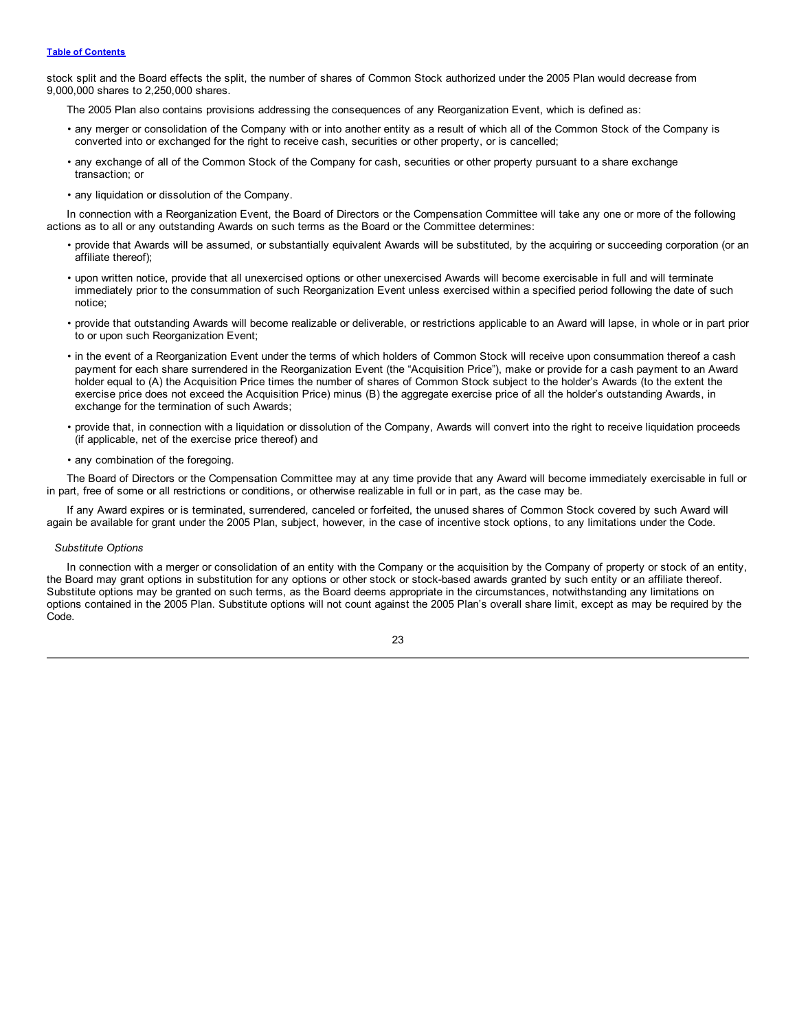# **Table of [Contents](#page-2-0)**

stock split and the Board effects the split, the number of shares of Common Stock authorized under the 2005 Plan would decrease from 9,000,000 shares to 2,250,000 shares.

The 2005 Plan also contains provisions addressing the consequences of any Reorganization Event, which is defined as:

- any merger or consolidation of the Company with or into another entity as a result of which all of the Common Stock of the Company is converted into or exchanged for the right to receive cash, securities or other property, or is cancelled;
- any exchange of all of the Common Stock of the Company for cash, securities or other property pursuant to a share exchange transaction; or
- any liquidation or dissolution of the Company.

In connection with a Reorganization Event, the Board of Directors or the Compensation Committee will take any one or more of the following actions as to all or any outstanding Awards on such terms as the Board or the Committee determines:

- provide that Awards will be assumed, or substantially equivalent Awards will be substituted, by the acquiring or succeeding corporation (or an affiliate thereof);
- upon written notice, provide that all unexercised options or other unexercised Awards will become exercisable in full and will terminate immediately prior to the consummation of such Reorganization Event unless exercised within a specified period following the date of such notice;
- provide that outstanding Awards will become realizable or deliverable, or restrictions applicable to an Award will lapse, in whole or in part prior to or upon such Reorganization Event;
- in the event of a Reorganization Event under the terms of which holders of Common Stock will receive upon consummation thereof a cash payment for each share surrendered in the Reorganization Event (the "Acquisition Price"), make or provide for a cash payment to an Award holder equal to (A) the Acquisition Price times the number of shares of Common Stock subject to the holder's Awards (to the extent the exercise price does not exceed the Acquisition Price) minus (B) the aggregate exercise price of all the holder's outstanding Awards, in exchange for the termination of such Awards;
- provide that, in connection with a liquidation or dissolution of the Company, Awards will convert into the right to receive liquidation proceeds (if applicable, net of the exercise price thereof) and
- any combination of the foregoing.

The Board of Directors or the Compensation Committee may at any time provide that any Award will become immediately exercisable in full or in part, free of some or all restrictions or conditions, or otherwise realizable in full or in part, as the case may be.

If any Award expires or is terminated, surrendered, canceled or forfeited, the unused shares of Common Stock covered by such Award will again be available for grant under the 2005 Plan, subject, however, in the case of incentive stock options, to any limitations under the Code.

## *Substitute Options*

In connection with a merger or consolidation of an entity with the Company or the acquisition by the Company of property or stock of an entity, the Board may grant options in substitution for any options or other stock or stock-based awards granted by such entity or an affiliate thereof. Substitute options may be granted on such terms, as the Board deems appropriate in the circumstances, notwithstanding any limitations on options contained in the 2005 Plan. Substitute options will not count against the 2005 Plan's overall share limit, except as may be required by the Code.

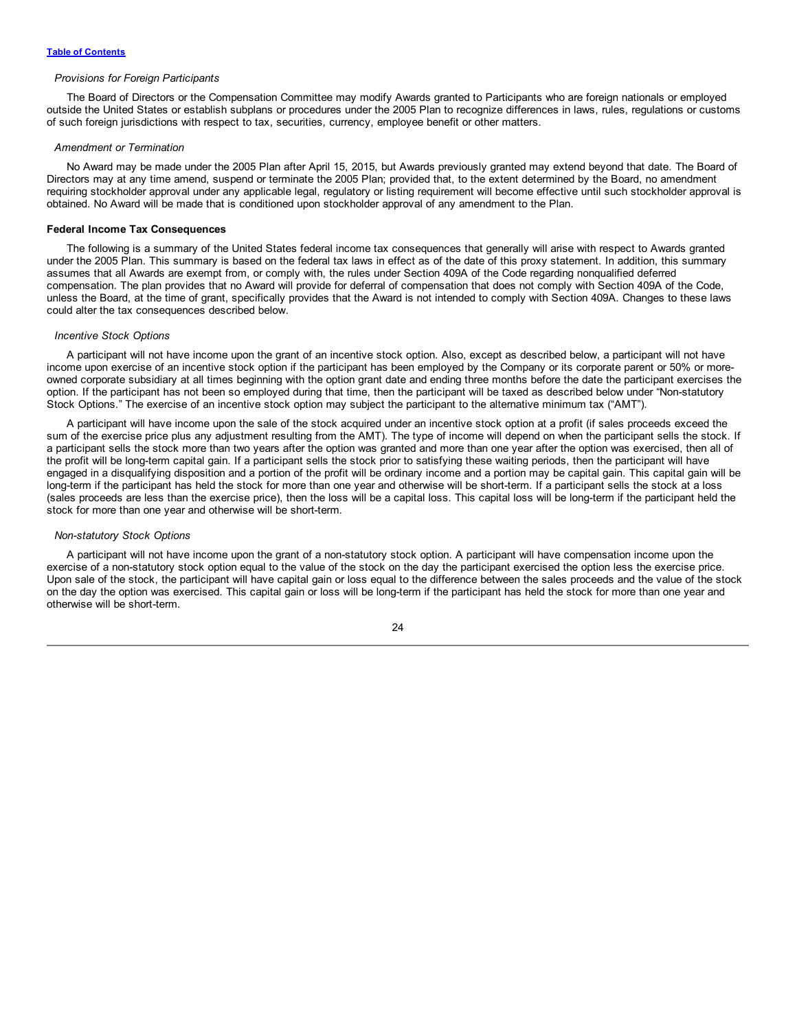#### *Provisions for Foreign Participants*

The Board of Directors or the Compensation Committee may modify Awards granted to Participants who are foreign nationals or employed outside the United States or establish subplans or procedures under the 2005 Plan to recognize differences in laws, rules, regulations or customs of such foreign jurisdictions with respect to tax, securities, currency, employee benefit or other matters.

#### *Amendment or Termination*

No Award may be made under the 2005 Plan after April 15, 2015, but Awards previously granted may extend beyond that date. The Board of Directors may at any time amend, suspend or terminate the 2005 Plan; provided that, to the extent determined by the Board, no amendment requiring stockholder approval under any applicable legal, regulatory or listing requirement will become effective until such stockholder approval is obtained. No Award will be made that is conditioned upon stockholder approval of any amendment to the Plan.

#### **Federal Income Tax Consequences**

The following is a summary of the United States federal income tax consequences that generally will arise with respect to Awards granted under the 2005 Plan. This summary is based on the federal tax laws in effect as of the date of this proxy statement. In addition, this summary assumes that all Awards are exempt from, or comply with, the rules under Section 409A of the Code regarding nonqualified deferred compensation. The plan provides that no Award will provide for deferral of compensation that does not comply with Section 409A of the Code, unless the Board, at the time of grant, specifically provides that the Award is not intended to comply with Section 409A. Changes to these laws could alter the tax consequences described below.

#### *Incentive Stock Options*

A participant will not have income upon the grant of an incentive stock option. Also, except as described below, a participant will not have income upon exercise of an incentive stock option if the participant has been employed by the Company or its corporate parent or 50% or moreowned corporate subsidiary at all times beginning with the option grant date and ending three months before the date the participant exercises the option. If the participant has not been so employed during that time, then the participant will be taxed as described below under "Non-statutory Stock Options." The exercise of an incentive stock option may subject the participant to the alternative minimum tax ("AMT").

A participant will have income upon the sale of the stock acquired under an incentive stock option at a profit (if sales proceeds exceed the sum of the exercise price plus any adjustment resulting from the AMT). The type of income will depend on when the participant sells the stock. If a participant sells the stock more than two years after the option was granted and more than one year after the option was exercised, then all of the profit will be long-term capital gain. If a participant sells the stock prior to satisfying these waiting periods, then the participant will have engaged in a disqualifying disposition and a portion of the profit will be ordinary income and a portion may be capital gain. This capital gain will be long-term if the participant has held the stock for more than one year and otherwise will be short-term. If a participant sells the stock at a loss (sales proceeds are less than the exercise price), then the loss will be a capital loss. This capital loss will be long-term if the participant held the stock for more than one year and otherwise will be short-term.

# *Non-statutory Stock Options*

A participant will not have income upon the grant of a non-statutory stock option. A participant will have compensation income upon the exercise of a non-statutory stock option equal to the value of the stock on the day the participant exercised the option less the exercise price. Upon sale of the stock, the participant will have capital gain or loss equal to the difference between the sales proceeds and the value of the stock on the day the option was exercised. This capital gain or loss will be long-term if the participant has held the stock for more than one year and otherwise will be short-term.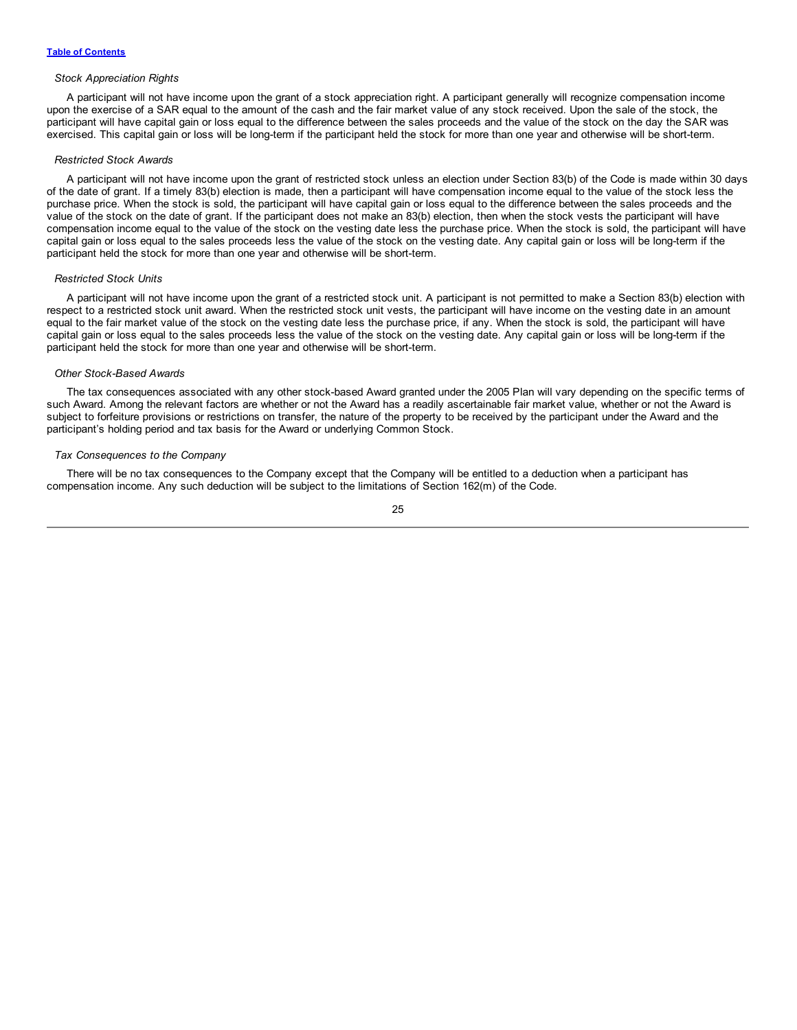#### *Stock Appreciation Rights*

A participant will not have income upon the grant of a stock appreciation right. A participant generally will recognize compensation income upon the exercise of a SAR equal to the amount of the cash and the fair market value of any stock received. Upon the sale of the stock, the participant will have capital gain or loss equal to the difference between the sales proceeds and the value of the stock on the day the SAR was exercised. This capital gain or loss will be long-term if the participant held the stock for more than one year and otherwise will be short-term.

#### *Restricted Stock Awards*

A participant will not have income upon the grant of restricted stock unless an election under Section 83(b) of the Code is made within 30 days of the date of grant. If a timely 83(b) election is made, then a participant will have compensation income equal to the value of the stock less the purchase price. When the stock is sold, the participant will have capital gain or loss equal to the difference between the sales proceeds and the value of the stock on the date of grant. If the participant does not make an 83(b) election, then when the stock vests the participant will have compensation income equal to the value of the stock on the vesting date less the purchase price. When the stock is sold, the participant will have capital gain or loss equal to the sales proceeds less the value of the stock on the vesting date. Any capital gain or loss will be long-term if the participant held the stock for more than one year and otherwise will be short-term.

### *Restricted Stock Units*

A participant will not have income upon the grant of a restricted stock unit. A participant is not permitted to make a Section 83(b) election with respect to a restricted stock unit award. When the restricted stock unit vests, the participant will have income on the vesting date in an amount equal to the fair market value of the stock on the vesting date less the purchase price, if any. When the stock is sold, the participant will have capital gain or loss equal to the sales proceeds less the value of the stock on the vesting date. Any capital gain or loss will be long-term if the participant held the stock for more than one year and otherwise will be short-term.

#### *Other Stock-Based Awards*

The tax consequences associated with any other stock-based Award granted under the 2005 Plan will vary depending on the specific terms of such Award. Among the relevant factors are whether or not the Award has a readily ascertainable fair market value, whether or not the Award is subject to forfeiture provisions or restrictions on transfer, the nature of the property to be received by the participant under the Award and the participant's holding period and tax basis for the Award or underlying Common Stock.

#### *Tax Consequences to the Company*

There will be no tax consequences to the Company except that the Company will be entitled to a deduction when a participant has compensation income. Any such deduction will be subject to the limitations of Section 162(m) of the Code.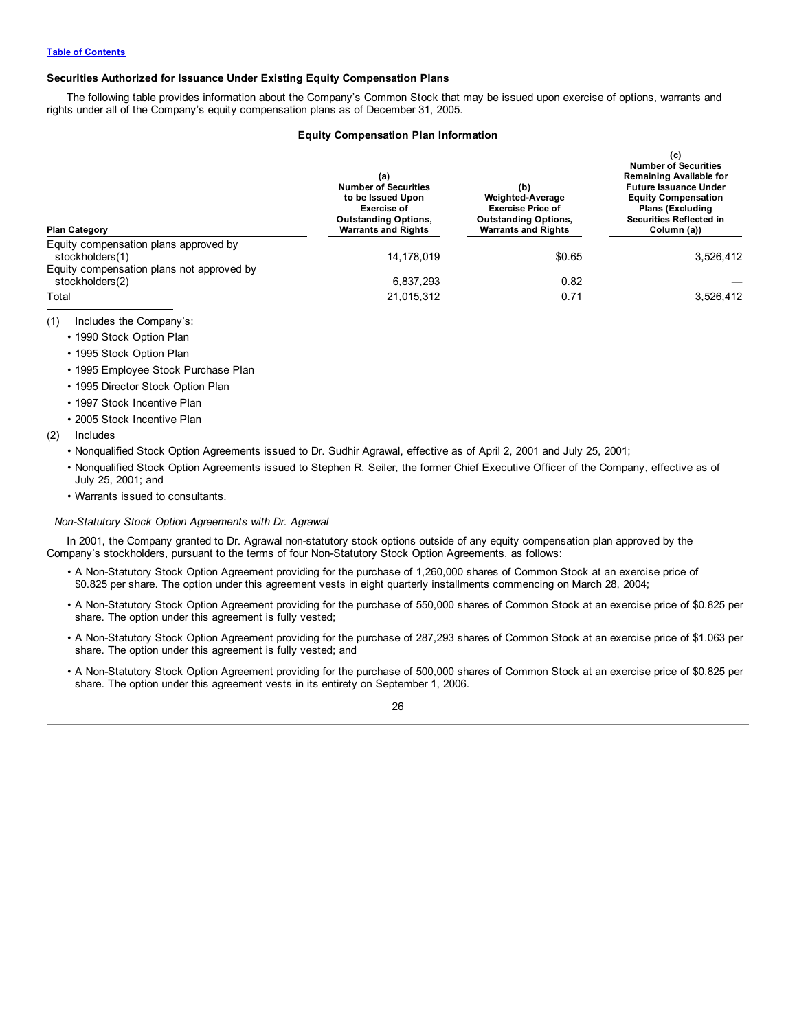# **Securities Authorized for Issuance Under Existing Equity Compensation Plans**

The following table provides information about the Company's Common Stock that may be issued upon exercise of options, warrants and rights under all of the Company's equity compensation plans as of December 31, 2005.

# **Equity Compensation Plan Information**

 $(6)$ 

| <b>Plan Category</b>                                         | (a)<br><b>Number of Securities</b><br>to be Issued Upon<br><b>Exercise of</b><br><b>Outstanding Options,</b><br><b>Warrants and Rights</b> | (b)<br><b>Weighted-Average</b><br><b>Exercise Price of</b><br><b>Outstanding Options,</b><br><b>Warrants and Rights</b> | 1 Y J<br><b>Number of Securities</b><br><b>Remaining Available for</b><br><b>Future Issuance Under</b><br><b>Equity Compensation</b><br><b>Plans (Excluding</b><br><b>Securities Reflected in</b><br>Column (a)) |  |
|--------------------------------------------------------------|--------------------------------------------------------------------------------------------------------------------------------------------|-------------------------------------------------------------------------------------------------------------------------|------------------------------------------------------------------------------------------------------------------------------------------------------------------------------------------------------------------|--|
| Equity compensation plans approved by<br>stockholders(1)     | 14,178,019                                                                                                                                 | \$0.65                                                                                                                  | 3,526,412                                                                                                                                                                                                        |  |
| Equity compensation plans not approved by<br>stockholders(2) | 6,837,293                                                                                                                                  | 0.82                                                                                                                    |                                                                                                                                                                                                                  |  |
| Total                                                        | 21,015,312                                                                                                                                 | 0.71                                                                                                                    | 3,526,412                                                                                                                                                                                                        |  |

(1) Includes the Company's:

• 1990 Stock Option Plan

- 1995 Stock Option Plan
- 1995 Employee Stock Purchase Plan
- 1995 Director Stock Option Plan
- 1997 Stock Incentive Plan
- 2005 Stock Incentive Plan
- (2) Includes
	- Nonqualified Stock Option Agreements issued to Dr. Sudhir Agrawal, effective as of April 2, 2001 and July 25, 2001;
	- Nonqualified Stock Option Agreements issued to Stephen R. Seiler, the former Chief Executive Officer of the Company, effective as of July 25, 2001; and
	- Warrants issued to consultants.

# *Non-Statutory Stock Option Agreements with Dr. Agrawal*

In 2001, the Company granted to Dr. Agrawal non-statutory stock options outside of any equity compensation plan approved by the Company's stockholders, pursuant to the terms of four Non-Statutory Stock Option Agreements, as follows:

- A Non-Statutory Stock Option Agreement providing for the purchase of 1,260,000 shares of Common Stock at an exercise price of \$0.825 per share. The option under this agreement vests in eight quarterly installments commencing on March 28, 2004;
- A Non-Statutory Stock Option Agreement providing for the purchase of 550,000 shares of Common Stock at an exercise price of \$0.825 per share. The option under this agreement is fully vested;
- A Non-Statutory Stock Option Agreement providing for the purchase of 287,293 shares of Common Stock at an exercise price of \$1.063 per share. The option under this agreement is fully vested; and
- A Non-Statutory Stock Option Agreement providing for the purchase of 500,000 shares of Common Stock at an exercise price of \$0.825 per share. The option under this agreement vests in its entirety on September 1, 2006.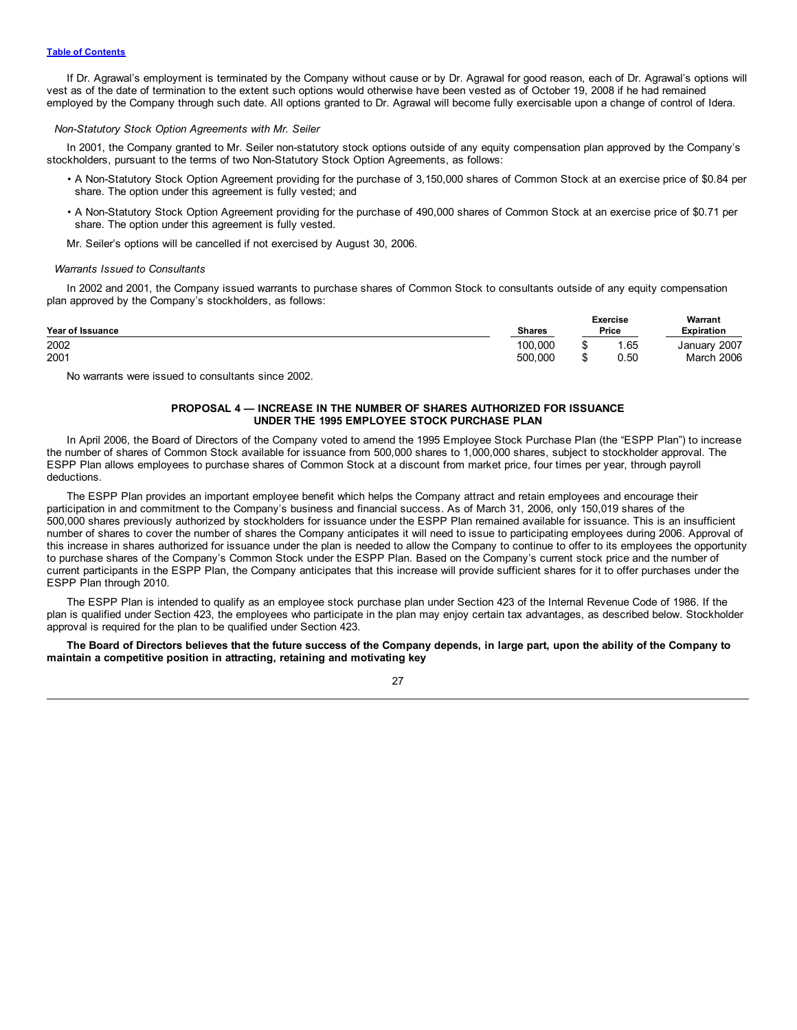<span id="page-30-0"></span>If Dr. Agrawal's employment is terminated by the Company without cause or by Dr. Agrawal for good reason, each of Dr. Agrawal's options will vest as of the date of termination to the extent such options would otherwise have been vested as of October 19, 2008 if he had remained employed by the Company through such date. All options granted to Dr. Agrawal will become fully exercisable upon a change of control of Idera.

#### *Non-Statutory Stock Option Agreements with Mr. Seiler*

In 2001, the Company granted to Mr. Seiler non-statutory stock options outside of any equity compensation plan approved by the Company's stockholders, pursuant to the terms of two Non-Statutory Stock Option Agreements, as follows:

- A Non-Statutory Stock Option Agreement providing for the purchase of 3,150,000 shares of Common Stock at an exercise price of \$0.84 per share. The option under this agreement is fully vested; and
- A Non-Statutory Stock Option Agreement providing for the purchase of 490,000 shares of Common Stock at an exercise price of \$0.71 per share. The option under this agreement is fully vested.
- Mr. Seiler's options will be cancelled if not exercised by August 30, 2006.

#### *Warrants Issued to Consultants*

In 2002 and 2001, the Company issued warrants to purchase shares of Common Stock to consultants outside of any equity compensation plan approved by the Company's stockholders, as follows:

| <b>Year of Issuance</b> | <b>Shares</b> | <b>Exercise</b><br>Price | Warrant<br><b>Expiration</b> |  |
|-------------------------|---------------|--------------------------|------------------------------|--|
| 2002                    | 100.000       | 1.65                     | January 2007                 |  |
| 2001                    | 500.000       | 0.50                     | <b>March 2006</b>            |  |

No warrants were issued to consultants since 2002.

# **PROPOSAL 4 — INCREASE IN THE NUMBER OF SHARES AUTHORIZED FOR ISSUANCE UNDER THE 1995 EMPLOYEE STOCK PURCHASE PLAN**

In April 2006, the Board of Directors of the Company voted to amend the 1995 Employee Stock Purchase Plan (the "ESPP Plan") to increase the number of shares of Common Stock available for issuance from 500,000 shares to 1,000,000 shares, subject to stockholder approval. The ESPP Plan allows employees to purchase shares of Common Stock at a discount from market price, four times per year, through payroll deductions.

The ESPP Plan provides an important employee benefit which helps the Company attract and retain employees and encourage their participation in and commitment to the Company's business and financial success. As of March 31, 2006, only 150,019 shares of the 500,000 shares previously authorized by stockholders for issuance under the ESPP Plan remained available for issuance. This is an insufficient number of shares to cover the number of shares the Company anticipates it will need to issue to participating employees during 2006. Approval of this increase in shares authorized for issuance under the plan is needed to allow the Company to continue to offer to its employees the opportunity to purchase shares of the Company's Common Stock under the ESPP Plan. Based on the Company's current stock price and the number of current participants in the ESPP Plan, the Company anticipates that this increase will provide sufficient shares for it to offer purchases under the ESPP Plan through 2010.

The ESPP Plan is intended to qualify as an employee stock purchase plan under Section 423 of the Internal Revenue Code of 1986. If the plan is qualified under Section 423, the employees who participate in the plan may enjoy certain tax advantages, as described below. Stockholder approval is required for the plan to be qualified under Section 423.

The Board of Directors believes that the future success of the Company depends, in large part, upon the ability of the Company to **maintain a competitive position in attracting, retaining and motivating key**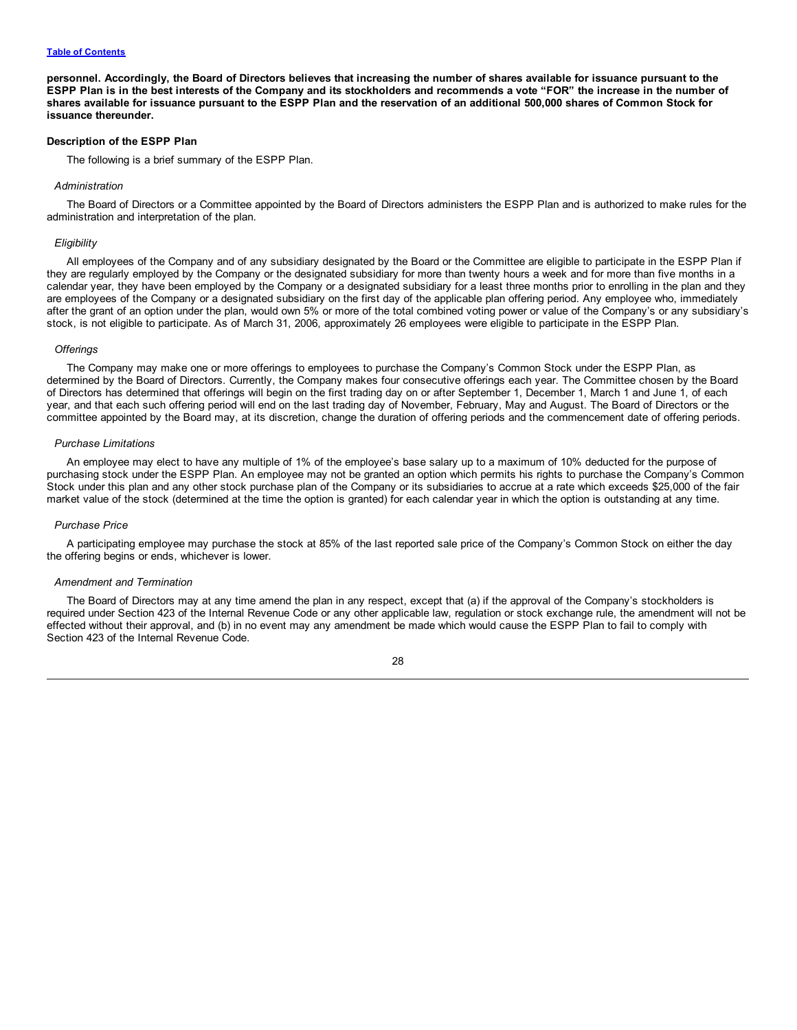#### **Table of [Contents](#page-2-0)**

personnel. Accordingly, the Board of Directors believes that increasing the number of shares available for issuance pursuant to the ESPP Plan is in the best interests of the Company and its stockholders and recommends a vote "FOR" the increase in the number of shares available for issuance pursuant to the ESPP Plan and the reservation of an additional 500,000 shares of Common Stock for **issuance thereunder.**

# **Description of the ESPP Plan**

The following is a brief summary of the ESPP Plan.

#### *Administration*

The Board of Directors or a Committee appointed by the Board of Directors administers the ESPP Plan and is authorized to make rules for the administration and interpretation of the plan.

#### *Eligibility*

All employees of the Company and of any subsidiary designated by the Board or the Committee are eligible to participate in the ESPP Plan if they are regularly employed by the Company or the designated subsidiary for more than twenty hours a week and for more than five months in a calendar year, they have been employed by the Company or a designated subsidiary for a least three months prior to enrolling in the plan and they are employees of the Company or a designated subsidiary on the first day of the applicable plan offering period. Any employee who, immediately after the grant of an option under the plan, would own 5% or more of the total combined voting power or value of the Company's or any subsidiary's stock, is not eligible to participate. As of March 31, 2006, approximately 26 employees were eligible to participate in the ESPP Plan.

#### *Offerings*

The Company may make one or more offerings to employees to purchase the Company's Common Stock under the ESPP Plan, as determined by the Board of Directors. Currently, the Company makes four consecutive offerings each year. The Committee chosen by the Board of Directors has determined that offerings will begin on the first trading day on or after September 1, December 1, March 1 and June 1, of each year, and that each such offering period will end on the last trading day of November, February, May and August. The Board of Directors or the committee appointed by the Board may, at its discretion, change the duration of offering periods and the commencement date of offering periods.

#### *Purchase Limitations*

An employee may elect to have any multiple of 1% of the employee's base salary up to a maximum of 10% deducted for the purpose of purchasing stock under the ESPP Plan. An employee may not be granted an option which permits his rights to purchase the Company's Common Stock under this plan and any other stock purchase plan of the Company or its subsidiaries to accrue at a rate which exceeds \$25,000 of the fair market value of the stock (determined at the time the option is granted) for each calendar year in which the option is outstanding at any time.

#### *Purchase Price*

A participating employee may purchase the stock at 85% of the last reported sale price of the Company's Common Stock on either the day the offering begins or ends, whichever is lower.

#### *Amendment and Termination*

The Board of Directors may at any time amend the plan in any respect, except that (a) if the approval of the Company's stockholders is required under Section 423 of the Internal Revenue Code or any other applicable law, regulation or stock exchange rule, the amendment will not be effected without their approval, and (b) in no event may any amendment be made which would cause the ESPP Plan to fail to comply with Section 423 of the Internal Revenue Code.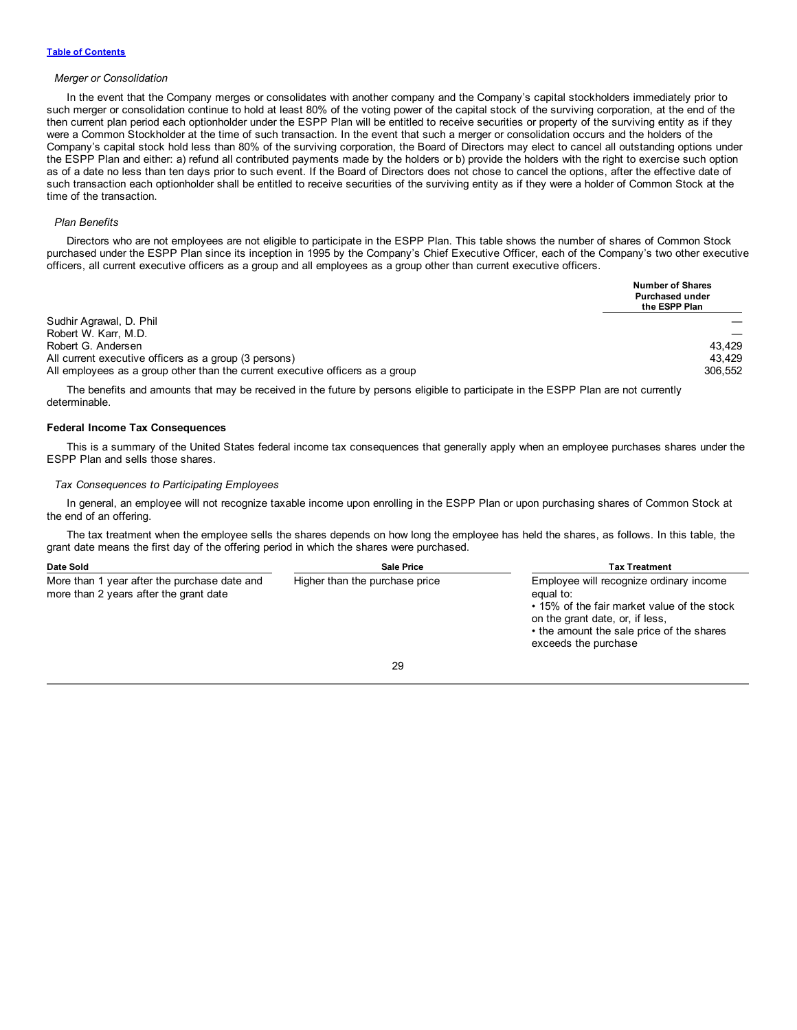#### *Merger or Consolidation*

In the event that the Company merges or consolidates with another company and the Company's capital stockholders immediately prior to such merger or consolidation continue to hold at least 80% of the voting power of the capital stock of the surviving corporation, at the end of the then current plan period each optionholder under the ESPP Plan will be entitled to receive securities or property of the surviving entity as if they were a Common Stockholder at the time of such transaction. In the event that such a merger or consolidation occurs and the holders of the Company's capital stock hold less than 80% of the surviving corporation, the Board of Directors may elect to cancel all outstanding options under the ESPP Plan and either: a) refund all contributed payments made by the holders or b) provide the holders with the right to exercise such option as of a date no less than ten days prior to such event. If the Board of Directors does not chose to cancel the options, after the effective date of such transaction each optionholder shall be entitled to receive securities of the surviving entity as if they were a holder of Common Stock at the time of the transaction.

#### *Plan Benefits*

Directors who are not employees are not eligible to participate in the ESPP Plan. This table shows the number of shares of Common Stock purchased under the ESPP Plan since its inception in 1995 by the Company's Chief Executive Officer, each of the Company's two other executive officers, all current executive officers as a group and all employees as a group other than current executive officers.

|                                                                               | <b>Number of Shares</b><br><b>Purchased under</b><br>the ESPP Plan |
|-------------------------------------------------------------------------------|--------------------------------------------------------------------|
| Sudhir Agrawal, D. Phil                                                       |                                                                    |
| Robert W. Karr, M.D.                                                          |                                                                    |
| Robert G. Andersen                                                            | 43.429                                                             |
| All current executive officers as a group (3 persons)                         | 43.429                                                             |
| All employees as a group other than the current executive officers as a group | 306.552                                                            |

The benefits and amounts that may be received in the future by persons eligible to participate in the ESPP Plan are not currently determinable.

# **Federal Income Tax Consequences**

This is a summary of the United States federal income tax consequences that generally apply when an employee purchases shares under the ESPP Plan and sells those shares.

# *Tax Consequences to Participating Employees*

In general, an employee will not recognize taxable income upon enrolling in the ESPP Plan or upon purchasing shares of Common Stock at the end of an offering.

The tax treatment when the employee sells the shares depends on how long the employee has held the shares, as follows. In this table, the grant date means the first day of the offering period in which the shares were purchased.

| Date Sold                                                                              | <b>Sale Price</b>              | <b>Tax Treatment</b>                                                                                                                                                                                        |
|----------------------------------------------------------------------------------------|--------------------------------|-------------------------------------------------------------------------------------------------------------------------------------------------------------------------------------------------------------|
| More than 1 year after the purchase date and<br>more than 2 years after the grant date | Higher than the purchase price | Employee will recognize ordinary income<br>equal to:<br>• 15% of the fair market value of the stock<br>on the grant date, or, if less,<br>• the amount the sale price of the shares<br>exceeds the purchase |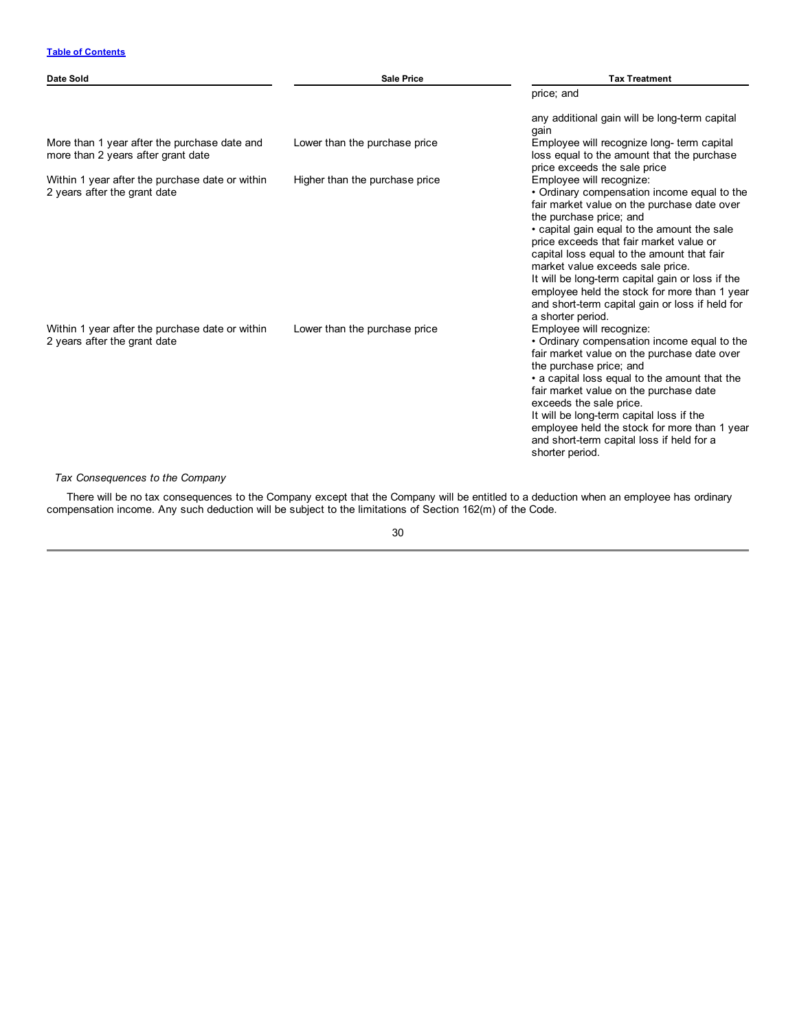| Date Sold                                                                          | <b>Sale Price</b>              | <b>Tax Treatment</b>                                                                                                                                                                                                                                                                                                                                                                                                                                                                                      |
|------------------------------------------------------------------------------------|--------------------------------|-----------------------------------------------------------------------------------------------------------------------------------------------------------------------------------------------------------------------------------------------------------------------------------------------------------------------------------------------------------------------------------------------------------------------------------------------------------------------------------------------------------|
|                                                                                    |                                | price; and                                                                                                                                                                                                                                                                                                                                                                                                                                                                                                |
|                                                                                    |                                | any additional gain will be long-term capital<br>gain                                                                                                                                                                                                                                                                                                                                                                                                                                                     |
| More than 1 year after the purchase date and<br>more than 2 years after grant date | Lower than the purchase price  | Employee will recognize long- term capital<br>loss equal to the amount that the purchase<br>price exceeds the sale price                                                                                                                                                                                                                                                                                                                                                                                  |
| Within 1 year after the purchase date or within<br>2 years after the grant date    | Higher than the purchase price | Employee will recognize:<br>• Ordinary compensation income equal to the<br>fair market value on the purchase date over<br>the purchase price; and<br>• capital gain equal to the amount the sale<br>price exceeds that fair market value or<br>capital loss equal to the amount that fair<br>market value exceeds sale price.<br>It will be long-term capital gain or loss if the<br>employee held the stock for more than 1 year<br>and short-term capital gain or loss if held for<br>a shorter period. |
| Within 1 year after the purchase date or within<br>2 years after the grant date    | Lower than the purchase price  | Employee will recognize:<br>• Ordinary compensation income equal to the<br>fair market value on the purchase date over<br>the purchase price; and<br>• a capital loss equal to the amount that the<br>fair market value on the purchase date<br>exceeds the sale price.<br>It will be long-term capital loss if the<br>employee held the stock for more than 1 year<br>and short-term capital loss if held for a<br>shorter period.                                                                       |

*Tax Consequences to the Company*

There will be no tax consequences to the Company except that the Company will be entitled to a deduction when an employee has ordinary compensation income. Any such deduction will be subject to the limitations of Section 162(m) of the Code.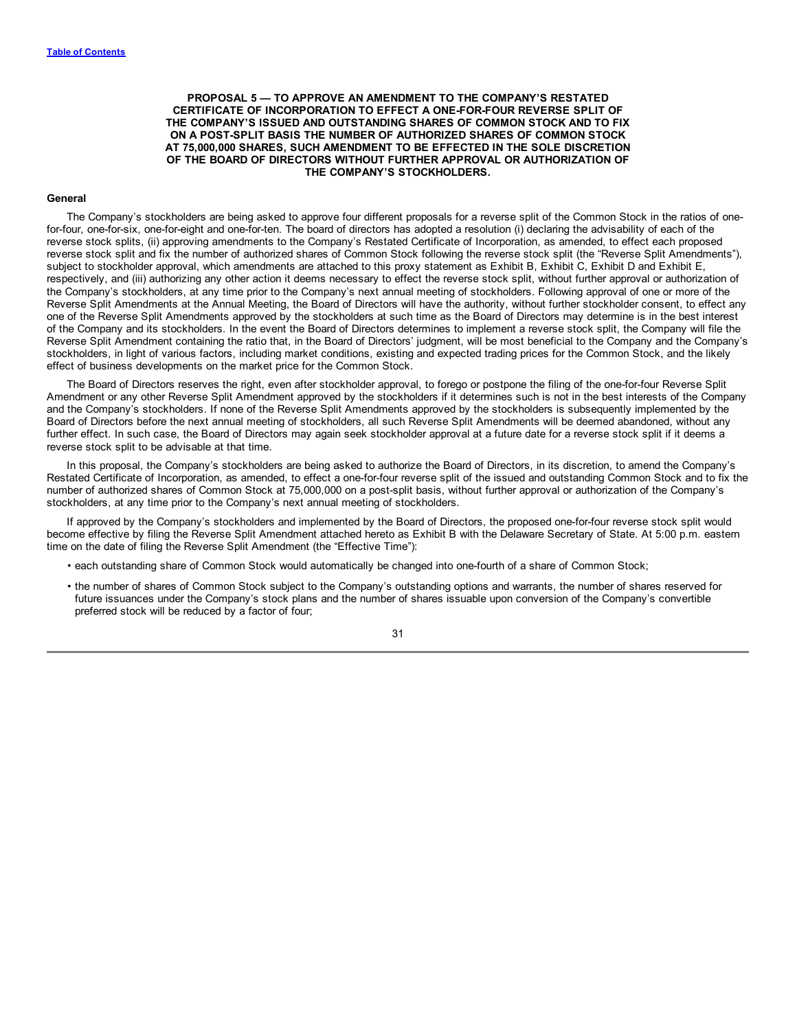<span id="page-34-0"></span>**PROPOSAL 5 — TO APPROVE AN AMENDMENT TO THE COMPANY'S RESTATED CERTIFICATE OF INCORPORATION TO EFFECT A ONE-FOR-FOUR REVERSE SPLIT OF THE COMPANY'S ISSUED AND OUTSTANDING SHARES OF COMMON STOCK AND TO FIX ON A POST-SPLIT BASIS THE NUMBER OF AUTHORIZED SHARES OF COMMON STOCK AT 75,000,000 SHARES, SUCH AMENDMENT TO BE EFFECTED IN THE SOLE DISCRETION OF THE BOARD OF DIRECTORS WITHOUT FURTHER APPROVAL OR AUTHORIZATION OF THE COMPANY'S STOCKHOLDERS.**

#### **General**

The Company's stockholders are being asked to approve four different proposals for a reverse split of the Common Stock in the ratios of onefor-four, one-for-six, one-for-eight and one-for-ten. The board of directors has adopted a resolution (i) declaring the advisability of each of the reverse stock splits, (ii) approving amendments to the Company's Restated Certificate of Incorporation, as amended, to effect each proposed reverse stock split and fix the number of authorized shares of Common Stock following the reverse stock split (the "Reverse Split Amendments"), subject to stockholder approval, which amendments are attached to this proxy statement as Exhibit B, Exhibit C, Exhibit D and Exhibit E, respectively, and (iii) authorizing any other action it deems necessary to effect the reverse stock split, without further approval or authorization of the Company's stockholders, at any time prior to the Company's next annual meeting of stockholders. Following approval of one or more of the Reverse Split Amendments at the Annual Meeting, the Board of Directors will have the authority, without further stockholder consent, to effect any one of the Reverse Split Amendments approved by the stockholders at such time as the Board of Directors may determine is in the best interest of the Company and its stockholders. In the event the Board of Directors determines to implement a reverse stock split, the Company will file the Reverse Split Amendment containing the ratio that, in the Board of Directors' judgment, will be most beneficial to the Company and the Company's stockholders, in light of various factors, including market conditions, existing and expected trading prices for the Common Stock, and the likely effect of business developments on the market price for the Common Stock.

The Board of Directors reserves the right, even after stockholder approval, to forego or postpone the filing of the one-for-four Reverse Split Amendment or any other Reverse Split Amendment approved by the stockholders if it determines such is not in the best interests of the Company and the Company's stockholders. If none of the Reverse Split Amendments approved by the stockholders is subsequently implemented by the Board of Directors before the next annual meeting of stockholders, all such Reverse Split Amendments will be deemed abandoned, without any further effect. In such case, the Board of Directors may again seek stockholder approval at a future date for a reverse stock split if it deems a reverse stock split to be advisable at that time.

In this proposal, the Company's stockholders are being asked to authorize the Board of Directors, in its discretion, to amend the Company's Restated Certificate of Incorporation, as amended, to effect a one-for-four reverse split of the issued and outstanding Common Stock and to fix the number of authorized shares of Common Stock at 75,000,000 on a post-split basis, without further approval or authorization of the Company's stockholders, at any time prior to the Company's next annual meeting of stockholders.

If approved by the Company's stockholders and implemented by the Board of Directors, the proposed one-for-four reverse stock split would become effective by filing the Reverse Split Amendment attached hereto as Exhibit B with the Delaware Secretary of State. At 5:00 p.m. eastern time on the date of filing the Reverse Split Amendment (the "Effective Time"):

- each outstanding share of Common Stock would automatically be changed into one-fourth of a share of Common Stock;
- the number of shares of Common Stock subject to the Company's outstanding options and warrants, the number of shares reserved for future issuances under the Company's stock plans and the number of shares issuable upon conversion of the Company's convertible preferred stock will be reduced by a factor of four;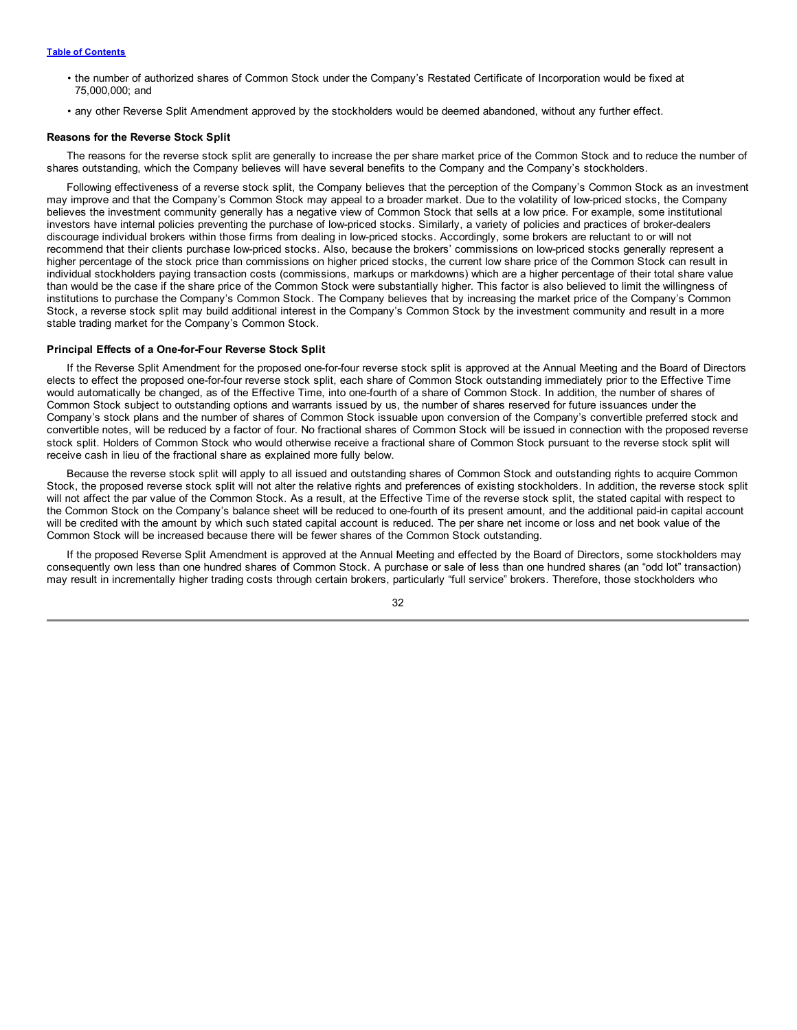# **Table of [Contents](#page-2-0)**

- the number of authorized shares of Common Stock under the Company's Restated Certificate of Incorporation would be fixed at 75,000,000; and
- any other Reverse Split Amendment approved by the stockholders would be deemed abandoned, without any further effect.

### **Reasons for the Reverse Stock Split**

The reasons for the reverse stock split are generally to increase the per share market price of the Common Stock and to reduce the number of shares outstanding, which the Company believes will have several benefits to the Company and the Company's stockholders.

Following effectiveness of a reverse stock split, the Company believes that the perception of the Company's Common Stock as an investment may improve and that the Company's Common Stock may appeal to a broader market. Due to the volatility of low-priced stocks, the Company believes the investment community generally has a negative view of Common Stock that sells at a low price. For example, some institutional investors have internal policies preventing the purchase of low-priced stocks. Similarly, a variety of policies and practices of broker-dealers discourage individual brokers within those firms from dealing in low-priced stocks. Accordingly, some brokers are reluctant to or will not recommend that their clients purchase low-priced stocks. Also, because the brokers' commissions on low-priced stocks generally represent a higher percentage of the stock price than commissions on higher priced stocks, the current low share price of the Common Stock can result in individual stockholders paying transaction costs (commissions, markups or markdowns) which are a higher percentage of their total share value than would be the case if the share price of the Common Stock were substantially higher. This factor is also believed to limit the willingness of institutions to purchase the Company's Common Stock. The Company believes that by increasing the market price of the Company's Common Stock, a reverse stock split may build additional interest in the Company's Common Stock by the investment community and result in a more stable trading market for the Company's Common Stock.

#### **Principal Effects of a One-for-Four Reverse Stock Split**

If the Reverse Split Amendment for the proposed one-for-four reverse stock split is approved at the Annual Meeting and the Board of Directors elects to effect the proposed one-for-four reverse stock split, each share of Common Stock outstanding immediately prior to the Effective Time would automatically be changed, as of the Effective Time, into one-fourth of a share of Common Stock. In addition, the number of shares of Common Stock subject to outstanding options and warrants issued by us, the number of shares reserved for future issuances under the Company's stock plans and the number of shares of Common Stock issuable upon conversion of the Company's convertible preferred stock and convertible notes, will be reduced by a factor of four. No fractional shares of Common Stock will be issued in connection with the proposed reverse stock split. Holders of Common Stock who would otherwise receive a fractional share of Common Stock pursuant to the reverse stock split will receive cash in lieu of the fractional share as explained more fully below.

Because the reverse stock split will apply to all issued and outstanding shares of Common Stock and outstanding rights to acquire Common Stock, the proposed reverse stock split will not alter the relative rights and preferences of existing stockholders. In addition, the reverse stock split will not affect the par value of the Common Stock. As a result, at the Effective Time of the reverse stock split, the stated capital with respect to the Common Stock on the Company's balance sheet will be reduced to one-fourth of its present amount, and the additional paid-in capital account will be credited with the amount by which such stated capital account is reduced. The per share net income or loss and net book value of the Common Stock will be increased because there will be fewer shares of the Common Stock outstanding.

If the proposed Reverse Split Amendment is approved at the Annual Meeting and effected by the Board of Directors, some stockholders may consequently own less than one hundred shares of Common Stock. A purchase or sale of less than one hundred shares (an "odd lot" transaction) may result in incrementally higher trading costs through certain brokers, particularly "full service" brokers. Therefore, those stockholders who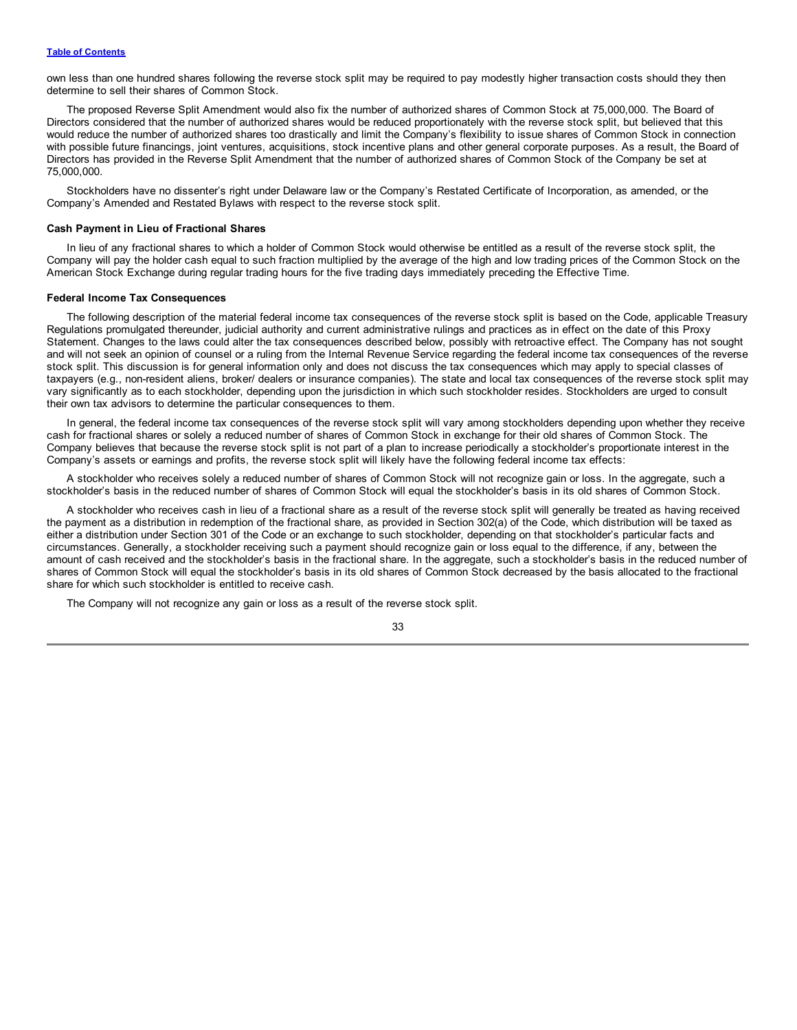own less than one hundred shares following the reverse stock split may be required to pay modestly higher transaction costs should they then determine to sell their shares of Common Stock.

The proposed Reverse Split Amendment would also fix the number of authorized shares of Common Stock at 75,000,000. The Board of Directors considered that the number of authorized shares would be reduced proportionately with the reverse stock split, but believed that this would reduce the number of authorized shares too drastically and limit the Company's flexibility to issue shares of Common Stock in connection with possible future financings, joint ventures, acquisitions, stock incentive plans and other general corporate purposes. As a result, the Board of Directors has provided in the Reverse Split Amendment that the number of authorized shares of Common Stock of the Company be set at 75,000,000.

Stockholders have no dissenter's right under Delaware law or the Company's Restated Certificate of Incorporation, as amended, or the Company's Amended and Restated Bylaws with respect to the reverse stock split.

#### **Cash Payment in Lieu of Fractional Shares**

In lieu of any fractional shares to which a holder of Common Stock would otherwise be entitled as a result of the reverse stock split, the Company will pay the holder cash equal to such fraction multiplied by the average of the high and low trading prices of the Common Stock on the American Stock Exchange during regular trading hours for the five trading days immediately preceding the Effective Time.

# **Federal Income Tax Consequences**

The following description of the material federal income tax consequences of the reverse stock split is based on the Code, applicable Treasury Regulations promulgated thereunder, judicial authority and current administrative rulings and practices as in effect on the date of this Proxy Statement. Changes to the laws could alter the tax consequences described below, possibly with retroactive effect. The Company has not sought and will not seek an opinion of counsel or a ruling from the Internal Revenue Service regarding the federal income tax consequences of the reverse stock split. This discussion is for general information only and does not discuss the tax consequences which may apply to special classes of taxpayers (e.g., non-resident aliens, broker/ dealers or insurance companies). The state and local tax consequences of the reverse stock split may vary significantly as to each stockholder, depending upon the jurisdiction in which such stockholder resides. Stockholders are urged to consult their own tax advisors to determine the particular consequences to them.

In general, the federal income tax consequences of the reverse stock split will vary among stockholders depending upon whether they receive cash for fractional shares or solely a reduced number of shares of Common Stock in exchange for their old shares of Common Stock. The Company believes that because the reverse stock split is not part of a plan to increase periodically a stockholder's proportionate interest in the Company's assets or earnings and profits, the reverse stock split will likely have the following federal income tax effects:

A stockholder who receives solely a reduced number of shares of Common Stock will not recognize gain or loss. In the aggregate, such a stockholder's basis in the reduced number of shares of Common Stock will equal the stockholder's basis in its old shares of Common Stock.

A stockholder who receives cash in lieu of a fractional share as a result of the reverse stock split will generally be treated as having received the payment as a distribution in redemption of the fractional share, as provided in Section 302(a) of the Code, which distribution will be taxed as either a distribution under Section 301 of the Code or an exchange to such stockholder, depending on that stockholder's particular facts and circumstances. Generally, a stockholder receiving such a payment should recognize gain or loss equal to the difference, if any, between the amount of cash received and the stockholder's basis in the fractional share. In the aggregate, such a stockholder's basis in the reduced number of shares of Common Stock will equal the stockholder's basis in its old shares of Common Stock decreased by the basis allocated to the fractional share for which such stockholder is entitled to receive cash.

The Company will not recognize any gain or loss as a result of the reverse stock split.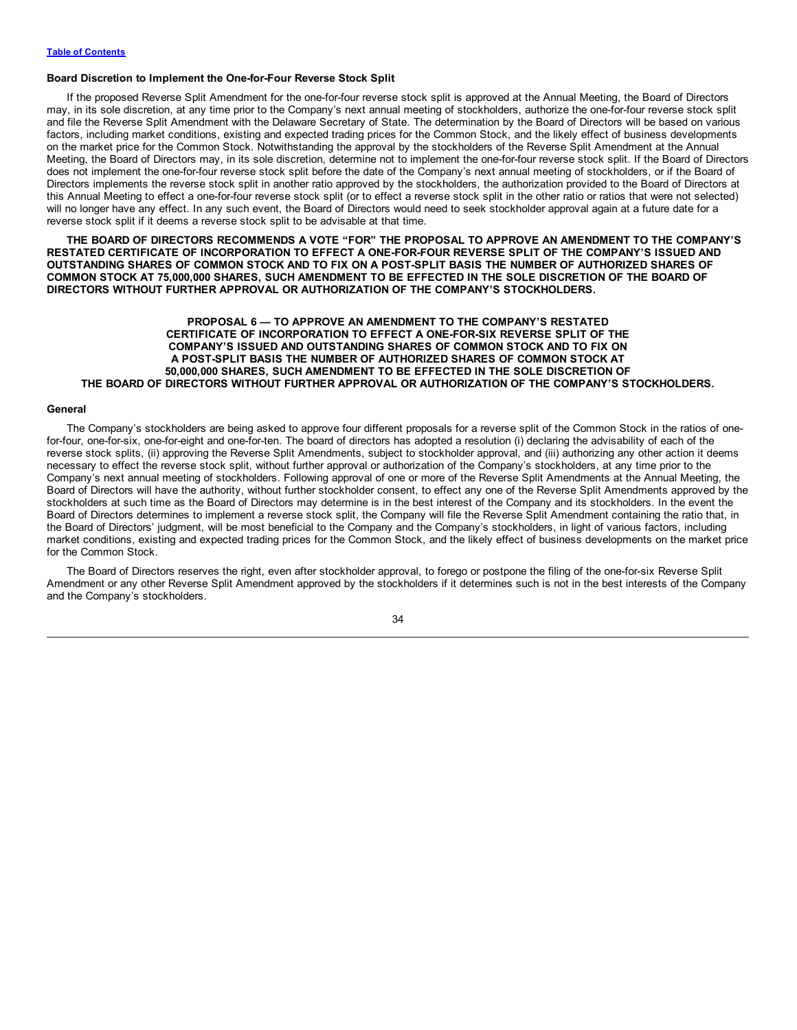#### <span id="page-37-0"></span>**Board Discretion to Implement the One-for-Four Reverse Stock Split**

If the proposed Reverse Split Amendment for the one-for-four reverse stock split is approved at the Annual Meeting, the Board of Directors may, in its sole discretion, at any time prior to the Company's next annual meeting of stockholders, authorize the one-for-four reverse stock split and file the Reverse Split Amendment with the Delaware Secretary of State. The determination by the Board of Directors will be based on various factors, including market conditions, existing and expected trading prices for the Common Stock, and the likely effect of business developments on the market price for the Common Stock. Notwithstanding the approval by the stockholders of the Reverse Split Amendment at the Annual Meeting, the Board of Directors may, in its sole discretion, determine not to implement the one-for-four reverse stock split. If the Board of Directors does not implement the one-for-four reverse stock split before the date of the Company's next annual meeting of stockholders, or if the Board of Directors implements the reverse stock split in another ratio approved by the stockholders, the authorization provided to the Board of Directors at this Annual Meeting to effect a one-for-four reverse stock split (or to effect a reverse stock split in the other ratio or ratios that were not selected) will no longer have any effect. In any such event, the Board of Directors would need to seek stockholder approval again at a future date for a reverse stock split if it deems a reverse stock split to be advisable at that time.

**THE BOARD OF DIRECTORS RECOMMENDS A VOTE "FOR" THE PROPOSAL TO APPROVE AN AMENDMENT TO THE COMPANY'S RESTATED CERTIFICATE OF INCORPORATION TO EFFECT A ONE-FOR-FOUR REVERSE SPLIT OF THE COMPANY'S ISSUED AND** OUTSTANDING SHARES OF COMMON STOCK AND TO FIX ON A POST-SPLIT BASIS THE NUMBER OF AUTHORIZED SHARES OF COMMON STOCK AT 75,000,000 SHARES, SUCH AMENDMENT TO BE EFFECTED IN THE SOLE DISCRETION OF THE BOARD OF **DIRECTORS WITHOUT FURTHER APPROVAL OR AUTHORIZATION OF THE COMPANY'S STOCKHOLDERS.**

# **PROPOSAL 6 — TO APPROVE AN AMENDMENT TO THE COMPANY'S RESTATED CERTIFICATE OF INCORPORATION TO EFFECT A ONE-FOR-SIX REVERSE SPLIT OF THE COMPANY'S ISSUED AND OUTSTANDING SHARES OF COMMON STOCK AND TO FIX ON A POST-SPLIT BASIS THE NUMBER OF AUTHORIZED SHARES OF COMMON STOCK AT 50,000,000 SHARES, SUCH AMENDMENT TO BE EFFECTED IN THE SOLE DISCRETION OF THE BOARD OF DIRECTORS WITHOUT FURTHER APPROVAL OR AUTHORIZATION OF THE COMPANY'S STOCKHOLDERS.**

#### **General**

The Company's stockholders are being asked to approve four different proposals for a reverse split of the Common Stock in the ratios of onefor-four, one-for-six, one-for-eight and one-for-ten. The board of directors has adopted a resolution (i) declaring the advisability of each of the reverse stock splits, (ii) approving the Reverse Split Amendments, subject to stockholder approval, and (iii) authorizing any other action it deems necessary to effect the reverse stock split, without further approval or authorization of the Company's stockholders, at any time prior to the Company's next annual meeting of stockholders. Following approval of one or more of the Reverse Split Amendments at the Annual Meeting, the Board of Directors will have the authority, without further stockholder consent, to effect any one of the Reverse Split Amendments approved by the stockholders at such time as the Board of Directors may determine is in the best interest of the Company and its stockholders. In the event the Board of Directors determines to implement a reverse stock split, the Company will file the Reverse Split Amendment containing the ratio that, in the Board of Directors' judgment, will be most beneficial to the Company and the Company's stockholders, in light of various factors, including market conditions, existing and expected trading prices for the Common Stock, and the likely effect of business developments on the market price for the Common Stock.

The Board of Directors reserves the right, even after stockholder approval, to forego or postpone the filing of the one-for-six Reverse Split Amendment or any other Reverse Split Amendment approved by the stockholders if it determines such is not in the best interests of the Company and the Company's stockholders.

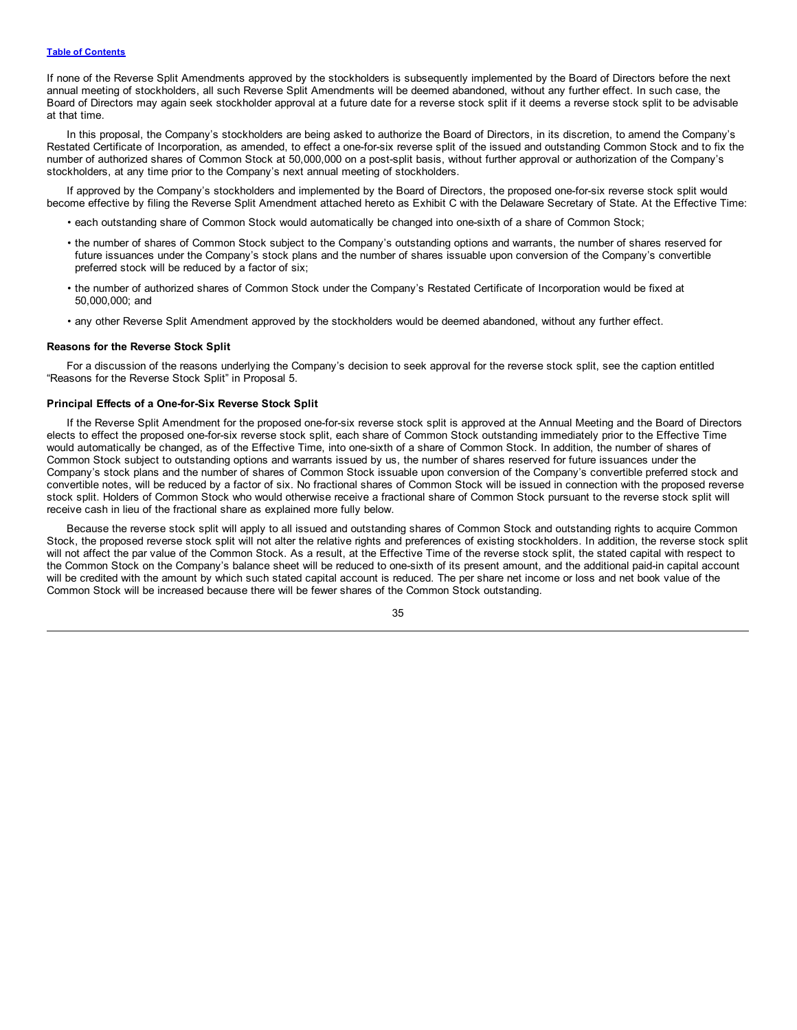If none of the Reverse Split Amendments approved by the stockholders is subsequently implemented by the Board of Directors before the next annual meeting of stockholders, all such Reverse Split Amendments will be deemed abandoned, without any further effect. In such case, the Board of Directors may again seek stockholder approval at a future date for a reverse stock split if it deems a reverse stock split to be advisable at that time.

In this proposal, the Company's stockholders are being asked to authorize the Board of Directors, in its discretion, to amend the Company's Restated Certificate of Incorporation, as amended, to effect a one-for-six reverse split of the issued and outstanding Common Stock and to fix the number of authorized shares of Common Stock at 50,000,000 on a post-split basis, without further approval or authorization of the Company's stockholders, at any time prior to the Company's next annual meeting of stockholders.

If approved by the Company's stockholders and implemented by the Board of Directors, the proposed one-for-six reverse stock split would become effective by filing the Reverse Split Amendment attached hereto as Exhibit C with the Delaware Secretary of State. At the Effective Time:

- each outstanding share of Common Stock would automatically be changed into one-sixth of a share of Common Stock;
- the number of shares of Common Stock subject to the Company's outstanding options and warrants, the number of shares reserved for future issuances under the Company's stock plans and the number of shares issuable upon conversion of the Company's convertible preferred stock will be reduced by a factor of six;
- the number of authorized shares of Common Stock under the Company's Restated Certificate of Incorporation would be fixed at 50,000,000; and
- any other Reverse Split Amendment approved by the stockholders would be deemed abandoned, without any further effect.

#### **Reasons for the Reverse Stock Split**

For a discussion of the reasons underlying the Company's decision to seek approval for the reverse stock split, see the caption entitled "Reasons for the Reverse Stock Split" in Proposal 5.

#### **Principal Effects of a One-for-Six Reverse Stock Split**

If the Reverse Split Amendment for the proposed one-for-six reverse stock split is approved at the Annual Meeting and the Board of Directors elects to effect the proposed one-for-six reverse stock split, each share of Common Stock outstanding immediately prior to the Effective Time would automatically be changed, as of the Effective Time, into one-sixth of a share of Common Stock. In addition, the number of shares of Common Stock subject to outstanding options and warrants issued by us, the number of shares reserved for future issuances under the Company's stock plans and the number of shares of Common Stock issuable upon conversion of the Company's convertible preferred stock and convertible notes, will be reduced by a factor of six. No fractional shares of Common Stock will be issued in connection with the proposed reverse stock split. Holders of Common Stock who would otherwise receive a fractional share of Common Stock pursuant to the reverse stock split will receive cash in lieu of the fractional share as explained more fully below.

Because the reverse stock split will apply to all issued and outstanding shares of Common Stock and outstanding rights to acquire Common Stock, the proposed reverse stock split will not alter the relative rights and preferences of existing stockholders. In addition, the reverse stock split will not affect the par value of the Common Stock. As a result, at the Effective Time of the reverse stock split, the stated capital with respect to the Common Stock on the Company's balance sheet will be reduced to one-sixth of its present amount, and the additional paid-in capital account will be credited with the amount by which such stated capital account is reduced. The per share net income or loss and net book value of the Common Stock will be increased because there will be fewer shares of the Common Stock outstanding.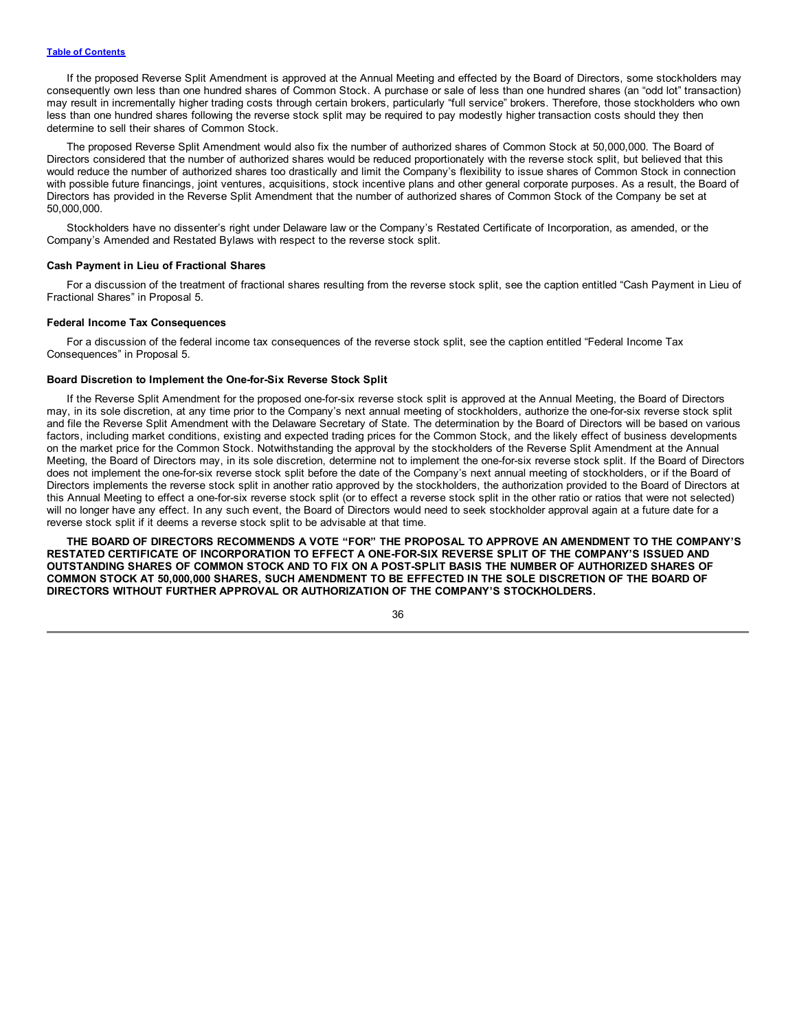If the proposed Reverse Split Amendment is approved at the Annual Meeting and effected by the Board of Directors, some stockholders may consequently own less than one hundred shares of Common Stock. A purchase or sale of less than one hundred shares (an "odd lot" transaction) may result in incrementally higher trading costs through certain brokers, particularly "full service" brokers. Therefore, those stockholders who own less than one hundred shares following the reverse stock split may be required to pay modestly higher transaction costs should they then determine to sell their shares of Common Stock.

The proposed Reverse Split Amendment would also fix the number of authorized shares of Common Stock at 50,000,000. The Board of Directors considered that the number of authorized shares would be reduced proportionately with the reverse stock split, but believed that this would reduce the number of authorized shares too drastically and limit the Company's flexibility to issue shares of Common Stock in connection with possible future financings, joint ventures, acquisitions, stock incentive plans and other general corporate purposes. As a result, the Board of Directors has provided in the Reverse Split Amendment that the number of authorized shares of Common Stock of the Company be set at 50,000,000.

Stockholders have no dissenter's right under Delaware law or the Company's Restated Certificate of Incorporation, as amended, or the Company's Amended and Restated Bylaws with respect to the reverse stock split.

## **Cash Payment in Lieu of Fractional Shares**

For a discussion of the treatment of fractional shares resulting from the reverse stock split, see the caption entitled "Cash Payment in Lieu of Fractional Shares" in Proposal 5.

#### **Federal Income Tax Consequences**

For a discussion of the federal income tax consequences of the reverse stock split, see the caption entitled "Federal Income Tax Consequences" in Proposal 5.

# **Board Discretion to Implement the One-for-Six Reverse Stock Split**

If the Reverse Split Amendment for the proposed one-for-six reverse stock split is approved at the Annual Meeting, the Board of Directors may, in its sole discretion, at any time prior to the Company's next annual meeting of stockholders, authorize the one-for-six reverse stock split and file the Reverse Split Amendment with the Delaware Secretary of State. The determination by the Board of Directors will be based on various factors, including market conditions, existing and expected trading prices for the Common Stock, and the likely effect of business developments on the market price for the Common Stock. Notwithstanding the approval by the stockholders of the Reverse Split Amendment at the Annual Meeting, the Board of Directors may, in its sole discretion, determine not to implement the one-for-six reverse stock split. If the Board of Directors does not implement the one-for-six reverse stock split before the date of the Company's next annual meeting of stockholders, or if the Board of Directors implements the reverse stock split in another ratio approved by the stockholders, the authorization provided to the Board of Directors at this Annual Meeting to effect a one-for-six reverse stock split (or to effect a reverse stock split in the other ratio or ratios that were not selected) will no longer have any effect. In any such event, the Board of Directors would need to seek stockholder approval again at a future date for a reverse stock split if it deems a reverse stock split to be advisable at that time.

**THE BOARD OF DIRECTORS RECOMMENDS A VOTE "FOR" THE PROPOSAL TO APPROVE AN AMENDMENT TO THE COMPANY'S RESTATED CERTIFICATE OF INCORPORATION TO EFFECT A ONE-FOR-SIX REVERSE SPLIT OF THE COMPANY'S ISSUED AND** OUTSTANDING SHARES OF COMMON STOCK AND TO FIX ON A POST-SPLIT BASIS THE NUMBER OF AUTHORIZED SHARES OF COMMON STOCK AT 50,000,000 SHARES, SUCH AMENDMENT TO BE EFFECTED IN THE SOLE DISCRETION OF THE BOARD OF **DIRECTORS WITHOUT FURTHER APPROVAL OR AUTHORIZATION OF THE COMPANY'S STOCKHOLDERS.**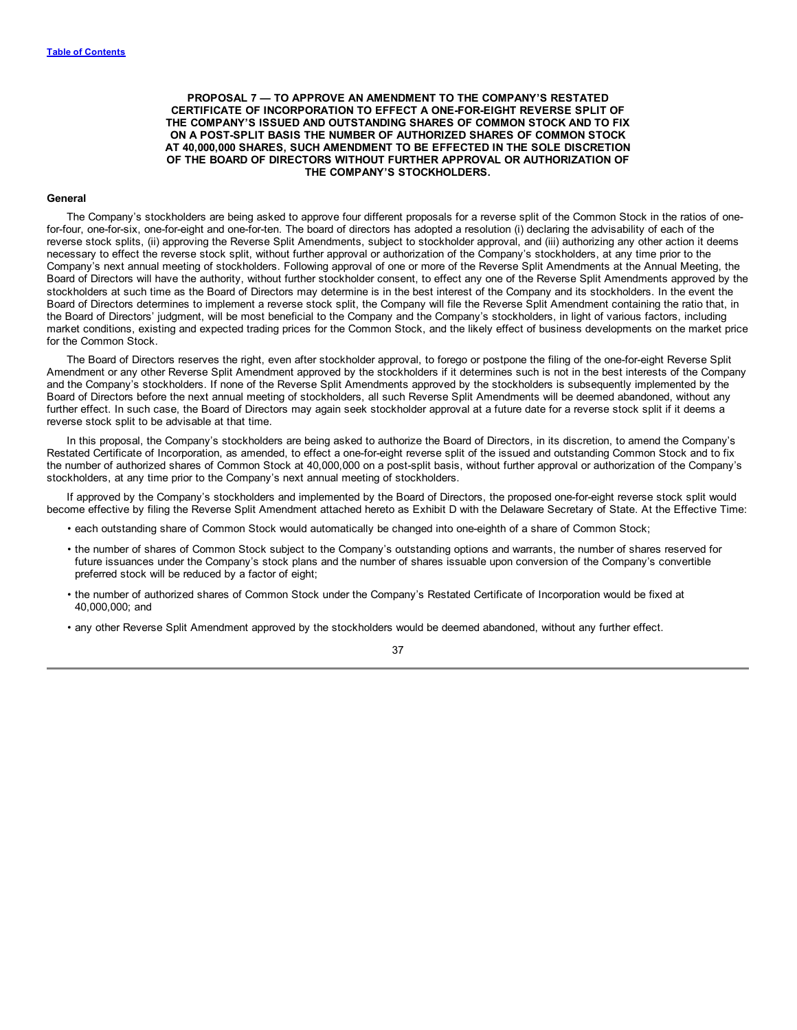<span id="page-40-0"></span>**PROPOSAL 7 — TO APPROVE AN AMENDMENT TO THE COMPANY'S RESTATED CERTIFICATE OF INCORPORATION TO EFFECT A ONE-FOR-EIGHT REVERSE SPLIT OF THE COMPANY'S ISSUED AND OUTSTANDING SHARES OF COMMON STOCK AND TO FIX ON A POST-SPLIT BASIS THE NUMBER OF AUTHORIZED SHARES OF COMMON STOCK AT 40,000,000 SHARES, SUCH AMENDMENT TO BE EFFECTED IN THE SOLE DISCRETION OF THE BOARD OF DIRECTORS WITHOUT FURTHER APPROVAL OR AUTHORIZATION OF THE COMPANY'S STOCKHOLDERS.**

#### **General**

The Company's stockholders are being asked to approve four different proposals for a reverse split of the Common Stock in the ratios of onefor-four, one-for-six, one-for-eight and one-for-ten. The board of directors has adopted a resolution (i) declaring the advisability of each of the reverse stock splits, (ii) approving the Reverse Split Amendments, subject to stockholder approval, and (iii) authorizing any other action it deems necessary to effect the reverse stock split, without further approval or authorization of the Company's stockholders, at any time prior to the Company's next annual meeting of stockholders. Following approval of one or more of the Reverse Split Amendments at the Annual Meeting, the Board of Directors will have the authority, without further stockholder consent, to effect any one of the Reverse Split Amendments approved by the stockholders at such time as the Board of Directors may determine is in the best interest of the Company and its stockholders. In the event the Board of Directors determines to implement a reverse stock split, the Company will file the Reverse Split Amendment containing the ratio that, in the Board of Directors' judgment, will be most beneficial to the Company and the Company's stockholders, in light of various factors, including market conditions, existing and expected trading prices for the Common Stock, and the likely effect of business developments on the market price for the Common Stock.

The Board of Directors reserves the right, even after stockholder approval, to forego or postpone the filing of the one-for-eight Reverse Split Amendment or any other Reverse Split Amendment approved by the stockholders if it determines such is not in the best interests of the Company and the Company's stockholders. If none of the Reverse Split Amendments approved by the stockholders is subsequently implemented by the Board of Directors before the next annual meeting of stockholders, all such Reverse Split Amendments will be deemed abandoned, without any further effect. In such case, the Board of Directors may again seek stockholder approval at a future date for a reverse stock split if it deems a reverse stock split to be advisable at that time.

In this proposal, the Company's stockholders are being asked to authorize the Board of Directors, in its discretion, to amend the Company's Restated Certificate of Incorporation, as amended, to effect a one-for-eight reverse split of the issued and outstanding Common Stock and to fix the number of authorized shares of Common Stock at 40,000,000 on a post-split basis, without further approval or authorization of the Company's stockholders, at any time prior to the Company's next annual meeting of stockholders.

If approved by the Company's stockholders and implemented by the Board of Directors, the proposed one-for-eight reverse stock split would become effective by filing the Reverse Split Amendment attached hereto as Exhibit D with the Delaware Secretary of State. At the Effective Time:

- each outstanding share of Common Stock would automatically be changed into one-eighth of a share of Common Stock;
- the number of shares of Common Stock subject to the Company's outstanding options and warrants, the number of shares reserved for future issuances under the Company's stock plans and the number of shares issuable upon conversion of the Company's convertible preferred stock will be reduced by a factor of eight;
- the number of authorized shares of Common Stock under the Company's Restated Certificate of Incorporation would be fixed at 40,000,000; and
- any other Reverse Split Amendment approved by the stockholders would be deemed abandoned, without any further effect.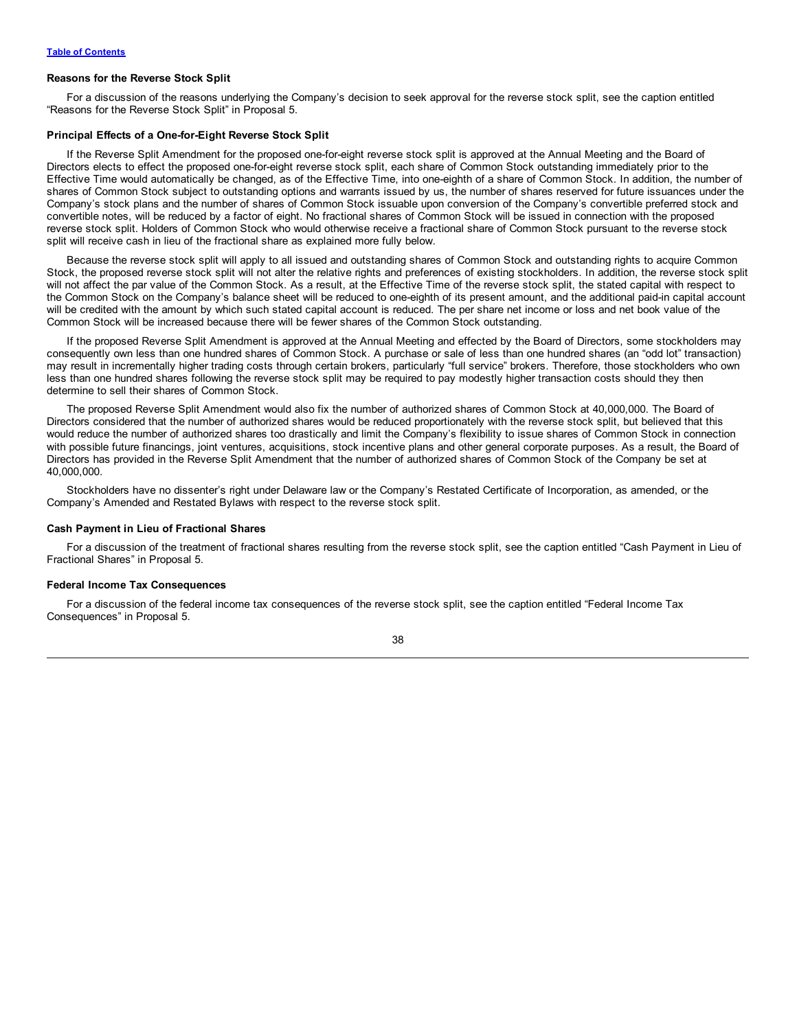#### **Reasons for the Reverse Stock Split**

For a discussion of the reasons underlying the Company's decision to seek approval for the reverse stock split, see the caption entitled "Reasons for the Reverse Stock Split" in Proposal 5.

#### **Principal Effects of a One-for-Eight Reverse Stock Split**

If the Reverse Split Amendment for the proposed one-for-eight reverse stock split is approved at the Annual Meeting and the Board of Directors elects to effect the proposed one-for-eight reverse stock split, each share of Common Stock outstanding immediately prior to the Effective Time would automatically be changed, as of the Effective Time, into one-eighth of a share of Common Stock. In addition, the number of shares of Common Stock subject to outstanding options and warrants issued by us, the number of shares reserved for future issuances under the Company's stock plans and the number of shares of Common Stock issuable upon conversion of the Company's convertible preferred stock and convertible notes, will be reduced by a factor of eight. No fractional shares of Common Stock will be issued in connection with the proposed reverse stock split. Holders of Common Stock who would otherwise receive a fractional share of Common Stock pursuant to the reverse stock split will receive cash in lieu of the fractional share as explained more fully below.

Because the reverse stock split will apply to all issued and outstanding shares of Common Stock and outstanding rights to acquire Common Stock, the proposed reverse stock split will not alter the relative rights and preferences of existing stockholders. In addition, the reverse stock split will not affect the par value of the Common Stock. As a result, at the Effective Time of the reverse stock split, the stated capital with respect to the Common Stock on the Company's balance sheet will be reduced to one-eighth of its present amount, and the additional paid-in capital account will be credited with the amount by which such stated capital account is reduced. The per share net income or loss and net book value of the Common Stock will be increased because there will be fewer shares of the Common Stock outstanding.

If the proposed Reverse Split Amendment is approved at the Annual Meeting and effected by the Board of Directors, some stockholders may consequently own less than one hundred shares of Common Stock. A purchase or sale of less than one hundred shares (an "odd lot" transaction) may result in incrementally higher trading costs through certain brokers, particularly "full service" brokers. Therefore, those stockholders who own less than one hundred shares following the reverse stock split may be required to pay modestly higher transaction costs should they then determine to sell their shares of Common Stock.

The proposed Reverse Split Amendment would also fix the number of authorized shares of Common Stock at 40,000,000. The Board of Directors considered that the number of authorized shares would be reduced proportionately with the reverse stock split, but believed that this would reduce the number of authorized shares too drastically and limit the Company's flexibility to issue shares of Common Stock in connection with possible future financings, joint ventures, acquisitions, stock incentive plans and other general corporate purposes. As a result, the Board of Directors has provided in the Reverse Split Amendment that the number of authorized shares of Common Stock of the Company be set at 40,000,000.

Stockholders have no dissenter's right under Delaware law or the Company's Restated Certificate of Incorporation, as amended, or the Company's Amended and Restated Bylaws with respect to the reverse stock split.

#### **Cash Payment in Lieu of Fractional Shares**

For a discussion of the treatment of fractional shares resulting from the reverse stock split, see the caption entitled "Cash Payment in Lieu of Fractional Shares" in Proposal 5.

## **Federal Income Tax Consequences**

For a discussion of the federal income tax consequences of the reverse stock split, see the caption entitled "Federal Income Tax Consequences" in Proposal 5.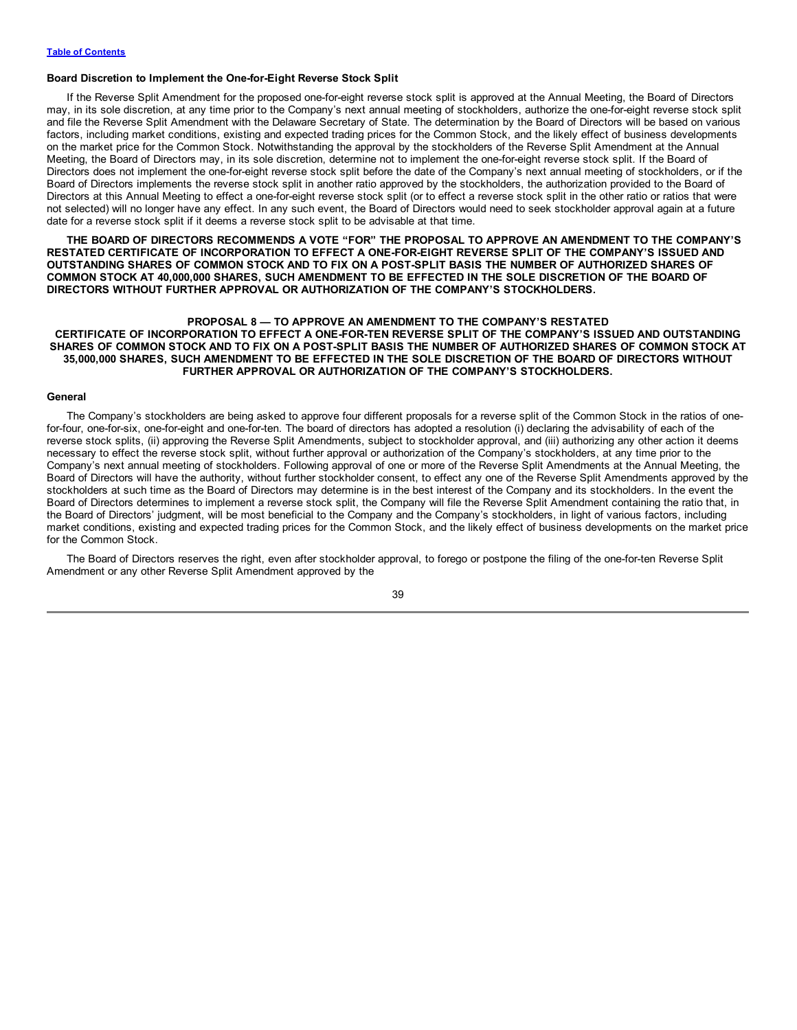#### <span id="page-42-0"></span>**Board Discretion to Implement the One-for-Eight Reverse Stock Split**

If the Reverse Split Amendment for the proposed one-for-eight reverse stock split is approved at the Annual Meeting, the Board of Directors may, in its sole discretion, at any time prior to the Company's next annual meeting of stockholders, authorize the one-for-eight reverse stock split and file the Reverse Split Amendment with the Delaware Secretary of State. The determination by the Board of Directors will be based on various factors, including market conditions, existing and expected trading prices for the Common Stock, and the likely effect of business developments on the market price for the Common Stock. Notwithstanding the approval by the stockholders of the Reverse Split Amendment at the Annual Meeting, the Board of Directors may, in its sole discretion, determine not to implement the one-for-eight reverse stock split. If the Board of Directors does not implement the one-for-eight reverse stock split before the date of the Company's next annual meeting of stockholders, or if the Board of Directors implements the reverse stock split in another ratio approved by the stockholders, the authorization provided to the Board of Directors at this Annual Meeting to effect a one-for-eight reverse stock split (or to effect a reverse stock split in the other ratio or ratios that were not selected) will no longer have any effect. In any such event, the Board of Directors would need to seek stockholder approval again at a future date for a reverse stock split if it deems a reverse stock split to be advisable at that time.

**THE BOARD OF DIRECTORS RECOMMENDS A VOTE "FOR" THE PROPOSAL TO APPROVE AN AMENDMENT TO THE COMPANY'S RESTATED CERTIFICATE OF INCORPORATION TO EFFECT A ONE-FOR-EIGHT REVERSE SPLIT OF THE COMPANY'S ISSUED AND** OUTSTANDING SHARES OF COMMON STOCK AND TO FIX ON A POST-SPLIT BASIS THE NUMBER OF AUTHORIZED SHARES OF COMMON STOCK AT 40,000,000 SHARES, SUCH AMENDMENT TO BE EFFECTED IN THE SOLE DISCRETION OF THE BOARD OF **DIRECTORS WITHOUT FURTHER APPROVAL OR AUTHORIZATION OF THE COMPANY'S STOCKHOLDERS.**

# **PROPOSAL 8 — TO APPROVE AN AMENDMENT TO THE COMPANY'S RESTATED CERTIFICATE OF INCORPORATION TO EFFECT A ONE-FOR-TEN REVERSE SPLIT OF THE COMPANY'S ISSUED AND OUTSTANDING** SHARES OF COMMON STOCK AND TO FIX ON A POST-SPLIT BASIS THE NUMBER OF AUTHORIZED SHARES OF COMMON STOCK AT **35,000,000 SHARES, SUCH AMENDMENT TO BE EFFECTED IN THE SOLE DISCRETION OF THE BOARD OF DIRECTORS WITHOUT FURTHER APPROVAL OR AUTHORIZATION OF THE COMPANY'S STOCKHOLDERS.**

#### **General**

The Company's stockholders are being asked to approve four different proposals for a reverse split of the Common Stock in the ratios of onefor-four, one-for-six, one-for-eight and one-for-ten. The board of directors has adopted a resolution (i) declaring the advisability of each of the reverse stock splits, (ii) approving the Reverse Split Amendments, subject to stockholder approval, and (iii) authorizing any other action it deems necessary to effect the reverse stock split, without further approval or authorization of the Company's stockholders, at any time prior to the Company's next annual meeting of stockholders. Following approval of one or more of the Reverse Split Amendments at the Annual Meeting, the Board of Directors will have the authority, without further stockholder consent, to effect any one of the Reverse Split Amendments approved by the stockholders at such time as the Board of Directors may determine is in the best interest of the Company and its stockholders. In the event the Board of Directors determines to implement a reverse stock split, the Company will file the Reverse Split Amendment containing the ratio that, in the Board of Directors' judgment, will be most beneficial to the Company and the Company's stockholders, in light of various factors, including market conditions, existing and expected trading prices for the Common Stock, and the likely effect of business developments on the market price for the Common Stock.

The Board of Directors reserves the right, even after stockholder approval, to forego or postpone the filing of the one-for-ten Reverse Split Amendment or any other Reverse Split Amendment approved by the

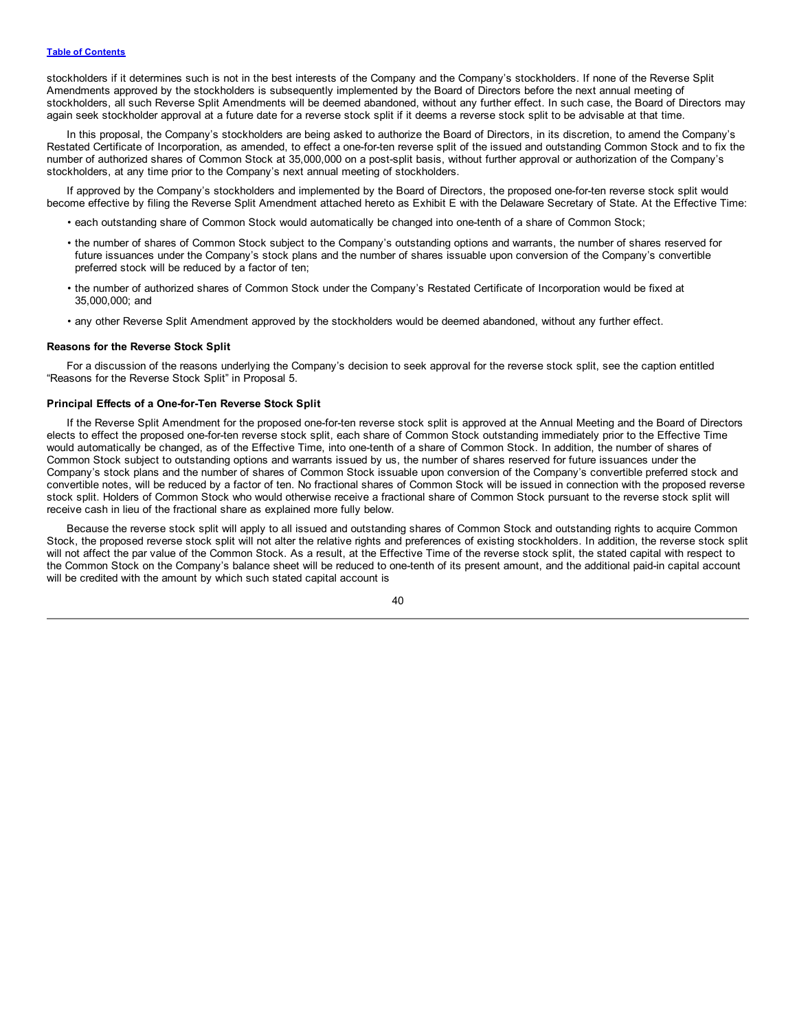stockholders if it determines such is not in the best interests of the Company and the Company's stockholders. If none of the Reverse Split Amendments approved by the stockholders is subsequently implemented by the Board of Directors before the next annual meeting of stockholders, all such Reverse Split Amendments will be deemed abandoned, without any further effect. In such case, the Board of Directors may again seek stockholder approval at a future date for a reverse stock split if it deems a reverse stock split to be advisable at that time.

In this proposal, the Company's stockholders are being asked to authorize the Board of Directors, in its discretion, to amend the Company's Restated Certificate of Incorporation, as amended, to effect a one-for-ten reverse split of the issued and outstanding Common Stock and to fix the number of authorized shares of Common Stock at 35,000,000 on a post-split basis, without further approval or authorization of the Company's stockholders, at any time prior to the Company's next annual meeting of stockholders.

If approved by the Company's stockholders and implemented by the Board of Directors, the proposed one-for-ten reverse stock split would become effective by filing the Reverse Split Amendment attached hereto as Exhibit E with the Delaware Secretary of State. At the Effective Time:

- each outstanding share of Common Stock would automatically be changed into one-tenth of a share of Common Stock;
- the number of shares of Common Stock subject to the Company's outstanding options and warrants, the number of shares reserved for future issuances under the Company's stock plans and the number of shares issuable upon conversion of the Company's convertible preferred stock will be reduced by a factor of ten;
- the number of authorized shares of Common Stock under the Company's Restated Certificate of Incorporation would be fixed at 35,000,000; and
- any other Reverse Split Amendment approved by the stockholders would be deemed abandoned, without any further effect.

#### **Reasons for the Reverse Stock Split**

For a discussion of the reasons underlying the Company's decision to seek approval for the reverse stock split, see the caption entitled "Reasons for the Reverse Stock Split" in Proposal 5.

#### **Principal Effects of a One-for-Ten Reverse Stock Split**

If the Reverse Split Amendment for the proposed one-for-ten reverse stock split is approved at the Annual Meeting and the Board of Directors elects to effect the proposed one-for-ten reverse stock split, each share of Common Stock outstanding immediately prior to the Effective Time would automatically be changed, as of the Effective Time, into one-tenth of a share of Common Stock. In addition, the number of shares of Common Stock subject to outstanding options and warrants issued by us, the number of shares reserved for future issuances under the Company's stock plans and the number of shares of Common Stock issuable upon conversion of the Company's convertible preferred stock and convertible notes, will be reduced by a factor of ten. No fractional shares of Common Stock will be issued in connection with the proposed reverse stock split. Holders of Common Stock who would otherwise receive a fractional share of Common Stock pursuant to the reverse stock split will receive cash in lieu of the fractional share as explained more fully below.

Because the reverse stock split will apply to all issued and outstanding shares of Common Stock and outstanding rights to acquire Common Stock, the proposed reverse stock split will not alter the relative rights and preferences of existing stockholders. In addition, the reverse stock split will not affect the par value of the Common Stock. As a result, at the Effective Time of the reverse stock split, the stated capital with respect to the Common Stock on the Company's balance sheet will be reduced to one-tenth of its present amount, and the additional paid-in capital account will be credited with the amount by which such stated capital account is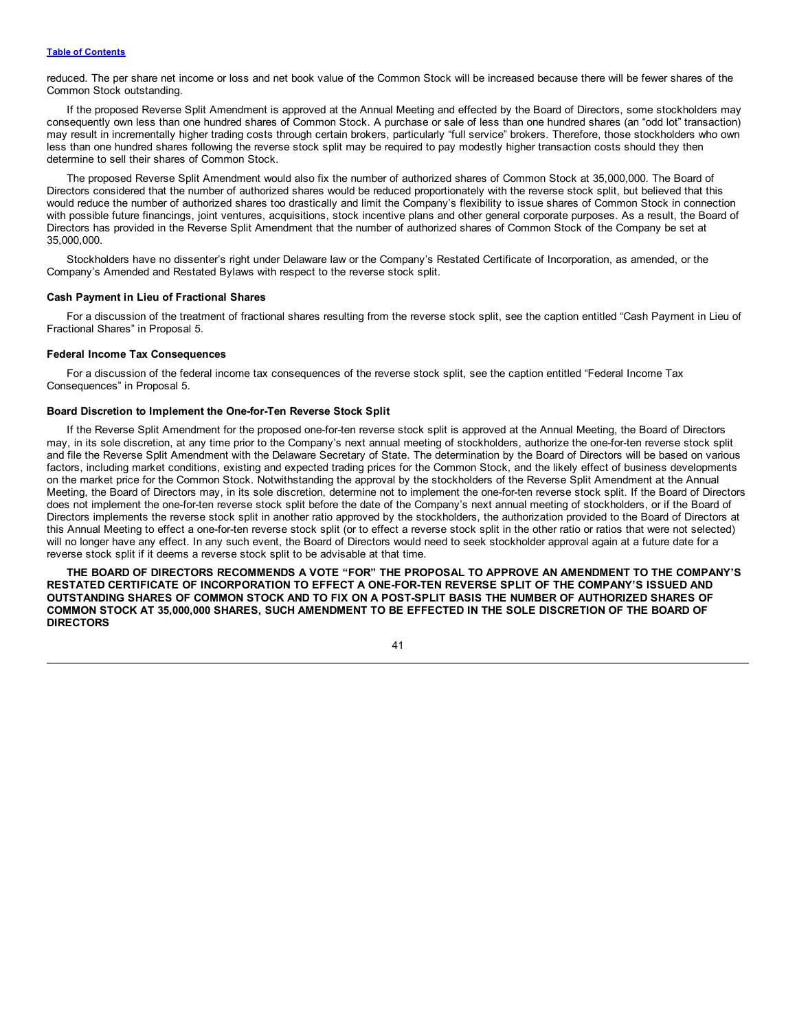reduced. The per share net income or loss and net book value of the Common Stock will be increased because there will be fewer shares of the Common Stock outstanding.

If the proposed Reverse Split Amendment is approved at the Annual Meeting and effected by the Board of Directors, some stockholders may consequently own less than one hundred shares of Common Stock. A purchase or sale of less than one hundred shares (an "odd lot" transaction) may result in incrementally higher trading costs through certain brokers, particularly "full service" brokers. Therefore, those stockholders who own less than one hundred shares following the reverse stock split may be required to pay modestly higher transaction costs should they then determine to sell their shares of Common Stock.

The proposed Reverse Split Amendment would also fix the number of authorized shares of Common Stock at 35,000,000. The Board of Directors considered that the number of authorized shares would be reduced proportionately with the reverse stock split, but believed that this would reduce the number of authorized shares too drastically and limit the Company's flexibility to issue shares of Common Stock in connection with possible future financings, joint ventures, acquisitions, stock incentive plans and other general corporate purposes. As a result, the Board of Directors has provided in the Reverse Split Amendment that the number of authorized shares of Common Stock of the Company be set at 35,000,000.

Stockholders have no dissenter's right under Delaware law or the Company's Restated Certificate of Incorporation, as amended, or the Company's Amended and Restated Bylaws with respect to the reverse stock split.

#### **Cash Payment in Lieu of Fractional Shares**

For a discussion of the treatment of fractional shares resulting from the reverse stock split, see the caption entitled "Cash Payment in Lieu of Fractional Shares" in Proposal 5.

# **Federal Income Tax Consequences**

For a discussion of the federal income tax consequences of the reverse stock split, see the caption entitled "Federal Income Tax Consequences" in Proposal 5.

#### **Board Discretion to Implement the One-for-Ten Reverse Stock Split**

If the Reverse Split Amendment for the proposed one-for-ten reverse stock split is approved at the Annual Meeting, the Board of Directors may, in its sole discretion, at any time prior to the Company's next annual meeting of stockholders, authorize the one-for-ten reverse stock split and file the Reverse Split Amendment with the Delaware Secretary of State. The determination by the Board of Directors will be based on various factors, including market conditions, existing and expected trading prices for the Common Stock, and the likely effect of business developments on the market price for the Common Stock. Notwithstanding the approval by the stockholders of the Reverse Split Amendment at the Annual Meeting, the Board of Directors may, in its sole discretion, determine not to implement the one-for-ten reverse stock split. If the Board of Directors does not implement the one-for-ten reverse stock split before the date of the Company's next annual meeting of stockholders, or if the Board of Directors implements the reverse stock split in another ratio approved by the stockholders, the authorization provided to the Board of Directors at this Annual Meeting to effect a one-for-ten reverse stock split (or to effect a reverse stock split in the other ratio or ratios that were not selected) will no longer have any effect. In any such event, the Board of Directors would need to seek stockholder approval again at a future date for a reverse stock split if it deems a reverse stock split to be advisable at that time.

**THE BOARD OF DIRECTORS RECOMMENDS A VOTE "FOR" THE PROPOSAL TO APPROVE AN AMENDMENT TO THE COMPANY'S RESTATED CERTIFICATE OF INCORPORATION TO EFFECT A ONE-FOR-TEN REVERSE SPLIT OF THE COMPANY'S ISSUED AND** OUTSTANDING SHARES OF COMMON STOCK AND TO FIX ON A POST-SPLIT BASIS THE NUMBER OF AUTHORIZED SHARES OF COMMON STOCK AT 35,000,000 SHARES, SUCH AMENDMENT TO BE EFFECTED IN THE SOLE DISCRETION OF THE BOARD OF **DIRECTORS**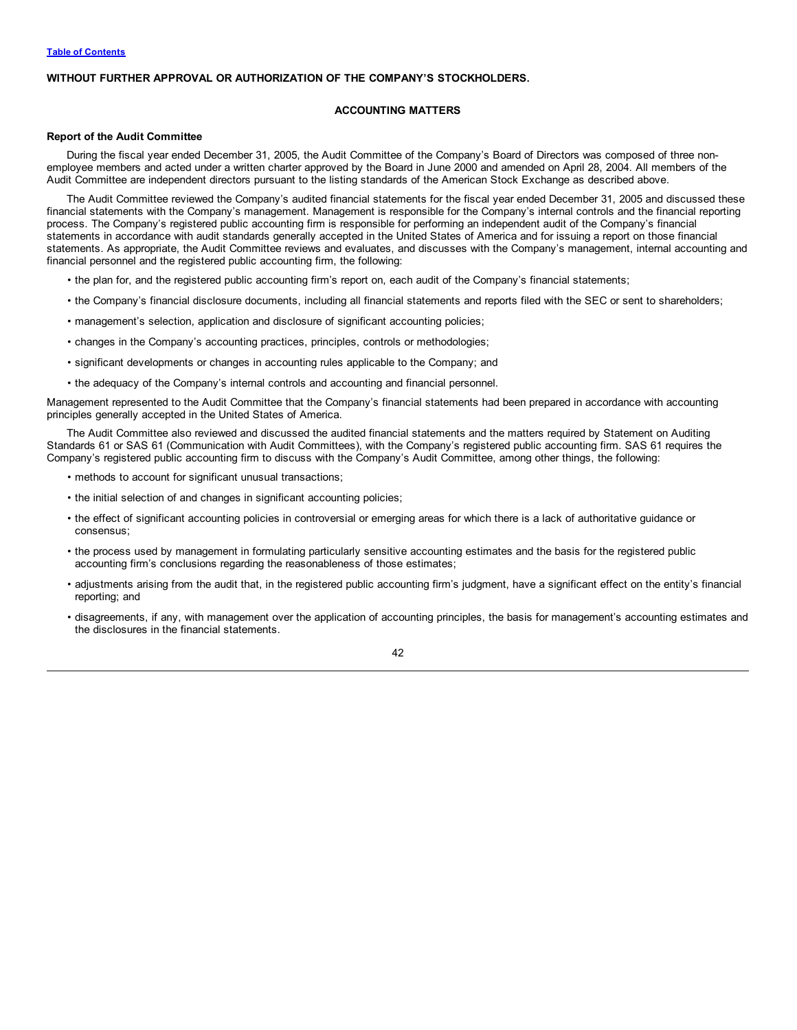# <span id="page-45-0"></span>**WITHOUT FURTHER APPROVAL OR AUTHORIZATION OF THE COMPANY'S STOCKHOLDERS.**

# **ACCOUNTING MATTERS**

#### **Report of the Audit Committee**

During the fiscal year ended December 31, 2005, the Audit Committee of the Company's Board of Directors was composed of three nonemployee members and acted under a written charter approved by the Board in June 2000 and amended on April 28, 2004. All members of the Audit Committee are independent directors pursuant to the listing standards of the American Stock Exchange as described above.

The Audit Committee reviewed the Company's audited financial statements for the fiscal year ended December 31, 2005 and discussed these financial statements with the Company's management. Management is responsible for the Company's internal controls and the financial reporting process. The Company's registered public accounting firm is responsible for performing an independent audit of the Company's financial statements in accordance with audit standards generally accepted in the United States of America and for issuing a report on those financial statements. As appropriate, the Audit Committee reviews and evaluates, and discusses with the Company's management, internal accounting and financial personnel and the registered public accounting firm, the following:

- the plan for, and the registered public accounting firm's report on, each audit of the Company's financial statements;
- the Company's financial disclosure documents, including all financial statements and reports filed with the SEC or sent to shareholders;
- management's selection, application and disclosure of significant accounting policies;
- changes in the Company's accounting practices, principles, controls or methodologies;
- significant developments or changes in accounting rules applicable to the Company; and
- the adequacy of the Company's internal controls and accounting and financial personnel.

Management represented to the Audit Committee that the Company's financial statements had been prepared in accordance with accounting principles generally accepted in the United States of America.

The Audit Committee also reviewed and discussed the audited financial statements and the matters required by Statement on Auditing Standards 61 or SAS 61 (Communication with Audit Committees), with the Company's registered public accounting firm. SAS 61 requires the Company's registered public accounting firm to discuss with the Company's Audit Committee, among other things, the following:

- methods to account for significant unusual transactions;
- the initial selection of and changes in significant accounting policies;
- the effect of significant accounting policies in controversial or emerging areas for which there is a lack of authoritative guidance or consensus;
- the process used by management in formulating particularly sensitive accounting estimates and the basis for the registered public accounting firm's conclusions regarding the reasonableness of those estimates;
- adjustments arising from the audit that, in the registered public accounting firm's judgment, have a significant effect on the entity's financial reporting; and
- disagreements, if any, with management over the application of accounting principles, the basis for management's accounting estimates and the disclosures in the financial statements.

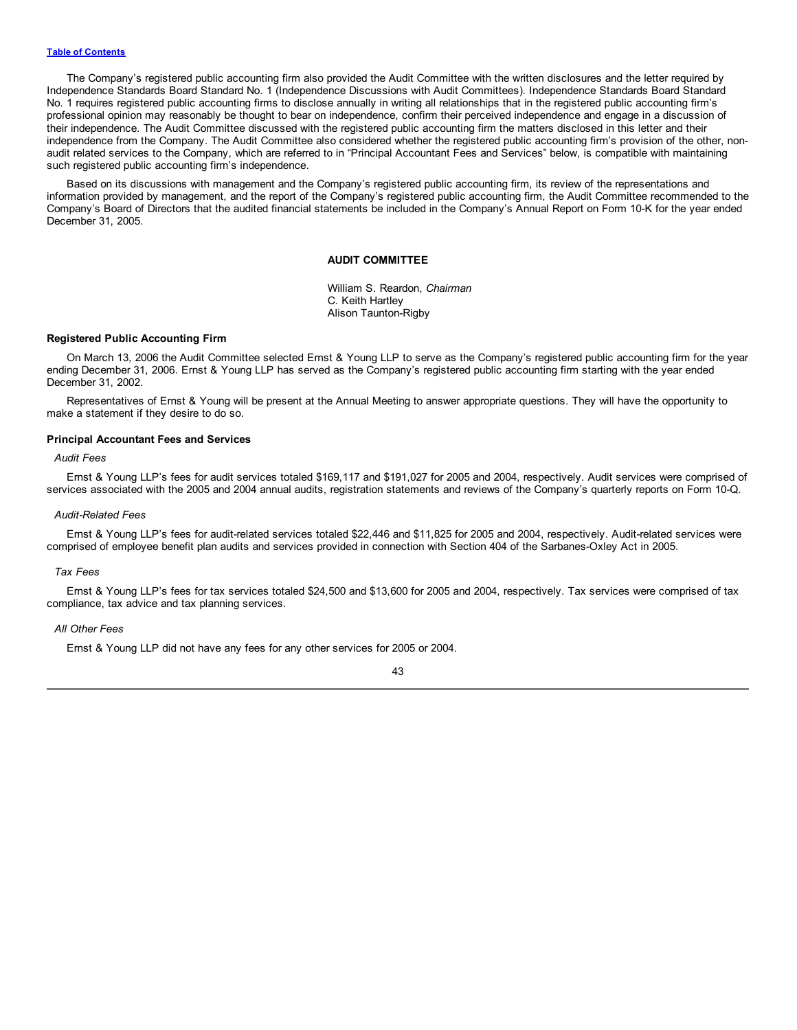The Company's registered public accounting firm also provided the Audit Committee with the written disclosures and the letter required by Independence Standards Board Standard No. 1 (Independence Discussions with Audit Committees). Independence Standards Board Standard No. 1 requires registered public accounting firms to disclose annually in writing all relationships that in the registered public accounting firm's professional opinion may reasonably be thought to bear on independence, confirm their perceived independence and engage in a discussion of their independence. The Audit Committee discussed with the registered public accounting firm the matters disclosed in this letter and their independence from the Company. The Audit Committee also considered whether the registered public accounting firm's provision of the other, nonaudit related services to the Company, which are referred to in "Principal Accountant Fees and Services" below, is compatible with maintaining such registered public accounting firm's independence.

Based on its discussions with management and the Company's registered public accounting firm, its review of the representations and information provided by management, and the report of the Company's registered public accounting firm, the Audit Committee recommended to the Company's Board of Directors that the audited financial statements be included in the Company's Annual Report on Form 10-K for the year ended December 31, 2005.

#### **AUDIT COMMITTEE**

William S. Reardon, *Chairman* C. Keith Hartley Alison Taunton-Rigby

#### **Registered Public Accounting Firm**

On March 13, 2006 the Audit Committee selected Ernst & Young LLP to serve as the Company's registered public accounting firm for the year ending December 31, 2006. Ernst & Young LLP has served as the Company's registered public accounting firm starting with the year ended December 31, 2002.

Representatives of Ernst & Young will be present at the Annual Meeting to answer appropriate questions. They will have the opportunity to make a statement if they desire to do so.

#### **Principal Accountant Fees and Services**

# *Audit Fees*

Ernst & Young LLP's fees for audit services totaled \$169,117 and \$191,027 for 2005 and 2004, respectively. Audit services were comprised of services associated with the 2005 and 2004 annual audits, registration statements and reviews of the Company's quarterly reports on Form 10-Q.

#### *Audit-Related Fees*

Ernst & Young LLP's fees for audit-related services totaled \$22,446 and \$11,825 for 2005 and 2004, respectively. Audit-related services were comprised of employee benefit plan audits and services provided in connection with Section 404 of the Sarbanes-Oxley Act in 2005.

#### *Tax Fees*

Ernst & Young LLP's fees for tax services totaled \$24,500 and \$13,600 for 2005 and 2004, respectively. Tax services were comprised of tax compliance, tax advice and tax planning services.

#### *All Other Fees*

Ernst & Young LLP did not have any fees for any other services for 2005 or 2004.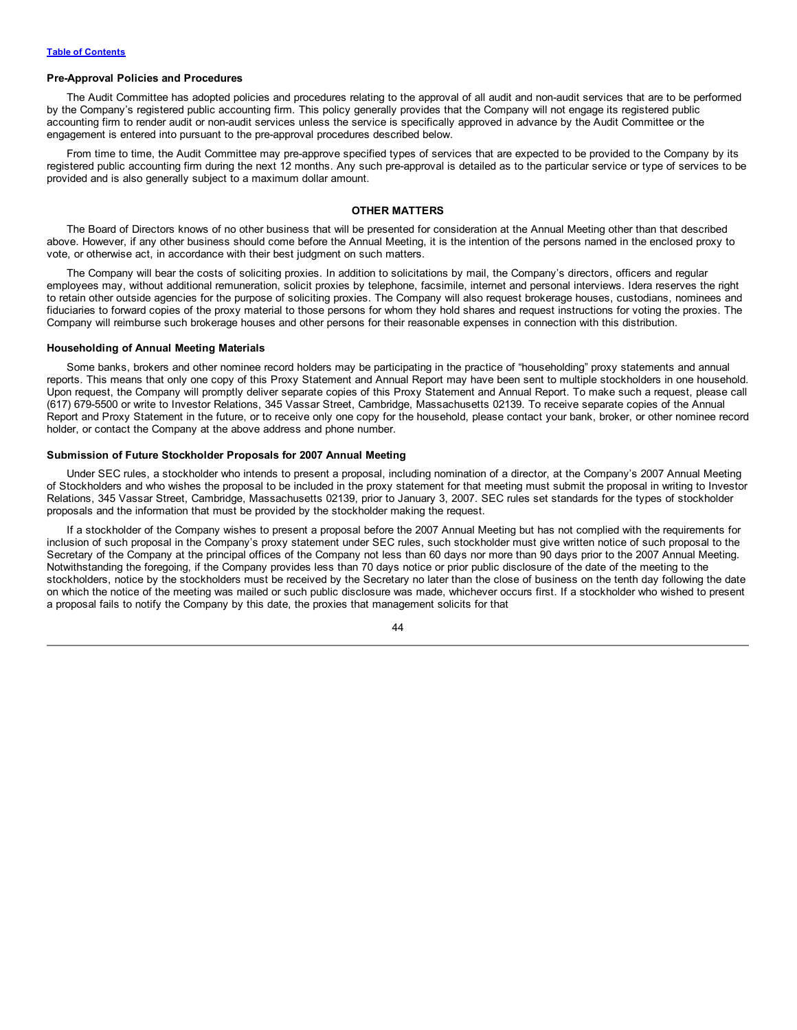#### <span id="page-47-0"></span>**Pre-Approval Policies and Procedures**

The Audit Committee has adopted policies and procedures relating to the approval of all audit and non-audit services that are to be performed by the Company's registered public accounting firm. This policy generally provides that the Company will not engage its registered public accounting firm to render audit or non-audit services unless the service is specifically approved in advance by the Audit Committee or the engagement is entered into pursuant to the pre-approval procedures described below.

From time to time, the Audit Committee may pre-approve specified types of services that are expected to be provided to the Company by its registered public accounting firm during the next 12 months. Any such pre-approval is detailed as to the particular service or type of services to be provided and is also generally subject to a maximum dollar amount.

# **OTHER MATTERS**

The Board of Directors knows of no other business that will be presented for consideration at the Annual Meeting other than that described above. However, if any other business should come before the Annual Meeting, it is the intention of the persons named in the enclosed proxy to vote, or otherwise act, in accordance with their best judgment on such matters.

The Company will bear the costs of soliciting proxies. In addition to solicitations by mail, the Company's directors, officers and regular employees may, without additional remuneration, solicit proxies by telephone, facsimile, internet and personal interviews. Idera reserves the right to retain other outside agencies for the purpose of soliciting proxies. The Company will also request brokerage houses, custodians, nominees and fiduciaries to forward copies of the proxy material to those persons for whom they hold shares and request instructions for voting the proxies. The Company will reimburse such brokerage houses and other persons for their reasonable expenses in connection with this distribution.

#### **Householding of Annual Meeting Materials**

Some banks, brokers and other nominee record holders may be participating in the practice of "householding" proxy statements and annual reports. This means that only one copy of this Proxy Statement and Annual Report may have been sent to multiple stockholders in one household. Upon request, the Company will promptly deliver separate copies of this Proxy Statement and Annual Report. To make such a request, please call (617) 679-5500 or write to Investor Relations, 345 Vassar Street, Cambridge, Massachusetts 02139. To receive separate copies of the Annual Report and Proxy Statement in the future, or to receive only one copy for the household, please contact your bank, broker, or other nominee record holder, or contact the Company at the above address and phone number.

# **Submission of Future Stockholder Proposals for 2007 Annual Meeting**

Under SEC rules, a stockholder who intends to present a proposal, including nomination of a director, at the Company's 2007 Annual Meeting of Stockholders and who wishes the proposal to be included in the proxy statement for that meeting must submit the proposal in writing to Investor Relations, 345 Vassar Street, Cambridge, Massachusetts 02139, prior to January 3, 2007. SEC rules set standards for the types of stockholder proposals and the information that must be provided by the stockholder making the request.

If a stockholder of the Company wishes to present a proposal before the 2007 Annual Meeting but has not complied with the requirements for inclusion of such proposal in the Company's proxy statement under SEC rules, such stockholder must give written notice of such proposal to the Secretary of the Company at the principal offices of the Company not less than 60 days nor more than 90 days prior to the 2007 Annual Meeting. Notwithstanding the foregoing, if the Company provides less than 70 days notice or prior public disclosure of the date of the meeting to the stockholders, notice by the stockholders must be received by the Secretary no later than the close of business on the tenth day following the date on which the notice of the meeting was mailed or such public disclosure was made, whichever occurs first. If a stockholder who wished to present a proposal fails to notify the Company by this date, the proxies that management solicits for that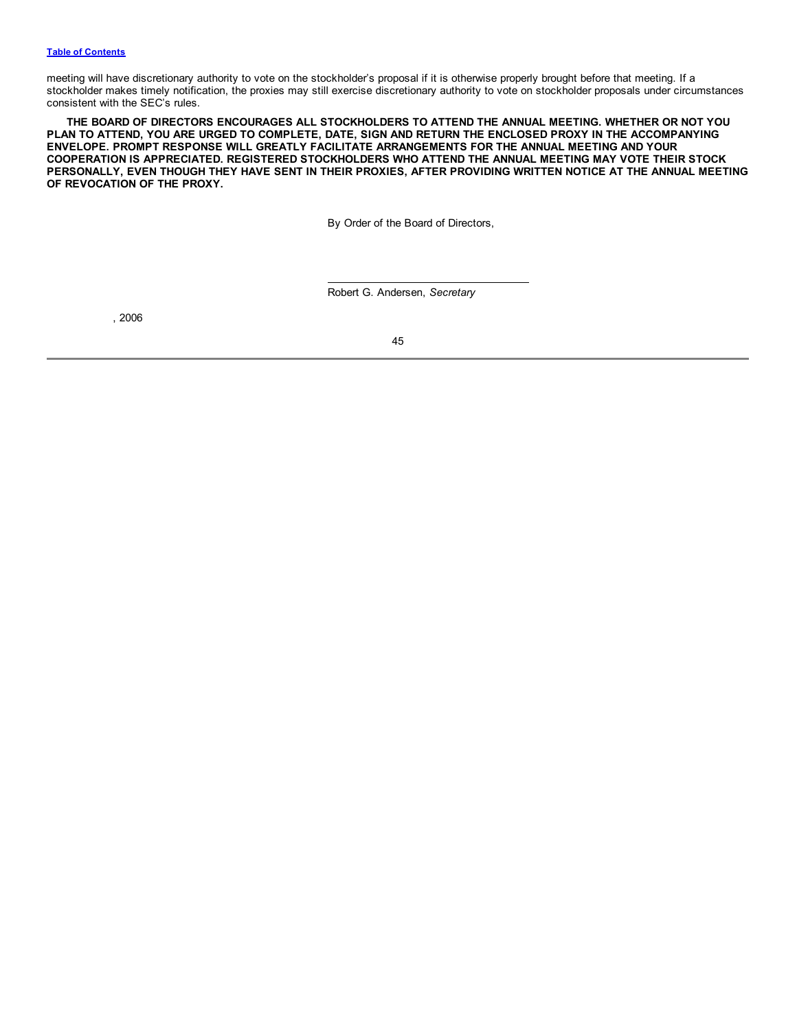meeting will have discretionary authority to vote on the stockholder's proposal if it is otherwise properly brought before that meeting. If a stockholder makes timely notification, the proxies may still exercise discretionary authority to vote on stockholder proposals under circumstances consistent with the SEC's rules.

**THE BOARD OF DIRECTORS ENCOURAGES ALL STOCKHOLDERS TO ATTEND THE ANNUAL MEETING. WHETHER OR NOT YOU** PLAN TO ATTEND, YOU ARE URGED TO COMPLETE, DATE, SIGN AND RETURN THE ENCLOSED PROXY IN THE ACCOMPANYING **ENVELOPE. PROMPT RESPONSE WILL GREATLY FACILITATE ARRANGEMENTS FOR THE ANNUAL MEETING AND YOUR COOPERATION IS APPRECIATED. REGISTERED STOCKHOLDERS WHO ATTEND THE ANNUAL MEETING MAY VOTE THEIR STOCK** PERSONALLY, EVEN THOUGH THEY HAVE SENT IN THEIR PROXIES, AFTER PROVIDING WRITTEN NOTICE AT THE ANNUAL MEETING **OF REVOCATION OF THE PROXY.**

By Order of the Board of Directors,

Robert G. Andersen, *Secretary*

, 2006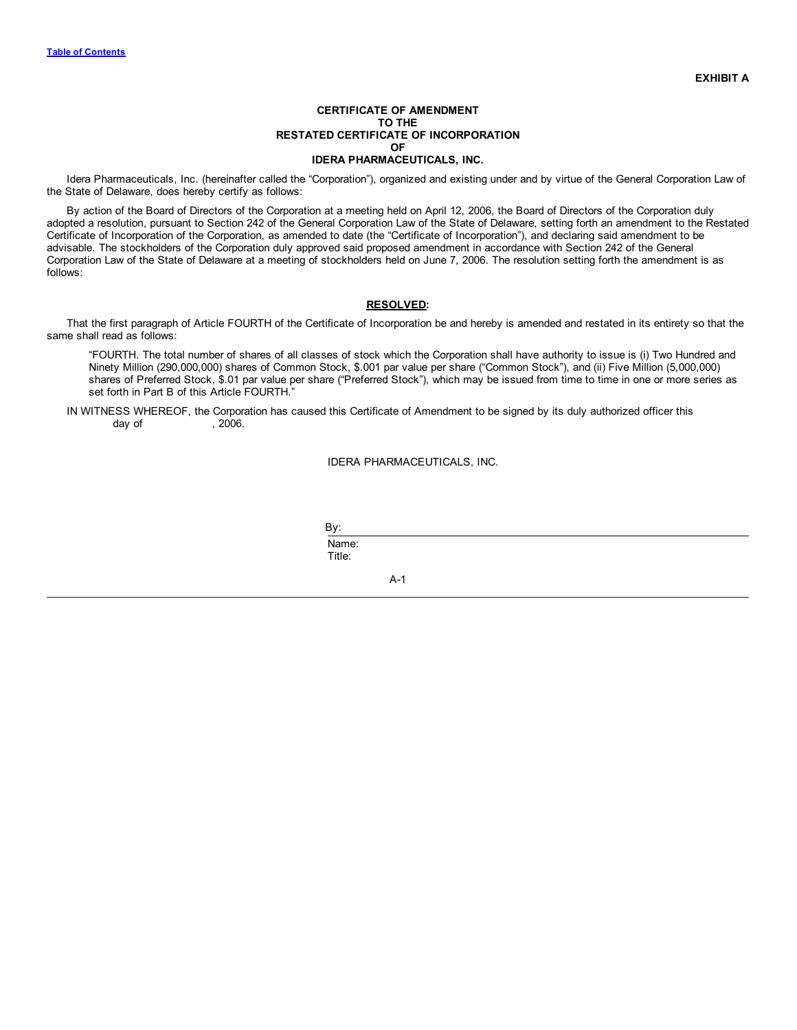Idera Pharmaceuticals, Inc. (hereinafter called the "Corporation"), organized and existing under and by virtue of the General Corporation Law of the State of Delaware, does hereby certify as follows:

By action of the Board of Directors of the Corporation at a meeting held on April 12, 2006, the Board of Directors of the Corporation duly adopted a resolution, pursuant to Section 242 of the General Corporation Law of the State of Delaware, setting forth an amendment to the Restated Certificate of Incorporation of the Corporation, as amended to date (the "Certificate of Incorporation"), and declaring said amendment to be advisable. The stockholders of the Corporation duly approved said proposed amendment in accordance with Section 242 of the General Corporation Law of the State of Delaware at a meeting of stockholders held on June 7, 2006. The resolution setting forth the amendment is as follows:

# **RESOLVED:**

That the first paragraph of Article FOURTH of the Certificate of Incorporation be and hereby is amended and restated in its entirety so that the same shall read as follows:

"FOURTH. The total number of shares of all classes of stock which the Corporation shall have authority to issue is (i) Two Hundred and Ninety Million (290,000,000) shares of Common Stock, \$.001 par value per share ("Common Stock"), and (ii) Five Million (5,000,000) shares of Preferred Stock, \$.01 par value per share ("Preferred Stock"), which may be issued from time to time in one or more series as set forth in Part B of this Article FOURTH."

IN WITNESS WHEREOF, the Corporation has caused this Certificate of Amendment to be signed by its duly authorized officer this day of  $\,$ , 2006.

## IDERA PHARMACEUTICALS, INC.

By: Name: Title:

A-1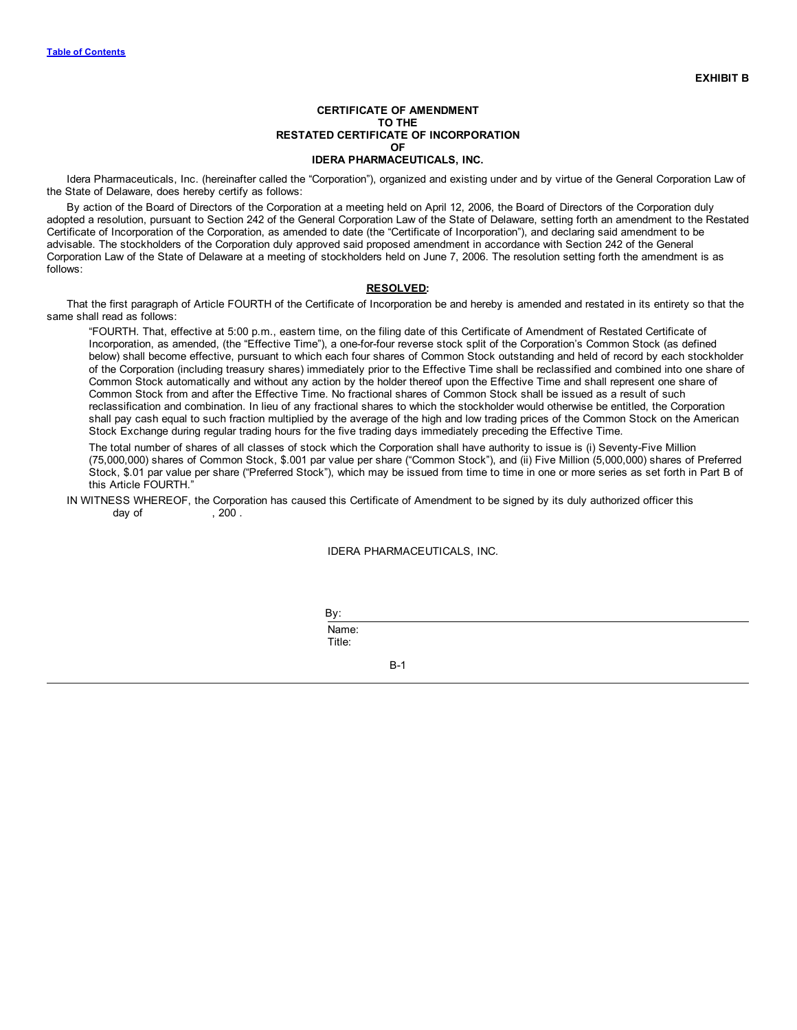Idera Pharmaceuticals, Inc. (hereinafter called the "Corporation"), organized and existing under and by virtue of the General Corporation Law of the State of Delaware, does hereby certify as follows:

By action of the Board of Directors of the Corporation at a meeting held on April 12, 2006, the Board of Directors of the Corporation duly adopted a resolution, pursuant to Section 242 of the General Corporation Law of the State of Delaware, setting forth an amendment to the Restated Certificate of Incorporation of the Corporation, as amended to date (the "Certificate of Incorporation"), and declaring said amendment to be advisable. The stockholders of the Corporation duly approved said proposed amendment in accordance with Section 242 of the General Corporation Law of the State of Delaware at a meeting of stockholders held on June 7, 2006. The resolution setting forth the amendment is as follows:

# **RESOLVED:**

That the first paragraph of Article FOURTH of the Certificate of Incorporation be and hereby is amended and restated in its entirety so that the same shall read as follows:

"FOURTH. That, effective at 5:00 p.m., eastern time, on the filing date of this Certificate of Amendment of Restated Certificate of Incorporation, as amended, (the "Effective Time"), a one-for-four reverse stock split of the Corporation's Common Stock (as defined below) shall become effective, pursuant to which each four shares of Common Stock outstanding and held of record by each stockholder of the Corporation (including treasury shares) immediately prior to the Effective Time shall be reclassified and combined into one share of Common Stock automatically and without any action by the holder thereof upon the Effective Time and shall represent one share of Common Stock from and after the Effective Time. No fractional shares of Common Stock shall be issued as a result of such reclassification and combination. In lieu of any fractional shares to which the stockholder would otherwise be entitled, the Corporation shall pay cash equal to such fraction multiplied by the average of the high and low trading prices of the Common Stock on the American Stock Exchange during regular trading hours for the five trading days immediately preceding the Effective Time.

The total number of shares of all classes of stock which the Corporation shall have authority to issue is (i) Seventy-Five Million (75,000,000) shares of Common Stock, \$.001 par value per share ("Common Stock"), and (ii) Five Million (5,000,000) shares of Preferred Stock, \$.01 par value per share ("Preferred Stock"), which may be issued from time to time in one or more series as set forth in Part B of this Article FOURTH."

IN WITNESS WHEREOF, the Corporation has caused this Certificate of Amendment to be signed by its duly authorized officer this  $d$ ay of  $\qquad \qquad .200$  .

## IDERA PHARMACEUTICALS, INC.

By:

Name: Title:

B-1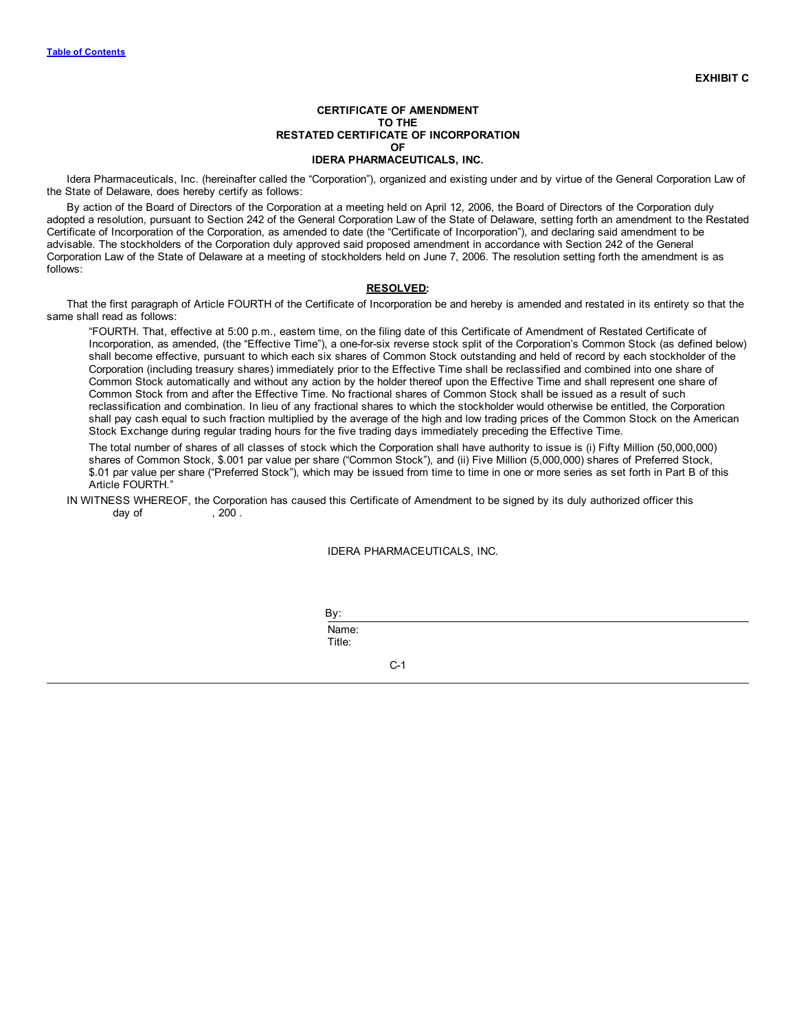Idera Pharmaceuticals, Inc. (hereinafter called the "Corporation"), organized and existing under and by virtue of the General Corporation Law of the State of Delaware, does hereby certify as follows:

By action of the Board of Directors of the Corporation at a meeting held on April 12, 2006, the Board of Directors of the Corporation duly adopted a resolution, pursuant to Section 242 of the General Corporation Law of the State of Delaware, setting forth an amendment to the Restated Certificate of Incorporation of the Corporation, as amended to date (the "Certificate of Incorporation"), and declaring said amendment to be advisable. The stockholders of the Corporation duly approved said proposed amendment in accordance with Section 242 of the General Corporation Law of the State of Delaware at a meeting of stockholders held on June 7, 2006. The resolution setting forth the amendment is as follows:

# **RESOLVED:**

That the first paragraph of Article FOURTH of the Certificate of Incorporation be and hereby is amended and restated in its entirety so that the same shall read as follows:

"FOURTH. That, effective at 5:00 p.m., eastern time, on the filing date of this Certificate of Amendment of Restated Certificate of Incorporation, as amended, (the "Effective Time"), a one-for-six reverse stock split of the Corporation's Common Stock (as defined below) shall become effective, pursuant to which each six shares of Common Stock outstanding and held of record by each stockholder of the Corporation (including treasury shares) immediately prior to the Effective Time shall be reclassified and combined into one share of Common Stock automatically and without any action by the holder thereof upon the Effective Time and shall represent one share of Common Stock from and after the Effective Time. No fractional shares of Common Stock shall be issued as a result of such reclassification and combination. In lieu of any fractional shares to which the stockholder would otherwise be entitled, the Corporation shall pay cash equal to such fraction multiplied by the average of the high and low trading prices of the Common Stock on the American Stock Exchange during regular trading hours for the five trading days immediately preceding the Effective Time.

The total number of shares of all classes of stock which the Corporation shall have authority to issue is (i) Fifty Million (50,000,000) shares of Common Stock, \$.001 par value per share ("Common Stock"), and (ii) Five Million (5,000,000) shares of Preferred Stock, \$.01 par value per share ("Preferred Stock"), which may be issued from time to time in one or more series as set forth in Part B of this Article FOURTH."

# IN WITNESS WHEREOF, the Corporation has caused this Certificate of Amendment to be signed by its duly authorized officer this day of  $\,$ , 200 .

## IDERA PHARMACEUTICALS, INC.

By:

Name: Title:

C-1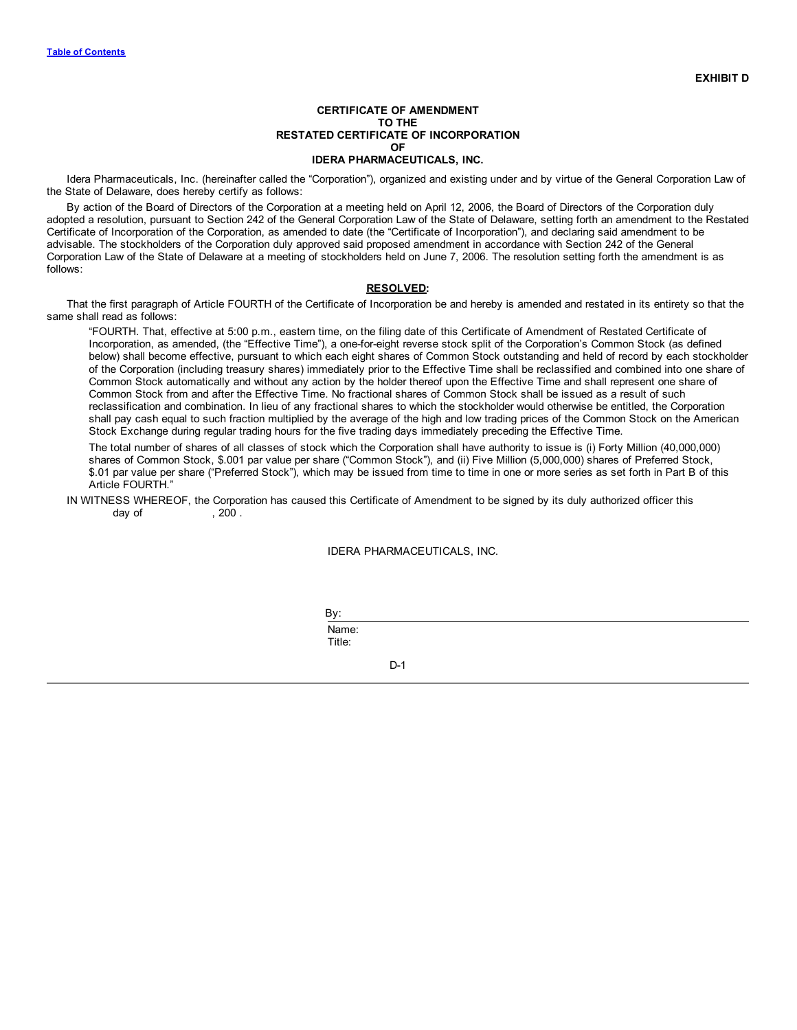Idera Pharmaceuticals, Inc. (hereinafter called the "Corporation"), organized and existing under and by virtue of the General Corporation Law of the State of Delaware, does hereby certify as follows:

By action of the Board of Directors of the Corporation at a meeting held on April 12, 2006, the Board of Directors of the Corporation duly adopted a resolution, pursuant to Section 242 of the General Corporation Law of the State of Delaware, setting forth an amendment to the Restated Certificate of Incorporation of the Corporation, as amended to date (the "Certificate of Incorporation"), and declaring said amendment to be advisable. The stockholders of the Corporation duly approved said proposed amendment in accordance with Section 242 of the General Corporation Law of the State of Delaware at a meeting of stockholders held on June 7, 2006. The resolution setting forth the amendment is as follows:

## **RESOLVED:**

That the first paragraph of Article FOURTH of the Certificate of Incorporation be and hereby is amended and restated in its entirety so that the same shall read as follows:

"FOURTH. That, effective at 5:00 p.m., eastern time, on the filing date of this Certificate of Amendment of Restated Certificate of Incorporation, as amended, (the "Effective Time"), a one-for-eight reverse stock split of the Corporation's Common Stock (as defined below) shall become effective, pursuant to which each eight shares of Common Stock outstanding and held of record by each stockholder of the Corporation (including treasury shares) immediately prior to the Effective Time shall be reclassified and combined into one share of Common Stock automatically and without any action by the holder thereof upon the Effective Time and shall represent one share of Common Stock from and after the Effective Time. No fractional shares of Common Stock shall be issued as a result of such reclassification and combination. In lieu of any fractional shares to which the stockholder would otherwise be entitled, the Corporation shall pay cash equal to such fraction multiplied by the average of the high and low trading prices of the Common Stock on the American Stock Exchange during regular trading hours for the five trading days immediately preceding the Effective Time.

The total number of shares of all classes of stock which the Corporation shall have authority to issue is (i) Forty Million (40,000,000) shares of Common Stock, \$.001 par value per share ("Common Stock"), and (ii) Five Million (5,000,000) shares of Preferred Stock, \$.01 par value per share ("Preferred Stock"), which may be issued from time to time in one or more series as set forth in Part B of this Article FOURTH."

IN WITNESS WHEREOF, the Corporation has caused this Certificate of Amendment to be signed by its duly authorized officer this  $d$ ay of  $\qquad \qquad .200$  .

## IDERA PHARMACEUTICALS, INC.

By:

Name: Title:

D-1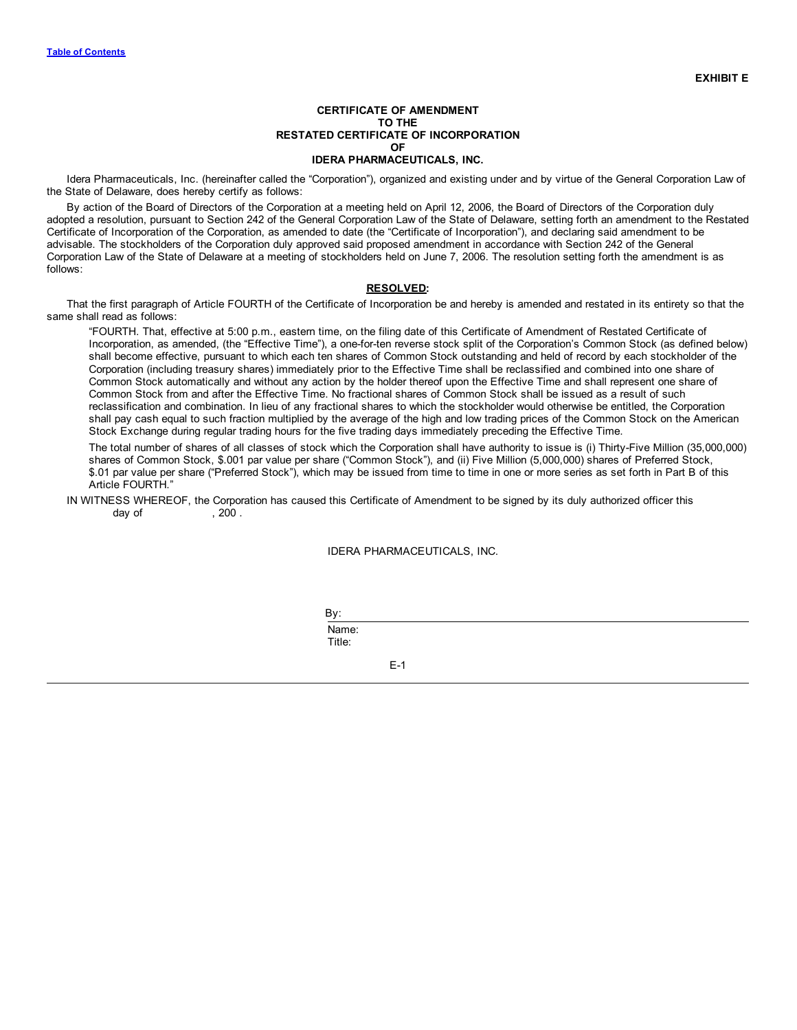Idera Pharmaceuticals, Inc. (hereinafter called the "Corporation"), organized and existing under and by virtue of the General Corporation Law of the State of Delaware, does hereby certify as follows:

By action of the Board of Directors of the Corporation at a meeting held on April 12, 2006, the Board of Directors of the Corporation duly adopted a resolution, pursuant to Section 242 of the General Corporation Law of the State of Delaware, setting forth an amendment to the Restated Certificate of Incorporation of the Corporation, as amended to date (the "Certificate of Incorporation"), and declaring said amendment to be advisable. The stockholders of the Corporation duly approved said proposed amendment in accordance with Section 242 of the General Corporation Law of the State of Delaware at a meeting of stockholders held on June 7, 2006. The resolution setting forth the amendment is as follows:

# **RESOLVED:**

That the first paragraph of Article FOURTH of the Certificate of Incorporation be and hereby is amended and restated in its entirety so that the same shall read as follows:

"FOURTH. That, effective at 5:00 p.m., eastern time, on the filing date of this Certificate of Amendment of Restated Certificate of Incorporation, as amended, (the "Effective Time"), a one-for-ten reverse stock split of the Corporation's Common Stock (as defined below) shall become effective, pursuant to which each ten shares of Common Stock outstanding and held of record by each stockholder of the Corporation (including treasury shares) immediately prior to the Effective Time shall be reclassified and combined into one share of Common Stock automatically and without any action by the holder thereof upon the Effective Time and shall represent one share of Common Stock from and after the Effective Time. No fractional shares of Common Stock shall be issued as a result of such reclassification and combination. In lieu of any fractional shares to which the stockholder would otherwise be entitled, the Corporation shall pay cash equal to such fraction multiplied by the average of the high and low trading prices of the Common Stock on the American Stock Exchange during regular trading hours for the five trading days immediately preceding the Effective Time.

The total number of shares of all classes of stock which the Corporation shall have authority to issue is (i) Thirty-Five Million (35,000,000) shares of Common Stock, \$.001 par value per share ("Common Stock"), and (ii) Five Million (5,000,000) shares of Preferred Stock, \$.01 par value per share ("Preferred Stock"), which may be issued from time to time in one or more series as set forth in Part B of this Article FOURTH."

# IN WITNESS WHEREOF, the Corporation has caused this Certificate of Amendment to be signed by its duly authorized officer this day of  $\,$ , 200 .

## IDERA PHARMACEUTICALS, INC.

By:

Name: Title:

E-1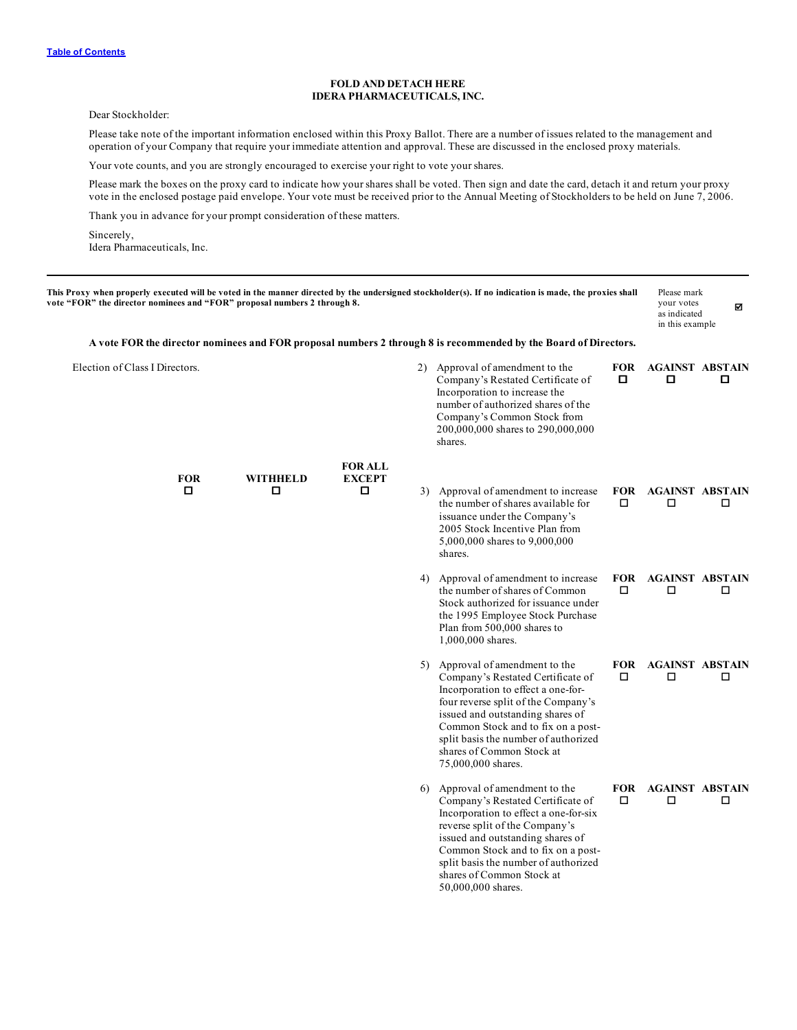# **FOLD AND DETACH HERE IDERA PHARMACEUTICALS, INC.**

Dear Stockholder:

Please take note of the important information enclosed within this Proxy Ballot. There are a number of issues related to the management and operation of your Company that require your immediate attention and approval. These are discussed in the enclosed proxy materials.

Your vote counts, and you are strongly encouraged to exercise your right to vote your shares.

Please mark the boxes on the proxy card to indicate how your shares shall be voted. Then sign and date the card, detach it and return your proxy vote in the enclosed postage paid envelope. Your vote must be received prior to the Annual Meeting of Stockholders to be held on June 7, 2006.

Thank you in advance for your prompt consideration of these matters.

Sincerely, Idera Pharmaceuticals, Inc.

| This Proxy when properly executed will be voted in the manner directed by the undersigned stockholder(s). If no indication is made, the proxies shall<br>vote "FOR" the director nominees and "FOR" proposal numbers 2 through 8. |                      |                    |                                                                                                                                                                                                                                                                                                                        |                      | Please mark<br>your votes<br>as indicated<br>in this example | ☑ |
|-----------------------------------------------------------------------------------------------------------------------------------------------------------------------------------------------------------------------------------|----------------------|--------------------|------------------------------------------------------------------------------------------------------------------------------------------------------------------------------------------------------------------------------------------------------------------------------------------------------------------------|----------------------|--------------------------------------------------------------|---|
|                                                                                                                                                                                                                                   |                      |                    | A vote FOR the director nominees and FOR proposal numbers 2 through 8 is recommended by the Board of Directors.                                                                                                                                                                                                        |                      |                                                              |   |
| Election of Class I Directors.                                                                                                                                                                                                    |                      |                    | 2) Approval of amendment to the<br>Company's Restated Certificate of<br>Incorporation to increase the<br>number of authorized shares of the<br>Company's Common Stock from<br>200,000,000 shares to 290,000,000<br>shares.                                                                                             | <b>FOR</b><br>О      | <b>AGAINST ABSTAIN</b><br>о                                  | о |
|                                                                                                                                                                                                                                   |                      | <b>FOR ALL</b>     |                                                                                                                                                                                                                                                                                                                        |                      |                                                              |   |
| <b>FOR</b><br>□                                                                                                                                                                                                                   | <b>WITHHELD</b><br>О | <b>EXCEPT</b><br>о | 3) Approval of amendment to increase<br>the number of shares available for<br>issuance under the Company's<br>2005 Stock Incentive Plan from<br>5,000,000 shares to 9,000,000<br>shares.                                                                                                                               | <b>FOR</b><br>□      | <b>AGAINST ABSTAIN</b><br>□                                  | □ |
|                                                                                                                                                                                                                                   |                      |                    | 4) Approval of amendment to increase<br>the number of shares of Common<br>Stock authorized for issuance under<br>the 1995 Employee Stock Purchase<br>Plan from 500,000 shares to<br>1,000,000 shares.                                                                                                                  | □                    | FOR AGAINST ABSTAIN<br>□                                     | □ |
|                                                                                                                                                                                                                                   |                      |                    | 5) Approval of amendment to the<br>Company's Restated Certificate of<br>Incorporation to effect a one-for-<br>four reverse split of the Company's<br>issued and outstanding shares of<br>Common Stock and to fix on a post-<br>split basis the number of authorized<br>shares of Common Stock at<br>75,000,000 shares. | <b>FOR</b><br>$\Box$ | <b>AGAINST ABSTAIN</b><br>□                                  | □ |
|                                                                                                                                                                                                                                   |                      |                    | 6) Approval of amendment to the<br>Company's Restated Certificate of<br>Incorporation to effect a one-for-six<br>reverse split of the Company's<br>issued and outstanding shares of<br>Common Stock and to fix on a post-<br>split basis the number of authorized<br>shares of Common Stock at<br>50,000,000 shares.   | <b>FOR</b><br>□      | <b>AGAINST ABSTAIN</b><br>□                                  | □ |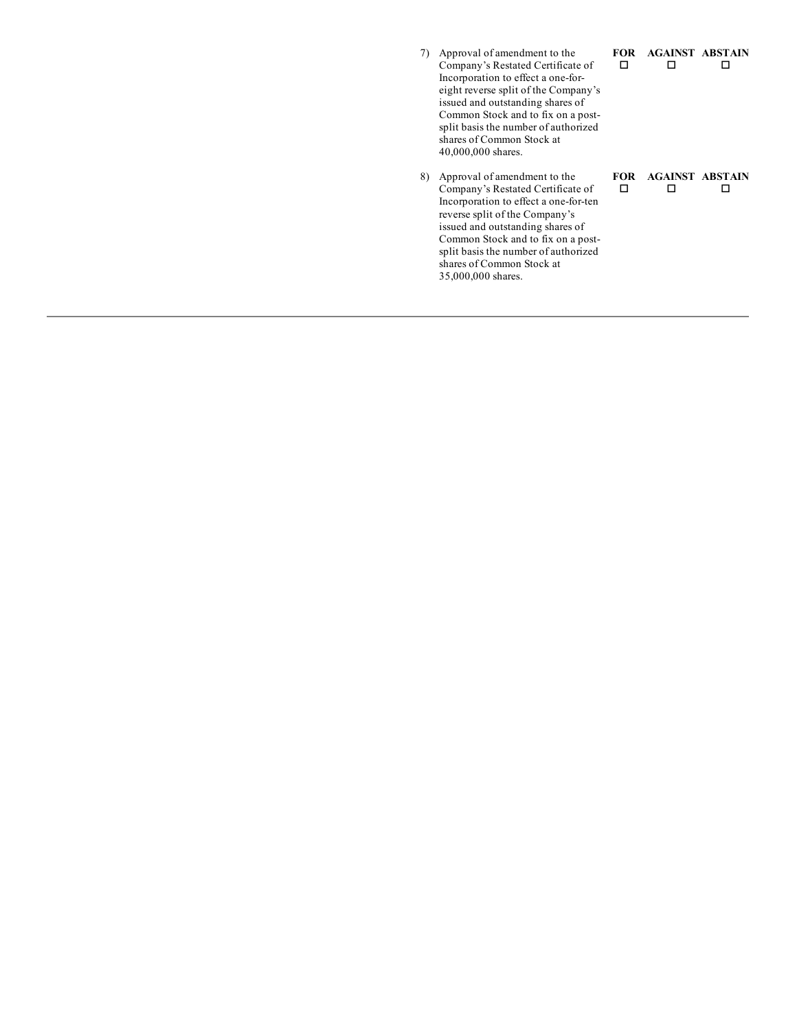| 7) | Approval of amendment to the<br>Company's Restated Certificate of<br>Incorporation to effect a one-for-<br>eight reverse split of the Company's<br>issued and outstanding shares of<br>Common Stock and to fix on a post-<br>split basis the number of authorized<br>shares of Common Stock at<br>40,000,000 shares. | FOR<br>П  | <b>AGAINST ABSTAIN</b> |  |
|----|----------------------------------------------------------------------------------------------------------------------------------------------------------------------------------------------------------------------------------------------------------------------------------------------------------------------|-----------|------------------------|--|
| 8) | Approval of amendment to the<br>Company's Restated Certificate of<br>Incorporation to effect a one-for-ten<br>reverse split of the Company's<br>issued and outstanding shares of<br>Common Stock and to fix on a post-<br>split basis the number of authorized<br>shares of Common Stock at<br>35,000,000 shares.    | FOR-<br>п | <b>AGAINST ABSTAIN</b> |  |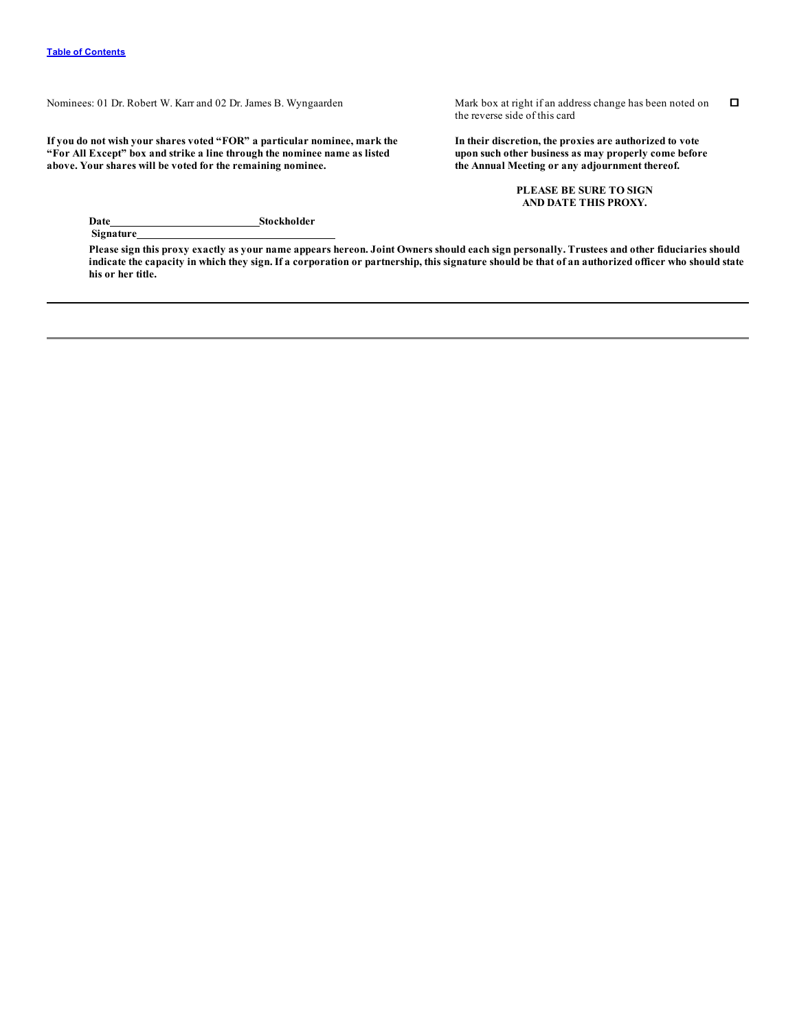Nominees: 01 Dr. Robert W. Karr and 02 Dr. James B. Wyngaarden Mark box at right if an address change has been noted on

**If you do not wish your shares voted "FOR" a particular nominee, mark the "For All Except" box and strike a line through the nominee name as listed above. Your shares will be voted for the remaining nominee.**

the reverse side of this card o

**In their discretion, the proxies are authorized to vote upon such other business as may properly come before the Annual Meeting or any adjournment thereof.**

> **PLEASE BE SURE TO SIGN AND DATE THIS PROXY.**

**Date Stockholder Signature**

Please sign this proxy exactly as your name appears hereon. Joint Owners should each sign personally. Trustees and other fiduciaries should indicate the capacity in which they sign. If a corporation or partnership, this signature should be that of an authorized officer who should state **his or her title.**